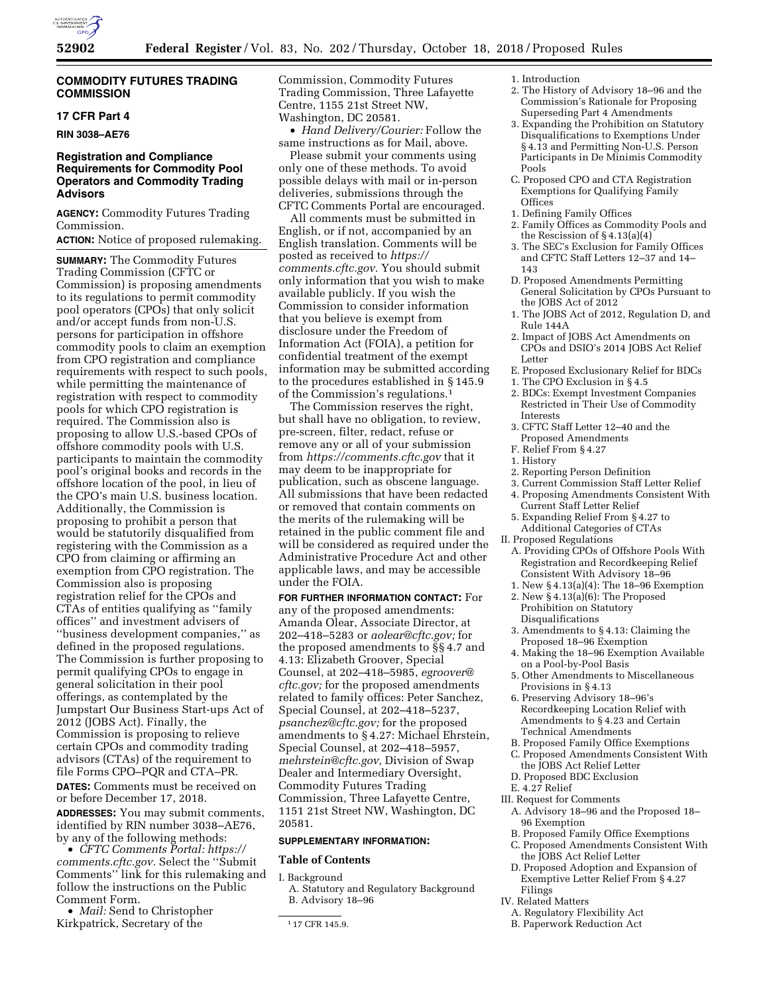

### **COMMODITY FUTURES TRADING COMMISSION**

### **17 CFR Part 4**

**RIN 3038–AE76** 

# **Registration and Compliance Requirements for Commodity Pool Operators and Commodity Trading Advisors**

**AGENCY:** Commodity Futures Trading Commission.

**ACTION:** Notice of proposed rulemaking.

**SUMMARY:** The Commodity Futures Trading Commission (CFTC or Commission) is proposing amendments to its regulations to permit commodity pool operators (CPOs) that only solicit and/or accept funds from non-U.S. persons for participation in offshore commodity pools to claim an exemption from CPO registration and compliance requirements with respect to such pools, while permitting the maintenance of registration with respect to commodity pools for which CPO registration is required. The Commission also is proposing to allow U.S.-based CPOs of offshore commodity pools with U.S. participants to maintain the commodity pool's original books and records in the offshore location of the pool, in lieu of the CPO's main U.S. business location. Additionally, the Commission is proposing to prohibit a person that would be statutorily disqualified from registering with the Commission as a CPO from claiming or affirming an exemption from CPO registration. The Commission also is proposing registration relief for the CPOs and CTAs of entities qualifying as ''family offices'' and investment advisers of ''business development companies,'' as defined in the proposed regulations. The Commission is further proposing to permit qualifying CPOs to engage in general solicitation in their pool offerings, as contemplated by the Jumpstart Our Business Start-ups Act of 2012 (JOBS Act). Finally, the Commission is proposing to relieve certain CPOs and commodity trading advisors (CTAs) of the requirement to file Forms CPO–PQR and CTA–PR. **DATES:** Comments must be received on

or before December 17, 2018. **ADDRESSES:** You may submit comments, identified by RIN number 3038–AE76, by any of the following methods:

• *CFTC Comments Portal: [https://](https://comments.cftc.gov) [comments.cftc.gov.](https://comments.cftc.gov)* Select the ''Submit Comments'' link for this rulemaking and follow the instructions on the Public Comment Form.

• *Mail:* Send to Christopher Kirkpatrick, Secretary of the

Commission, Commodity Futures Trading Commission, Three Lafayette Centre, 1155 21st Street NW, Washington, DC 20581.

• *Hand Delivery/Courier:* Follow the same instructions as for Mail, above.

Please submit your comments using only one of these methods. To avoid possible delays with mail or in-person deliveries, submissions through the CFTC Comments Portal are encouraged.

All comments must be submitted in English, or if not, accompanied by an English translation. Comments will be posted as received to *[https://](https://comments.cftc.gov) [comments.cftc.gov.](https://comments.cftc.gov)* You should submit only information that you wish to make available publicly. If you wish the Commission to consider information that you believe is exempt from disclosure under the Freedom of Information Act (FOIA), a petition for confidential treatment of the exempt information may be submitted according to the procedures established in § 145.9 of the Commission's regulations.1

The Commission reserves the right, but shall have no obligation, to review, pre-screen, filter, redact, refuse or remove any or all of your submission from *<https://comments.cftc.gov>* that it may deem to be inappropriate for publication, such as obscene language. All submissions that have been redacted or removed that contain comments on the merits of the rulemaking will be retained in the public comment file and will be considered as required under the Administrative Procedure Act and other applicable laws, and may be accessible under the FOIA.

**FOR FURTHER INFORMATION CONTACT:** For any of the proposed amendments: Amanda Olear, Associate Director, at 202–418–5283 or *[aolear@cftc.gov;](mailto:aolear@cftc.gov)* for the proposed amendments to §§ 4.7 and 4.13: Elizabeth Groover, Special Counsel, at 202–418–5985, *[egroover@](mailto:egroover@cftc.gov) [cftc.gov;](mailto:egroover@cftc.gov)* for the proposed amendments related to family offices: Peter Sanchez, Special Counsel, at 202–418–5237, *[psanchez@cftc.gov;](mailto:psanchez@cftc.gov)* for the proposed amendments to § 4.27: Michael Ehrstein, Special Counsel, at 202–418–5957, *[mehrstein@cftc.gov,](mailto:mehrstein@cftc.gov)* Division of Swap Dealer and Intermediary Oversight, Commodity Futures Trading Commission, Three Lafayette Centre, 1151 21st Street NW, Washington, DC 20581.

#### **SUPPLEMENTARY INFORMATION:**

#### **Table of Contents**

I. Background

A. Statutory and Regulatory Background B. Advisory 18–96

1. Introduction

- 2. The History of Advisory 18–96 and the Commission's Rationale for Proposing Superseding Part 4 Amendments
- 3. Expanding the Prohibition on Statutory Disqualifications to Exemptions Under § 4.13 and Permitting Non-U.S. Person Participants in De Minimis Commodity Pools
- C. Proposed CPO and CTA Registration Exemptions for Qualifying Family **Offices**
- 1. Defining Family Offices
- 2. Family Offices as Commodity Pools and the Rescission of § 4.13(a)(4)
- 3. The SEC's Exclusion for Family Offices and CFTC Staff Letters 12–37 and 14– 143
- D. Proposed Amendments Permitting General Solicitation by CPOs Pursuant to the JOBS Act of 2012
- 1. The JOBS Act of 2012, Regulation D, and Rule 144A
- 2. Impact of JOBS Act Amendments on CPOs and DSIO's 2014 JOBS Act Relief Letter
- E. Proposed Exclusionary Relief for BDCs
- 1. The CPO Exclusion in § 4.5
- 2. BDCs: Exempt Investment Companies Restricted in Their Use of Commodity Interests
- 3. CFTC Staff Letter 12–40 and the Proposed Amendments
- F. Relief From § 4.27
- 1. History
- 2. Reporting Person Definition
- 3. Current Commission Staff Letter Relief
- 4. Proposing Amendments Consistent With Current Staff Letter Relief
- 5. Expanding Relief From § 4.27 to Additional Categories of CTAs
- II. Proposed Regulations
	- A. Providing CPOs of Offshore Pools With Registration and Recordkeeping Relief Consistent With Advisory 18–96
- 1. New § 4.13(a)(4): The 18–96 Exemption
- 2. New § 4.13(a)(6): The Proposed Prohibition on Statutory Disqualifications
- 3. Amendments to § 4.13: Claiming the Proposed 18–96 Exemption
- 4. Making the 18–96 Exemption Available on a Pool-by-Pool Basis
- 5. Other Amendments to Miscellaneous Provisions in § 4.13
- 6. Preserving Advisory 18–96's Recordkeeping Location Relief with Amendments to § 4.23 and Certain Technical Amendments
- B. Proposed Family Office Exemptions
- C. Proposed Amendments Consistent With the JOBS Act Relief Letter
- D. Proposed BDC Exclusion
- E. 4.27 Relief
- III. Request for Comments
	- A. Advisory 18–96 and the Proposed 18– 96 Exemption
	- B. Proposed Family Office Exemptions
	- C. Proposed Amendments Consistent With the JOBS Act Relief Letter
	- D. Proposed Adoption and Expansion of Exemptive Letter Relief From § 4.27 Filings
- IV. Related Matters
	- A. Regulatory Flexibility Act
	- B. Paperwork Reduction Act
	-
- 

<sup>1</sup> 17 CFR 145.9.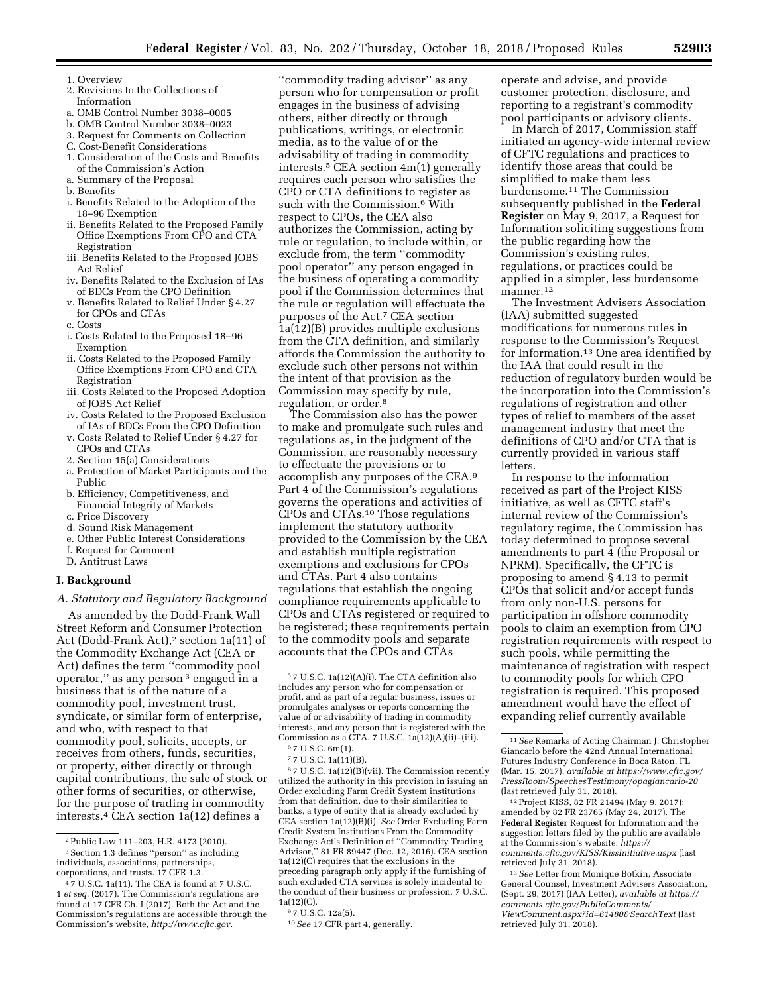- 1. Overview
- 2. Revisions to the Collections of Information
- a. OMB Control Number 3038–0005
- b. OMB Control Number 3038–0023
- 3. Request for Comments on Collection
- C. Cost-Benefit Considerations
- 1. Consideration of the Costs and Benefits
- of the Commission's Action a. Summary of the Proposal
- b. Benefits
- i. Benefits Related to the Adoption of the 18–96 Exemption
- ii. Benefits Related to the Proposed Family Office Exemptions From CPO and CTA Registration
- iii. Benefits Related to the Proposed JOBS Act Relief
- iv. Benefits Related to the Exclusion of IAs of BDCs From the CPO Definition
- v. Benefits Related to Relief Under § 4.27 for CPOs and CTAs
- c. Costs
- i. Costs Related to the Proposed 18–96 Exemption
- ii. Costs Related to the Proposed Family Office Exemptions From CPO and CTA Registration
- iii. Costs Related to the Proposed Adoption of JOBS Act Relief
- iv. Costs Related to the Proposed Exclusion of IAs of BDCs From the CPO Definition
- v. Costs Related to Relief Under § 4.27 for CPOs and CTAs
- 2. Section 15(a) Considerations
- a. Protection of Market Participants and the Public
- b. Efficiency, Competitiveness, and Financial Integrity of Markets
- c. Price Discovery
- d. Sound Risk Management
- e. Other Public Interest Considerations
- f. Request for Comment
- D. Antitrust Laws

# **I. Background**

# *A. Statutory and Regulatory Background*

As amended by the Dodd-Frank Wall Street Reform and Consumer Protection Act (Dodd-Frank Act),<sup>2</sup> section 1a(11) of the Commodity Exchange Act (CEA or Act) defines the term ''commodity pool operator,'' as any person 3 engaged in a business that is of the nature of a commodity pool, investment trust, syndicate, or similar form of enterprise, and who, with respect to that commodity pool, solicits, accepts, or receives from others, funds, securities, or property, either directly or through capital contributions, the sale of stock or other forms of securities, or otherwise, for the purpose of trading in commodity interests.4 CEA section 1a(12) defines a

''commodity trading advisor'' as any person who for compensation or profit engages in the business of advising others, either directly or through publications, writings, or electronic media, as to the value of or the advisability of trading in commodity interests.5 CEA section 4m(1) generally requires each person who satisfies the CPO or CTA definitions to register as such with the Commission.<sup>6</sup> With respect to CPOs, the CEA also authorizes the Commission, acting by rule or regulation, to include within, or exclude from, the term ''commodity pool operator'' any person engaged in the business of operating a commodity pool if the Commission determines that the rule or regulation will effectuate the purposes of the Act.7 CEA section 1a(12)(B) provides multiple exclusions from the CTA definition, and similarly affords the Commission the authority to exclude such other persons not within the intent of that provision as the Commission may specify by rule, regulation, or order.8

The Commission also has the power to make and promulgate such rules and regulations as, in the judgment of the Commission, are reasonably necessary to effectuate the provisions or to accomplish any purposes of the CEA.9 Part 4 of the Commission's regulations governs the operations and activities of CPOs and CTAs.10 Those regulations implement the statutory authority provided to the Commission by the CEA and establish multiple registration exemptions and exclusions for CPOs and CTAs. Part 4 also contains regulations that establish the ongoing compliance requirements applicable to CPOs and CTAs registered or required to be registered; these requirements pertain to the commodity pools and separate accounts that the CPOs and CTAs

8 7 U.S.C. 1a(12)(B)(vii). The Commission recently utilized the authority in this provision in issuing an Order excluding Farm Credit System institutions from that definition, due to their similarities to banks, a type of entity that is already excluded by CEA section 1a(12)(B)(i). *See* Order Excluding Farm Credit System Institutions From the Commodity Exchange Act's Definition of ''Commodity Trading Advisor,'' 81 FR 89447 (Dec. 12, 2016). CEA section 1a(12)(C) requires that the exclusions in the preceding paragraph only apply if the furnishing of such excluded CTA services is solely incidental to the conduct of their business or profession. 7 U.S.C. 1a(12)(C).

operate and advise, and provide customer protection, disclosure, and reporting to a registrant's commodity pool participants or advisory clients.

In March of 2017, Commission staff initiated an agency-wide internal review of CFTC regulations and practices to identify those areas that could be simplified to make them less burdensome.11 The Commission subsequently published in the **Federal Register** on May 9, 2017, a Request for Information soliciting suggestions from the public regarding how the Commission's existing rules, regulations, or practices could be applied in a simpler, less burdensome manner.<sup>12</sup>

The Investment Advisers Association (IAA) submitted suggested modifications for numerous rules in response to the Commission's Request for Information.13 One area identified by the IAA that could result in the reduction of regulatory burden would be the incorporation into the Commission's regulations of registration and other types of relief to members of the asset management industry that meet the definitions of CPO and/or CTA that is currently provided in various staff letters.

In response to the information received as part of the Project KISS initiative, as well as CFTC staff's internal review of the Commission's regulatory regime, the Commission has today determined to propose several amendments to part 4 (the Proposal or NPRM). Specifically, the CFTC is proposing to amend § 4.13 to permit CPOs that solicit and/or accept funds from only non-U.S. persons for participation in offshore commodity pools to claim an exemption from CPO registration requirements with respect to such pools, while permitting the maintenance of registration with respect to commodity pools for which CPO registration is required. This proposed amendment would have the effect of expanding relief currently available

12Project KISS, 82 FR 21494 (May 9, 2017); amended by 82 FR 23765 (May 24, 2017). The **Federal Register** Request for Information and the suggestion letters filed by the public are available at the Commission's website: *[https://](https://comments.cftc.gov/KISS/KissInitiative.aspx) [comments.cftc.gov/KISS/KissInitiative.aspx](https://comments.cftc.gov/KISS/KissInitiative.aspx)* (last retrieved July 31, 2018).

13*See* Letter from Monique Botkin, Associate General Counsel, Investment Advisers Association, (Sept. 29, 2017) (IAA Letter), *available at [https://](https://comments.cftc.gov/PublicComments/ViewComment.aspx?id=61480&SearchText)  [comments.cftc.gov/PublicComments/](https://comments.cftc.gov/PublicComments/ViewComment.aspx?id=61480&SearchText)  [ViewComment.aspx?id=61480&SearchText](https://comments.cftc.gov/PublicComments/ViewComment.aspx?id=61480&SearchText)* (last retrieved July 31, 2018).

<sup>2</sup>Public Law 111–203, H.R. 4173 (2010). 3Section 1.3 defines ''person'' as including individuals, associations, partnerships,

corporations, and trusts. 17 CFR 1.3.

<sup>4</sup> 7 U.S.C. 1a(11). The CEA is found at 7 U.S.C. 1 *et seq.* (2017). The Commission's regulations are found at 17 CFR Ch. I (2017). Both the Act and the Commission's regulations are accessible through the Commission's website, *[http://www.cftc.gov.](http://www.cftc.gov)* 

 $^{\rm 5}$  7 U.S.C. 1a(12)(A)(i). The CTA definition also includes any person who for compensation or profit, and as part of a regular business, issues or promulgates analyses or reports concerning the value of or advisability of trading in commodity interests, and any person that is registered with the Commission as a CTA. 7 U.S.C. 1a(12)(A)(ii)–(iii). 6 7 U.S.C. 6m(1).

<sup>7</sup> 7 U.S.C. 1a(11)(B).

<sup>9</sup> 7 U.S.C. 12a(5).

<sup>10</sup>*See* 17 CFR part 4, generally.

<sup>11</sup>*See* Remarks of Acting Chairman J. Christopher Giancarlo before the 42nd Annual International Futures Industry Conference in Boca Raton, FL (Mar. 15, 2017), *available at [https://www.cftc.gov/](https://www.cftc.gov/PressRoom/SpeechesTestimony/opagiancarlo-20)  [PressRoom/SpeechesTestimony/opagiancarlo-20](https://www.cftc.gov/PressRoom/SpeechesTestimony/opagiancarlo-20)*  (last retrieved July 31, 2018).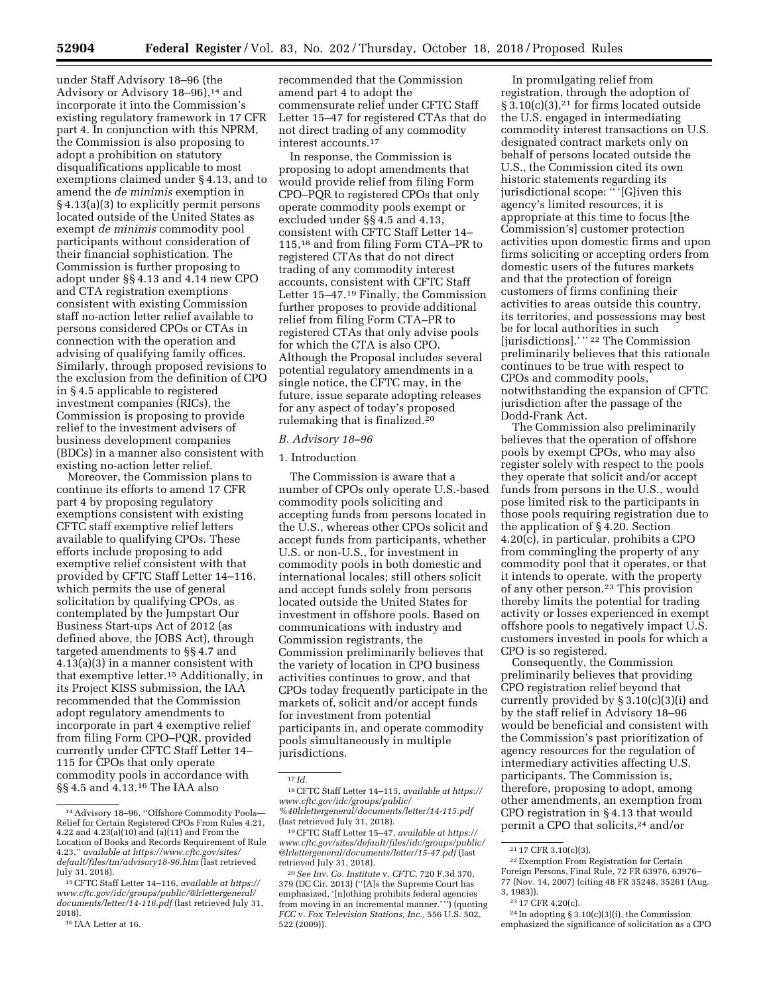under Staff Advisory 18–96 (the Advisory or Advisory 18–96),<sup>14</sup> and incorporate it into the Commission's existing regulatory framework in 17 CFR part 4. In conjunction with this NPRM, the Commission is also proposing to adopt a prohibition on statutory disqualifications applicable to most exemptions claimed under § 4.13, and to amend the *de minimis* exemption in § 4.13(a)(3) to explicitly permit persons located outside of the United States as exempt *de minimis* commodity pool participants without consideration of their financial sophistication. The Commission is further proposing to adopt under §§ 4.13 and 4.14 new CPO and CTA registration exemptions consistent with existing Commission staff no-action letter relief available to persons considered CPOs or CTAs in connection with the operation and advising of qualifying family offices. Similarly, through proposed revisions to the exclusion from the definition of CPO in § 4.5 applicable to registered investment companies (RICs), the Commission is proposing to provide relief to the investment advisers of business development companies (BDCs) in a manner also consistent with existing no-action letter relief.

Moreover, the Commission plans to continue its efforts to amend 17 CFR part 4 by proposing regulatory exemptions consistent with existing CFTC staff exemptive relief letters available to qualifying CPOs. These efforts include proposing to add exemptive relief consistent with that provided by CFTC Staff Letter 14–116, which permits the use of general solicitation by qualifying CPOs, as contemplated by the Jumpstart Our Business Start-ups Act of 2012 (as defined above, the JOBS Act), through targeted amendments to §§ 4.7 and 4.13(a)(3) in a manner consistent with that exemptive letter.15 Additionally, in its Project KISS submission, the IAA recommended that the Commission adopt regulatory amendments to incorporate in part 4 exemptive relief from filing Form CPO–PQR, provided currently under CFTC Staff Letter 14– 115 for CPOs that only operate commodity pools in accordance with §§ 4.5 and 4.13.16 The IAA also

recommended that the Commission amend part 4 to adopt the commensurate relief under CFTC Staff Letter 15–47 for registered CTAs that do not direct trading of any commodity interest accounts.17

In response, the Commission is proposing to adopt amendments that would provide relief from filing Form CPO–PQR to registered CPOs that only operate commodity pools exempt or excluded under §§ 4.5 and 4.13, consistent with CFTC Staff Letter 14– 115,18 and from filing Form CTA–PR to registered CTAs that do not direct trading of any commodity interest accounts, consistent with CFTC Staff Letter 15–47.19 Finally, the Commission further proposes to provide additional relief from filing Form CTA–PR to registered CTAs that only advise pools for which the CTA is also CPO. Although the Proposal includes several potential regulatory amendments in a single notice, the CFTC may, in the future, issue separate adopting releases for any aspect of today's proposed rulemaking that is finalized.20

#### *B. Advisory 18–96*

#### 1. Introduction

The Commission is aware that a number of CPOs only operate U.S.-based commodity pools soliciting and accepting funds from persons located in the U.S., whereas other CPOs solicit and accept funds from participants, whether U.S. or non-U.S., for investment in commodity pools in both domestic and international locales; still others solicit and accept funds solely from persons located outside the United States for investment in offshore pools. Based on communications with industry and Commission registrants, the Commission preliminarily believes that the variety of location in CPO business activities continues to grow, and that CPOs today frequently participate in the markets of, solicit and/or accept funds for investment from potential participants in, and operate commodity pools simultaneously in multiple jurisdictions.

In promulgating relief from registration, through the adoption of  $\S 3.10(c)(3)$ ,<sup>21</sup> for firms located outside the U.S. engaged in intermediating commodity interest transactions on U.S. designated contract markets only on behalf of persons located outside the U.S., the Commission cited its own historic statements regarding its jurisdictional scope: "' [G]iven this agency's limited resources, it is appropriate at this time to focus [the Commission's] customer protection activities upon domestic firms and upon firms soliciting or accepting orders from domestic users of the futures markets and that the protection of foreign customers of firms confining their activities to areas outside this country, its territories, and possessions may best be for local authorities in such [jurisdictions].' '' 22 The Commission preliminarily believes that this rationale continues to be true with respect to CPOs and commodity pools, notwithstanding the expansion of CFTC jurisdiction after the passage of the Dodd-Frank Act.

The Commission also preliminarily believes that the operation of offshore pools by exempt CPOs, who may also register solely with respect to the pools they operate that solicit and/or accept funds from persons in the U.S., would pose limited risk to the participants in those pools requiring registration due to the application of § 4.20. Section 4.20(c), in particular, prohibits a CPO from commingling the property of any commodity pool that it operates, or that it intends to operate, with the property of any other person.23 This provision thereby limits the potential for trading activity or losses experienced in exempt offshore pools to negatively impact U.S. customers invested in pools for which a CPO is so registered.

Consequently, the Commission preliminarily believes that providing CPO registration relief beyond that currently provided by § 3.10(c)(3)(i) and by the staff relief in Advisory 18–96 would be beneficial and consistent with the Commission's past prioritization of agency resources for the regulation of intermediary activities affecting U.S. participants. The Commission is, therefore, proposing to adopt, among other amendments, an exemption from CPO registration in § 4.13 that would permit a CPO that solicits,24 and/or

<sup>14</sup>Advisory 18–96, ''Offshore Commodity Pools— Relief for Certain Registered CPOs From Rules 4.21, 4.22 and 4.23(a)(10) and (a)(11) and From the Location of Books and Records Requirement of Rule 4.23,'' *available at [https://www.cftc.gov/sites/](https://www.cftc.gov/sites/default/files/tm/advisory18-96.htm)  [default/files/tm/advisory18-96.htm](https://www.cftc.gov/sites/default/files/tm/advisory18-96.htm)* (last retrieved July 31, 2018).

<sup>15</sup>CFTC Staff Letter 14–116, *available at [https://](https://www.cftc.gov/idc/groups/public/@lrlettergeneral/documents/letter/14-116.pdf)  [www.cftc.gov/idc/groups/public/@lrlettergeneral/](https://www.cftc.gov/idc/groups/public/@lrlettergeneral/documents/letter/14-116.pdf)  [documents/letter/14-116.pdf](https://www.cftc.gov/idc/groups/public/@lrlettergeneral/documents/letter/14-116.pdf)* (last retrieved July 31, 2018).

<sup>16</sup> IAA Letter at 16.

<sup>17</sup> *Id.* 

<sup>18</sup>CFTC Staff Letter 14–115, *available at [https://](https://www.cftc.gov/idc/groups/public/%40lrlettergeneral/documents/letter/14-115.pdf) [www.cftc.gov/idc/groups/public/](https://www.cftc.gov/idc/groups/public/%40lrlettergeneral/documents/letter/14-115.pdf)  [%40lrlettergeneral/documents/letter/14-115.pdf](https://www.cftc.gov/idc/groups/public/%40lrlettergeneral/documents/letter/14-115.pdf)*  (last retrieved July 31, 2018).

<sup>19</sup>CFTC Staff Letter 15–47, *available at [https://](https://www.cftc.gov/sites/default/files/idc/groups/public/@lrlettergeneral/documents/letter/15-47.pdf) [www.cftc.gov/sites/default/files/idc/groups/public/](https://www.cftc.gov/sites/default/files/idc/groups/public/@lrlettergeneral/documents/letter/15-47.pdf)  [@lrlettergeneral/documents/letter/15-47.pdf](https://www.cftc.gov/sites/default/files/idc/groups/public/@lrlettergeneral/documents/letter/15-47.pdf)* (last retrieved July 31, 2018).

<sup>20</sup>*See Inv. Co. Institute* v. *CFTC,* 720 F.3d 370, 379 (DC Cir. 2013) (''[A]s the Supreme Court has emphasized, '[n]othing prohibits federal agencies from moving in an incremental manner.'") (quoting *FCC* v. *Fox Television Stations, Inc.,* 556 U.S. 502, 522 (2009)).

<sup>21</sup> 17 CFR 3.10(c)(3).

<sup>22</sup>Exemption From Registration for Certain Foreign Persons, Final Rule, 72 FR 63976, 63976– 77 (Nov. 14, 2007) (citing 48 FR 35248, 35261 (Aug. 3, 1983)).

<sup>23</sup> 17 CFR 4.20(c).

 $24$  In adopting § 3.10(c)(3)(i), the Commission emphasized the significance of solicitation as a CPO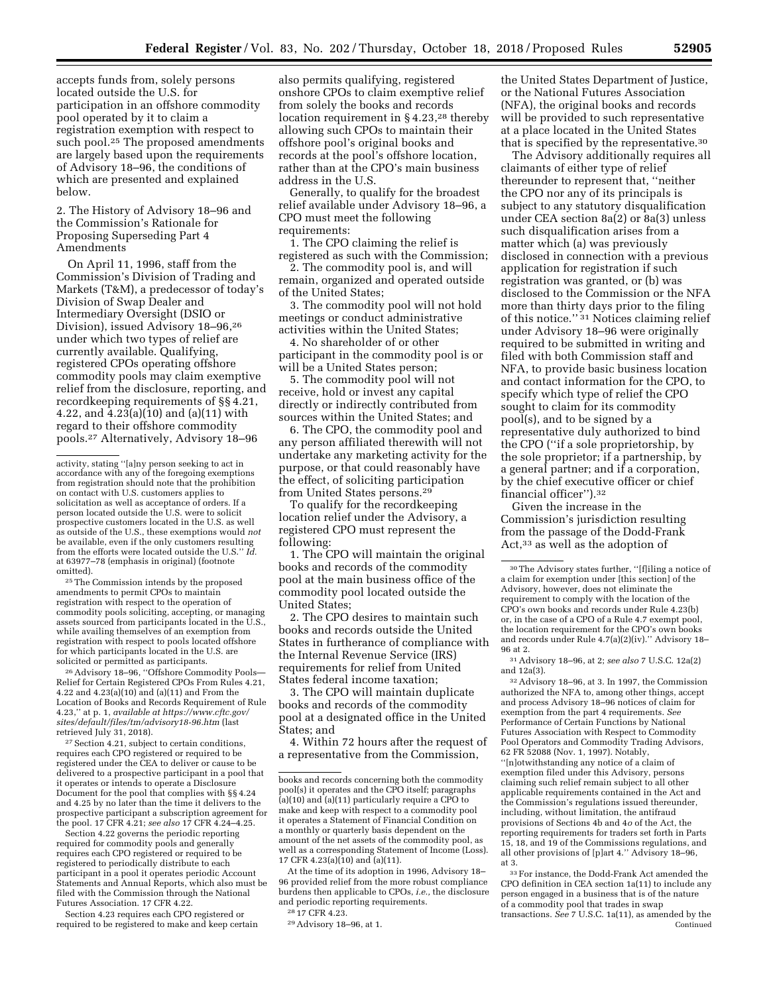accepts funds from, solely persons located outside the U.S. for participation in an offshore commodity pool operated by it to claim a registration exemption with respect to such pool.<sup>25</sup> The proposed amendments are largely based upon the requirements of Advisory 18–96, the conditions of which are presented and explained below.

2. The History of Advisory 18–96 and the Commission's Rationale for Proposing Superseding Part 4 Amendments

On April 11, 1996, staff from the Commission's Division of Trading and Markets (T&M), a predecessor of today's Division of Swap Dealer and Intermediary Oversight (DSIO or Division), issued Advisory 18–96,26 under which two types of relief are currently available. Qualifying, registered CPOs operating offshore commodity pools may claim exemptive relief from the disclosure, reporting, and recordkeeping requirements of §§ 4.21, 4.22, and  $\overline{4.23(a)(10)}$  and  $\overline{(a)(11)}$  with regard to their offshore commodity pools.27 Alternatively, Advisory 18–96

25The Commission intends by the proposed amendments to permit CPOs to maintain registration with respect to the operation of commodity pools soliciting, accepting, or managing assets sourced from participants located in the U.S. while availing themselves of an exemption from registration with respect to pools located offshore for which participants located in the U.S. are solicited or permitted as participants.

26Advisory 18–96, ''Offshore Commodity Pools— Relief for Certain Registered CPOs From Rules 4.21, 4.22 and 4.23(a)(10) and (a)(11) and From the Location of Books and Records Requirement of Rule 4.23,'' at p. 1, *available at [https://www.cftc.gov/](https://www.cftc.gov/sites/default/files/tm/advisory18-96.htm) [sites/default/files/tm/advisory18-96.htm](https://www.cftc.gov/sites/default/files/tm/advisory18-96.htm)* (last retrieved July 31, 2018).

27Section 4.21, subject to certain conditions, requires each CPO registered or required to be registered under the CEA to deliver or cause to be delivered to a prospective participant in a pool that it operates or intends to operate a Disclosure Document for the pool that complies with §§ 4.24 and 4.25 by no later than the time it delivers to the prospective participant a subscription agreement for the pool. 17 CFR 4.21; *see also* 17 CFR 4.24–4.25.

Section 4.22 governs the periodic reporting required for commodity pools and generally requires each CPO registered or required to be registered to periodically distribute to each participant in a pool it operates periodic Account Statements and Annual Reports, which also must be filed with the Commission through the National Futures Association. 17 CFR 4.22.

Section 4.23 requires each CPO registered or required to be registered to make and keep certain

also permits qualifying, registered onshore CPOs to claim exemptive relief from solely the books and records location requirement in  $\S 4.23$ <sup>28</sup> thereby allowing such CPOs to maintain their offshore pool's original books and records at the pool's offshore location, rather than at the CPO's main business address in the U.S.

Generally, to qualify for the broadest relief available under Advisory 18–96, a CPO must meet the following requirements:

1. The CPO claiming the relief is registered as such with the Commission;

2. The commodity pool is, and will remain, organized and operated outside of the United States;

3. The commodity pool will not hold meetings or conduct administrative activities within the United States;

4. No shareholder of or other participant in the commodity pool is or will be a United States person;

5. The commodity pool will not receive, hold or invest any capital directly or indirectly contributed from sources within the United States; and

6. The CPO, the commodity pool and any person affiliated therewith will not undertake any marketing activity for the purpose, or that could reasonably have the effect, of soliciting participation from United States persons.29

To qualify for the recordkeeping location relief under the Advisory, a registered CPO must represent the following:

1. The CPO will maintain the original books and records of the commodity pool at the main business office of the commodity pool located outside the United States;

2. The CPO desires to maintain such books and records outside the United States in furtherance of compliance with the Internal Revenue Service (IRS) requirements for relief from United States federal income taxation;

3. The CPO will maintain duplicate books and records of the commodity pool at a designated office in the United States; and

4. Within 72 hours after the request of a representative from the Commission,

At the time of its adoption in 1996, Advisory 18– 96 provided relief from the more robust compliance burdens then applicable to CPOs, *i.e.,* the disclosure and periodic reporting requirements.

the United States Department of Justice, or the National Futures Association (NFA), the original books and records will be provided to such representative at a place located in the United States that is specified by the representative.30

The Advisory additionally requires all claimants of either type of relief thereunder to represent that, ''neither the CPO nor any of its principals is subject to any statutory disqualification under CEA section 8a(2) or 8a(3) unless such disqualification arises from a matter which (a) was previously disclosed in connection with a previous application for registration if such registration was granted, or (b) was disclosed to the Commission or the NFA more than thirty days prior to the filing of this notice.'' 31 Notices claiming relief under Advisory 18–96 were originally required to be submitted in writing and filed with both Commission staff and NFA, to provide basic business location and contact information for the CPO, to specify which type of relief the CPO sought to claim for its commodity pool(s), and to be signed by a representative duly authorized to bind the CPO (''if a sole proprietorship, by the sole proprietor; if a partnership, by a general partner; and if a corporation, by the chief executive officer or chief financial officer'').32

Given the increase in the Commission's jurisdiction resulting from the passage of the Dodd-Frank Act,33 as well as the adoption of

31Advisory 18–96, at 2; *see also* 7 U.S.C. 12a(2) and 12a(3).

32Advisory 18–96, at 3. In 1997, the Commission authorized the NFA to, among other things, accept and process Advisory 18–96 notices of claim for exemption from the part 4 requirements. *See*  Performance of Certain Functions by National Futures Association with Respect to Commodity Pool Operators and Commodity Trading Advisors, 62 FR 52088 (Nov. 1, 1997). Notably, ''[n]otwithstanding any notice of a claim of exemption filed under this Advisory, persons claiming such relief remain subject to all other applicable requirements contained in the Act and the Commission's regulations issued thereunder, including, without limitation, the antifraud provisions of Sections 4b and 4*o* of the Act, the reporting requirements for traders set forth in Parts 15, 18, and 19 of the Commissions regulations, and all other provisions of [p]art 4.'' Advisory 18–96, at 3.

33For instance, the Dodd-Frank Act amended the CPO definition in CEA section 1a(11) to include any person engaged in a business that is of the nature of a commodity pool that trades in swap transactions. *See* 7 U.S.C. 1a(11), as amended by the Continued

activity, stating ''[a]ny person seeking to act in accordance with any of the foregoing exemptions from registration should note that the prohibition on contact with U.S. customers applies to solicitation as well as acceptance of orders. If a person located outside the U.S. were to solicit prospective customers located in the U.S. as well as outside of the U.S., these exemptions would *not*  be available, even if the only customers resulting from the efforts were located outside the U.S.'' *Id.*  at 63977–78 (emphasis in original) (footnote omitted).

books and records concerning both the commodity pool(s) it operates and the CPO itself; paragraphs (a)(10) and (a)(11) particularly require a CPO to make and keep with respect to a commodity pool it operates a Statement of Financial Condition on a monthly or quarterly basis dependent on the amount of the net assets of the commodity pool, as well as a corresponding Statement of Income (Loss). 17 CFR 4.23(a) $(10)$  and  $(a)(11)$ .

<sup>28</sup> 17 CFR 4.23.

<sup>29</sup>Advisory 18–96, at 1.

<sup>30</sup>The Advisory states further, ''[f]iling a notice of a claim for exemption under [this section] of the Advisory, however, does not eliminate the requirement to comply with the location of the CPO's own books and records under Rule 4.23(b) or, in the case of a CPO of a Rule 4.7 exempt pool, the location requirement for the CPO's own books and records under Rule 4.7(a)(2)(iv).'' Advisory 18– 96 at 2.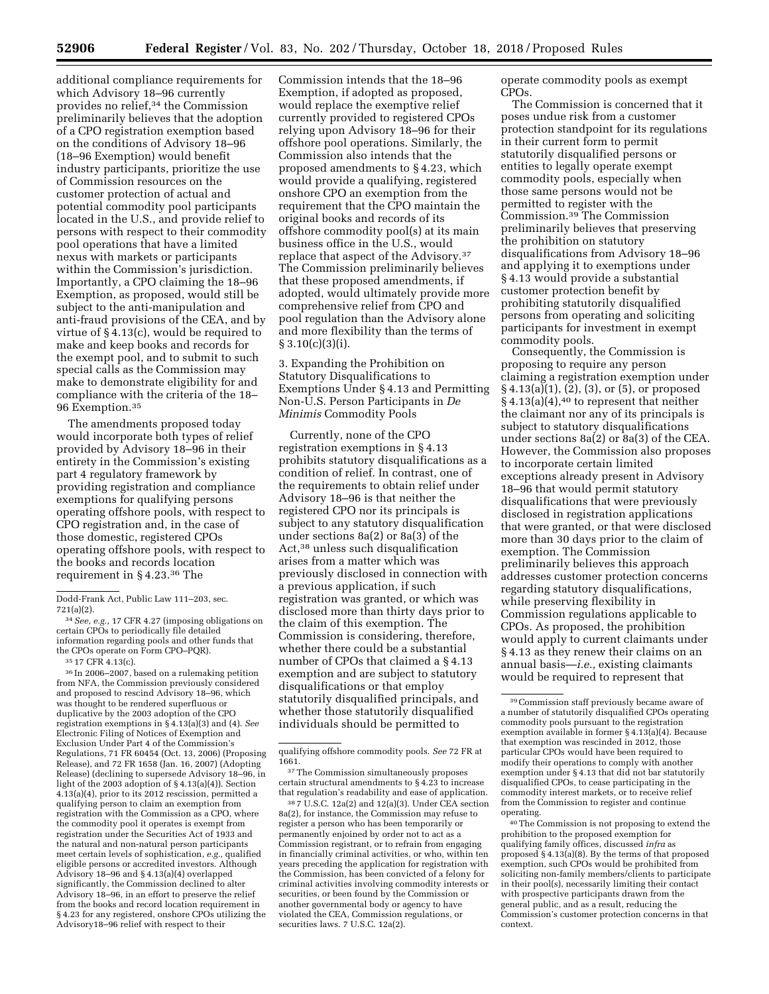additional compliance requirements for which Advisory 18–96 currently provides no relief,34 the Commission preliminarily believes that the adoption of a CPO registration exemption based on the conditions of Advisory 18–96 (18–96 Exemption) would benefit industry participants, prioritize the use of Commission resources on the customer protection of actual and potential commodity pool participants located in the U.S., and provide relief to persons with respect to their commodity pool operations that have a limited nexus with markets or participants within the Commission's jurisdiction. Importantly, a CPO claiming the 18–96 Exemption, as proposed, would still be subject to the anti-manipulation and anti-fraud provisions of the CEA, and by virtue of § 4.13(c), would be required to make and keep books and records for the exempt pool, and to submit to such special calls as the Commission may make to demonstrate eligibility for and compliance with the criteria of the 18– 96 Exemption.35

The amendments proposed today would incorporate both types of relief provided by Advisory 18–96 in their entirety in the Commission's existing part 4 regulatory framework by providing registration and compliance exemptions for qualifying persons operating offshore pools, with respect to CPO registration and, in the case of those domestic, registered CPOs operating offshore pools, with respect to the books and records location requirement in § 4.23.36 The

34*See, e.g.,* 17 CFR 4.27 (imposing obligations on certain CPOs to periodically file detailed information regarding pools and other funds that the CPOs operate on Form CPO–PQR).

36 In 2006–2007, based on a rulemaking petition from NFA, the Commission previously considered and proposed to rescind Advisory 18–96, which was thought to be rendered superfluous or duplicative by the 2003 adoption of the CPO registration exemptions in § 4.13(a)(3) and (4). *See*  Electronic Filing of Notices of Exemption and Exclusion Under Part 4 of the Commission's Regulations, 71 FR 60454 (Oct. 13, 2006) (Proposing Release), and 72 FR 1658 (Jan. 16, 2007) (Adopting Release) (declining to supersede Advisory 18–96, in light of the 2003 adoption of § 4.13(a)(4)). Section 4.13(a)(4), prior to its 2012 rescission, permitted a qualifying person to claim an exemption from registration with the Commission as a CPO, where the commodity pool it operates is exempt from registration under the Securities Act of 1933 and the natural and non-natural person participants meet certain levels of sophistication, *e.g.,* qualified eligible persons or accredited investors. Although Advisory 18–96 and § 4.13(a)(4) overlapped significantly, the Commission declined to alter Advisory 18–96, in an effort to preserve the relief from the books and record location requirement in § 4.23 for any registered, onshore CPOs utilizing the Advisory18–96 relief with respect to their

Commission intends that the 18–96 Exemption, if adopted as proposed, would replace the exemptive relief currently provided to registered CPOs relying upon Advisory 18–96 for their offshore pool operations. Similarly, the Commission also intends that the proposed amendments to § 4.23, which would provide a qualifying, registered onshore CPO an exemption from the requirement that the CPO maintain the original books and records of its offshore commodity pool(s) at its main business office in the U.S., would replace that aspect of the Advisory.37 The Commission preliminarily believes that these proposed amendments, if adopted, would ultimately provide more comprehensive relief from CPO and pool regulation than the Advisory alone and more flexibility than the terms of  $§ 3.10(c)(3)(i).$ 

3. Expanding the Prohibition on Statutory Disqualifications to Exemptions Under § 4.13 and Permitting Non-U.S. Person Participants in *De Minimis* Commodity Pools

Currently, none of the CPO registration exemptions in § 4.13 prohibits statutory disqualifications as a condition of relief. In contrast, one of the requirements to obtain relief under Advisory 18–96 is that neither the registered CPO nor its principals is subject to any statutory disqualification under sections 8a(2) or 8a(3) of the Act,38 unless such disqualification arises from a matter which was previously disclosed in connection with a previous application, if such registration was granted, or which was disclosed more than thirty days prior to the claim of this exemption. The Commission is considering, therefore, whether there could be a substantial number of CPOs that claimed a § 4.13 exemption and are subject to statutory disqualifications or that employ statutorily disqualified principals, and whether those statutorily disqualified individuals should be permitted to

<sup>37</sup>The Commission simultaneously proposes certain structural amendments to § 4.23 to increase that regulation's readability and ease of application.

38 7 U.S.C. 12a(2) and 12(a)(3). Under CEA section 8a(2), for instance, the Commission may refuse to register a person who has been temporarily or permanently enjoined by order not to act as a Commission registrant, or to refrain from engaging in financially criminal activities, or who, within ten years preceding the application for registration with the Commission, has been convicted of a felony for criminal activities involving commodity interests or securities, or been found by the Commission or another governmental body or agency to have violated the CEA, Commission regulations, or securities laws. 7 U.S.C. 12a(2).

operate commodity pools as exempt CPOs.

The Commission is concerned that it poses undue risk from a customer protection standpoint for its regulations in their current form to permit statutorily disqualified persons or entities to legally operate exempt commodity pools, especially when those same persons would not be permitted to register with the Commission.39 The Commission preliminarily believes that preserving the prohibition on statutory disqualifications from Advisory 18–96 and applying it to exemptions under § 4.13 would provide a substantial customer protection benefit by prohibiting statutorily disqualified persons from operating and soliciting participants for investment in exempt commodity pools.

Consequently, the Commission is proposing to require any person claiming a registration exemption under § 4.13(a)(1), (2), (3), or (5), or proposed  $§$  4.13(a)(4),<sup>40</sup> to represent that neither the claimant nor any of its principals is subject to statutory disqualifications under sections 8a(2) or 8a(3) of the CEA. However, the Commission also proposes to incorporate certain limited exceptions already present in Advisory 18–96 that would permit statutory disqualifications that were previously disclosed in registration applications that were granted, or that were disclosed more than 30 days prior to the claim of exemption. The Commission preliminarily believes this approach addresses customer protection concerns regarding statutory disqualifications, while preserving flexibility in Commission regulations applicable to CPOs. As proposed, the prohibition would apply to current claimants under § 4.13 as they renew their claims on an annual basis—*i.e.,* existing claimants would be required to represent that

40The Commission is not proposing to extend the prohibition to the proposed exemption for qualifying family offices, discussed *infra* as proposed § 4.13(a)(8). By the terms of that proposed exemption, such CPOs would be prohibited from soliciting non-family members/clients to participate in their pool(s), necessarily limiting their contact with prospective participants drawn from the general public, and as a result, reducing the Commission's customer protection concerns in that context.

Dodd-Frank Act, Public Law 111–203, sec. 721(a)(2).

<sup>35</sup> 17 CFR 4.13(c).

qualifying offshore commodity pools. *See* 72 FR at 1661.

<sup>39</sup>Commission staff previously became aware of a number of statutorily disqualified CPOs operating commodity pools pursuant to the registration exemption available in former § 4.13(a)(4). Because that exemption was rescinded in 2012, those particular CPOs would have been required to modify their operations to comply with another exemption under § 4.13 that did not bar statutorily disqualified CPOs, to cease participating in the commodity interest markets, or to receive relief from the Commission to register and continue operating.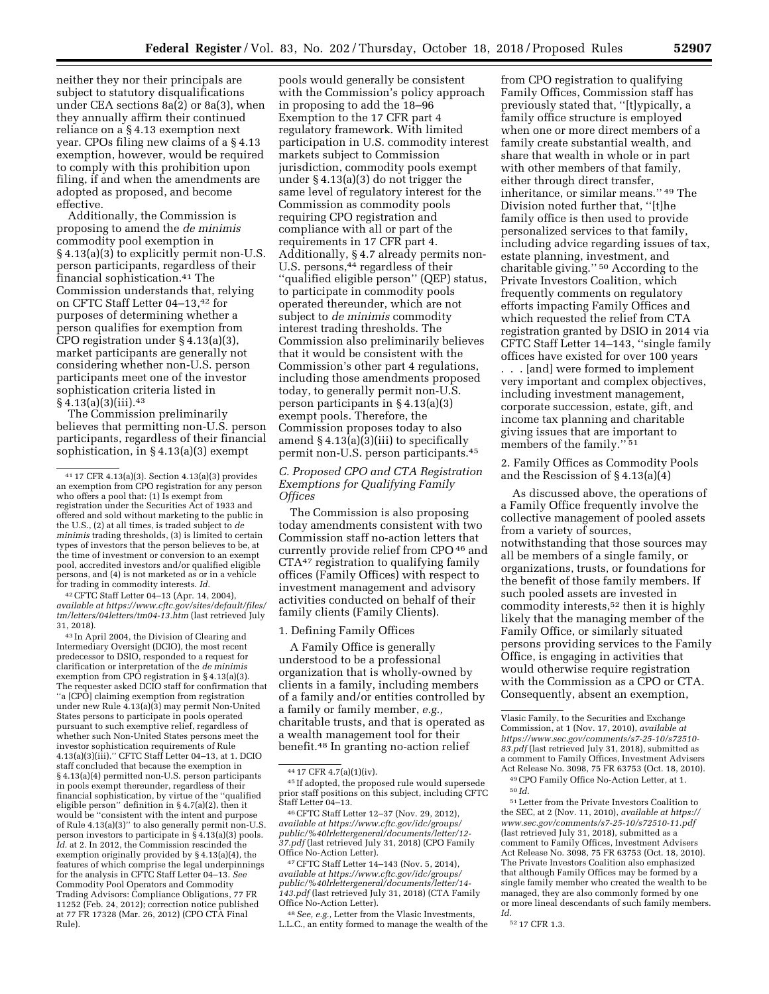neither they nor their principals are subject to statutory disqualifications under CEA sections 8a(2) or 8a(3), when they annually affirm their continued reliance on a § 4.13 exemption next year. CPOs filing new claims of a § 4.13 exemption, however, would be required to comply with this prohibition upon filing, if and when the amendments are adopted as proposed, and become effective.

Additionally, the Commission is proposing to amend the *de minimis*  commodity pool exemption in § 4.13(a)(3) to explicitly permit non-U.S. person participants, regardless of their financial sophistication.41 The Commission understands that, relying on CFTC Staff Letter 04–13,42 for purposes of determining whether a person qualifies for exemption from CPO registration under § 4.13(a)(3), market participants are generally not considering whether non-U.S. person participants meet one of the investor sophistication criteria listed in § 4.13(a)(3)(iii).43

The Commission preliminarily believes that permitting non-U.S. person participants, regardless of their financial sophistication, in § 4.13(a)(3) exempt

42CFTC Staff Letter 04–13 (Apr. 14, 2004), *available at [https://www.cftc.gov/sites/default/files/](https://www.cftc.gov/sites/default/files/tm/letters/04letters/tm04-13.htm)  [tm/letters/04letters/tm04-13.htm](https://www.cftc.gov/sites/default/files/tm/letters/04letters/tm04-13.htm)* (last retrieved July 31, 2018).

43 In April 2004, the Division of Clearing and Intermediary Oversight (DCIO), the most recent predecessor to DSIO, responded to a request for clarification or interpretation of the *de minimis*  exemption from CPO registration in  $\S 4.13(a)(3)$ . The requester asked DCIO staff for confirmation that ''a [CPO] claiming exemption from registration under new Rule 4.13(a)(3) may permit Non-United States persons to participate in pools operated pursuant to such exemptive relief, regardless of whether such Non-United States persons meet the investor sophistication requirements of Rule  $4.13(a)(3)(iii)$ ." CFTC Staff Letter 04–13, at 1. DCIO staff concluded that because the exemption in § 4.13(a)(4) permitted non-U.S. person participants in pools exempt thereunder, regardless of their financial sophistication, by virtue of the ''qualified eligible person" definition in  $\S$ 4.7(a)(2), then it would be ''consistent with the intent and purpose of Rule 4.13(a)(3)'' to also generally permit non-U.S. person investors to participate in  $\S$  4.13(a)(3) pools. *Id.* at 2. In 2012, the Commission rescinded the exemption originally provided by § 4.13(a)(4), the features of which comprise the legal underpinnings for the analysis in CFTC Staff Letter 04–13. *See*  Commodity Pool Operators and Commodity Trading Advisors: Compliance Obligations, 77 FR 11252 (Feb. 24, 2012); correction notice published at 77 FR 17328 (Mar. 26, 2012) (CPO CTA Final Rule).

pools would generally be consistent with the Commission's policy approach in proposing to add the 18–96 Exemption to the 17 CFR part 4 regulatory framework. With limited participation in U.S. commodity interest markets subject to Commission jurisdiction, commodity pools exempt under § 4.13(a)(3) do not trigger the same level of regulatory interest for the Commission as commodity pools requiring CPO registration and compliance with all or part of the requirements in 17 CFR part 4. Additionally, § 4.7 already permits non-U.S. persons,<sup>44</sup> regardless of their ''qualified eligible person'' (QEP) status, to participate in commodity pools operated thereunder, which are not subject to *de minimis* commodity interest trading thresholds. The Commission also preliminarily believes that it would be consistent with the Commission's other part 4 regulations, including those amendments proposed today, to generally permit non-U.S. person participants in § 4.13(a)(3) exempt pools. Therefore, the Commission proposes today to also amend  $\S 4.13(a)(3)(iii)$  to specifically permit non-U.S. person participants.45

# *C. Proposed CPO and CTA Registration Exemptions for Qualifying Family Offices*

The Commission is also proposing today amendments consistent with two Commission staff no-action letters that currently provide relief from CPO 46 and CTA47 registration to qualifying family offices (Family Offices) with respect to investment management and advisory activities conducted on behalf of their family clients (Family Clients).

### 1. Defining Family Offices

A Family Office is generally understood to be a professional organization that is wholly-owned by clients in a family, including members of a family and/or entities controlled by a family or family member, *e.g.,*  charitable trusts, and that is operated as a wealth management tool for their benefit.48 In granting no-action relief

*available at [https://www.cftc.gov/idc/groups/](https://www.cftc.gov/idc/groups/public/%40lrlettergeneral/documents/letter/12-37.pdf)  [public/%40lrlettergeneral/documents/letter/12-](https://www.cftc.gov/idc/groups/public/%40lrlettergeneral/documents/letter/12-37.pdf) [37.pdf](https://www.cftc.gov/idc/groups/public/%40lrlettergeneral/documents/letter/12-37.pdf)* (last retrieved July 31, 2018) (CPO Family

47 CFTC Staff Letter 14–143 (Nov. 5, 2014), *available at [https://www.cftc.gov/idc/groups/](https://www.cftc.gov/idc/groups/public/%40lrlettergeneral/documents/letter/14-143.pdf)  [public/%40lrlettergeneral/documents/letter/14-](https://www.cftc.gov/idc/groups/public/%40lrlettergeneral/documents/letter/14-143.pdf) [143.pdf](https://www.cftc.gov/idc/groups/public/%40lrlettergeneral/documents/letter/14-143.pdf)* (last retrieved July 31, 2018) (CTA Family Office No-Action Letter).

48*See, e.g.,* Letter from the Vlasic Investments, L.L.C., an entity formed to manage the wealth of the

from CPO registration to qualifying Family Offices, Commission staff has previously stated that, ''[t]ypically, a family office structure is employed when one or more direct members of a family create substantial wealth, and share that wealth in whole or in part with other members of that family, either through direct transfer, inheritance, or similar means.'' 49 The Division noted further that, ''[t]he family office is then used to provide personalized services to that family, including advice regarding issues of tax, estate planning, investment, and charitable giving.'' 50 According to the Private Investors Coalition, which frequently comments on regulatory efforts impacting Family Offices and which requested the relief from CTA registration granted by DSIO in 2014 via CFTC Staff Letter 14–143, ''single family offices have existed for over 100 years

. . . [and] were formed to implement very important and complex objectives, including investment management, corporate succession, estate, gift, and income tax planning and charitable giving issues that are important to members of the family."<sup>51</sup>

2. Family Offices as Commodity Pools and the Rescission of § 4.13(a)(4)

As discussed above, the operations of a Family Office frequently involve the collective management of pooled assets from a variety of sources, notwithstanding that those sources may all be members of a single family, or organizations, trusts, or foundations for the benefit of those family members. If such pooled assets are invested in commodity interests,52 then it is highly likely that the managing member of the Family Office, or similarly situated persons providing services to the Family Office, is engaging in activities that would otherwise require registration with the Commission as a CPO or CTA. Consequently, absent an exemption,

49CPO Family Office No-Action Letter, at 1. 50 *Id.* 

51Letter from the Private Investors Coalition to the SEC, at 2 (Nov. 11, 2010), *available at [https://](https://www.sec.gov/comments/s7-25-10/s72510-11.pdf)  [www.sec.gov/comments/s7-25-10/s72510-11.pdf](https://www.sec.gov/comments/s7-25-10/s72510-11.pdf)*  (last retrieved July 31, 2018), submitted as a comment to Family Offices, Investment Advisers Act Release No. 3098, 75 FR 63753 (Oct. 18, 2010). The Private Investors Coalition also emphasized that although Family Offices may be formed by a single family member who created the wealth to be managed, they are also commonly formed by one or more lineal descendants of such family members. *Id.* 

52 17 CFR 1.3.

<sup>41</sup> 17 CFR 4.13(a)(3). Section 4.13(a)(3) provides an exemption from CPO registration for any person who offers a pool that: (1) Is exempt from registration under the Securities Act of 1933 and offered and sold without marketing to the public in the U.S., (2) at all times, is traded subject to *de minimis* trading thresholds, (3) is limited to certain types of investors that the person believes to be, at the time of investment or conversion to an exempt pool, accredited investors and/or qualified eligible persons, and (4) is not marketed as or in a vehicle for trading in commodity interests. *Id.* 

 $44$  17 CFR 4.7(a)(1)(iv).<br> $45$  If adopted, the proposed rule would supersede prior staff positions on this subject, including CFTC Staff Letter 04–13. 46CFTC Staff Letter 12–37 (Nov. 29, 2012),

Vlasic Family, to the Securities and Exchange Commission, at 1 (Nov. 17, 2010), *available at [https://www.sec.gov/comments/s7-25-10/s72510-](https://www.sec.gov/comments/s7-25-10/s72510-83.pdf) [83.pdf](https://www.sec.gov/comments/s7-25-10/s72510-83.pdf)* (last retrieved July 31, 2018), submitted as a comment to Family Offices, Investment Advisers Act Release No. 3098, 75 FR 63753 (Oct. 18, 2010).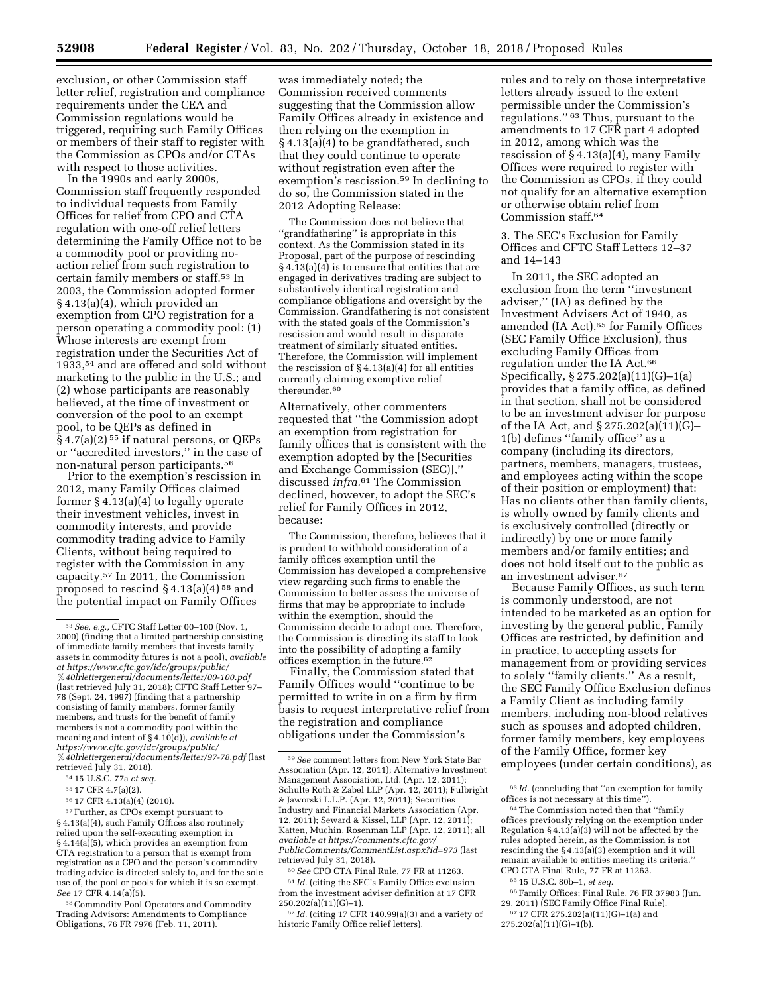exclusion, or other Commission staff letter relief, registration and compliance requirements under the CEA and Commission regulations would be triggered, requiring such Family Offices or members of their staff to register with the Commission as CPOs and/or CTAs with respect to those activities.

In the 1990s and early 2000s, Commission staff frequently responded to individual requests from Family Offices for relief from CPO and CTA regulation with one-off relief letters determining the Family Office not to be a commodity pool or providing noaction relief from such registration to certain family members or staff.53 In 2003, the Commission adopted former § 4.13(a)(4), which provided an exemption from CPO registration for a person operating a commodity pool: (1) Whose interests are exempt from registration under the Securities Act of 1933,54 and are offered and sold without marketing to the public in the U.S.; and (2) whose participants are reasonably believed, at the time of investment or conversion of the pool to an exempt pool, to be QEPs as defined in § 4.7(a)(2)<sup>55</sup> if natural persons, or QEPs or ''accredited investors,'' in the case of non-natural person participants.56

Prior to the exemption's rescission in 2012, many Family Offices claimed former § 4.13(a)(4) to legally operate their investment vehicles, invest in commodity interests, and provide commodity trading advice to Family Clients, without being required to register with the Commission in any capacity.57 In 2011, the Commission proposed to rescind  $\S 4.13(a)(4)$ <sup>58</sup> and the potential impact on Family Offices

 $^{57}\rm{Further,}$  as CPOs exempt pursuant to § 4.13(a)(4), such Family Offices also routinely relied upon the self-executing exemption in § 4.14(a)(5), which provides an exemption from CTA registration to a person that is exempt from registration as a CPO and the person's commodity trading advice is directed solely to, and for the sole use of, the pool or pools for which it is so exempt. *See* 17 CFR 4.14(a)(5).

58Commodity Pool Operators and Commodity Trading Advisors: Amendments to Compliance Obligations, 76 FR 7976 (Feb. 11, 2011).

was immediately noted; the Commission received comments suggesting that the Commission allow Family Offices already in existence and then relying on the exemption in § 4.13(a)(4) to be grandfathered, such that they could continue to operate without registration even after the exemption's rescission.59 In declining to do so, the Commission stated in the 2012 Adopting Release:

The Commission does not believe that ''grandfathering'' is appropriate in this context. As the Commission stated in its Proposal, part of the purpose of rescinding § 4.13(a)(4) is to ensure that entities that are engaged in derivatives trading are subject to substantively identical registration and compliance obligations and oversight by the Commission. Grandfathering is not consistent with the stated goals of the Commission's rescission and would result in disparate treatment of similarly situated entities. Therefore, the Commission will implement the rescission of  $\S 4.13(a)(4)$  for all entities currently claiming exemptive relief thereunder.<sup>60</sup>

Alternatively, other commenters requested that ''the Commission adopt an exemption from registration for family offices that is consistent with the exemption adopted by the [Securities and Exchange Commission (SEC)],'' discussed *infra.*61 The Commission declined, however, to adopt the SEC's relief for Family Offices in 2012, because:

The Commission, therefore, believes that it is prudent to withhold consideration of a family offices exemption until the Commission has developed a comprehensive view regarding such firms to enable the Commission to better assess the universe of firms that may be appropriate to include within the exemption, should the Commission decide to adopt one. Therefore, the Commission is directing its staff to look into the possibility of adopting a family offices exemption in the future.62

Finally, the Commission stated that Family Offices would ''continue to be permitted to write in on a firm by firm basis to request interpretative relief from the registration and compliance obligations under the Commission's

rules and to rely on those interpretative letters already issued to the extent permissible under the Commission's regulations.'' 63 Thus, pursuant to the amendments to 17 CFR part 4 adopted in 2012, among which was the rescission of § 4.13(a)(4), many Family Offices were required to register with the Commission as CPOs, if they could not qualify for an alternative exemption or otherwise obtain relief from Commission staff.64

3. The SEC's Exclusion for Family Offices and CFTC Staff Letters 12–37 and 14–143

In 2011, the SEC adopted an exclusion from the term ''investment adviser,'' (IA) as defined by the Investment Advisers Act of 1940, as amended (IA Act),<sup>65</sup> for Family Offices (SEC Family Office Exclusion), thus excluding Family Offices from regulation under the IA Act.66 Specifically, § 275.202(a)(11)(G)–1(a) provides that a family office, as defined in that section, shall not be considered to be an investment adviser for purpose of the IA Act, and § 275.202(a)(11)(G)– 1(b) defines ''family office'' as a company (including its directors, partners, members, managers, trustees, and employees acting within the scope of their position or employment) that: Has no clients other than family clients, is wholly owned by family clients and is exclusively controlled (directly or indirectly) by one or more family members and/or family entities; and does not hold itself out to the public as an investment adviser.67

Because Family Offices, as such term is commonly understood, are not intended to be marketed as an option for investing by the general public, Family Offices are restricted, by definition and in practice, to accepting assets for management from or providing services to solely ''family clients.'' As a result, the SEC Family Office Exclusion defines a Family Client as including family members, including non-blood relatives such as spouses and adopted children, former family members, key employees of the Family Office, former key employees (under certain conditions), as

<sup>53</sup>*See, e.g.,* CFTC Staff Letter 00–100 (Nov. 1, 2000) (finding that a limited partnership consisting of immediate family members that invests family assets in commodity futures is not a pool), *available at [https://www.cftc.gov/idc/groups/public/](https://www.cftc.gov/idc/groups/public/%40lrlettergeneral/documents/letter/00-100.pdf) [%40lrlettergeneral/documents/letter/00-100.pdf](https://www.cftc.gov/idc/groups/public/%40lrlettergeneral/documents/letter/00-100.pdf)*  (last retrieved July 31, 2018); CFTC Staff Letter 97– 78 (Sept. 24, 1997) (finding that a partnership consisting of family members, former family members, and trusts for the benefit of family members is not a commodity pool within the meaning and intent of § 4.10(d)), *available at [https://www.cftc.gov/idc/groups/public/](https://www.cftc.gov/idc/groups/public/%40lrlettergeneral/documents/letter/97-78.pdf) [%40lrlettergeneral/documents/letter/97-78.pdf](https://www.cftc.gov/idc/groups/public/%40lrlettergeneral/documents/letter/97-78.pdf)* (last retrieved July 31, 2018).

<sup>54</sup> 15 U.S.C. 77a *et seq.* 

<sup>55</sup> 17 CFR 4.7(a)(2).

<sup>56</sup> 17 CFR 4.13(a)(4) (2010).

<sup>59</sup>*See* comment letters from New York State Bar Association (Apr. 12, 2011); Alternative Investment Management Association, Ltd. (Apr. 12, 2011); Schulte Roth & Zabel LLP (Apr. 12, 2011); Fulbright & Jaworski L.L.P. (Apr. 12, 2011); Securities Industry and Financial Markets Association (Apr. 12, 2011); Seward & Kissel, LLP (Apr. 12, 2011); Katten, Muchin, Rosenman LLP (Apr. 12, 2011); all *available at [https://comments.cftc.gov/](https://comments.cftc.gov/PublicComments/CommentList.aspx?id=973) [PublicComments/CommentList.aspx?id=973](https://comments.cftc.gov/PublicComments/CommentList.aspx?id=973)* (last retrieved July 31, 2018).

<sup>60</sup>*See* CPO CTA Final Rule, 77 FR at 11263. 61 *Id.* (citing the SEC's Family Office exclusion from the investment adviser definition at 17 CFR 250.202(a)(11)(G)–1).

<sup>62</sup> *Id.* (citing 17 CFR 140.99(a)(3) and a variety of historic Family Office relief letters).

<sup>63</sup> *Id.* (concluding that ''an exemption for family offices is not necessary at this time'').

<sup>64</sup>The Commission noted then that ''family offices previously relying on the exemption under Regulation § 4.13(a)(3) will not be affected by the rules adopted herein, as the Commission is not rescinding the § 4.13(a)(3) exemption and it will remain available to entities meeting its criteria.'' CPO CTA Final Rule, 77 FR at 11263.

<sup>65</sup> 15 U.S.C. 80b–1, *et seq.* 

<sup>66</sup>Family Offices; Final Rule, 76 FR 37983 (Jun. 29, 2011) (SEC Family Office Final Rule).

<sup>67</sup> 17 CFR 275.202(a)(11)(G)–1(a) and

<sup>275.202(</sup>a)(11)(G)–1(b).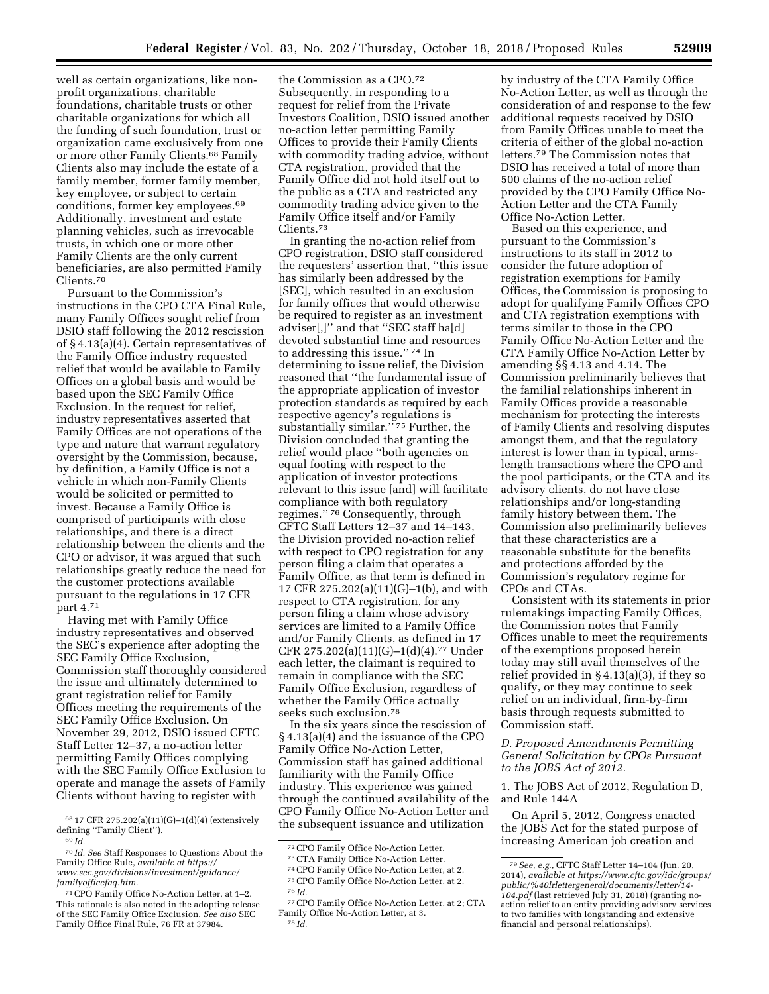well as certain organizations, like nonprofit organizations, charitable foundations, charitable trusts or other charitable organizations for which all the funding of such foundation, trust or organization came exclusively from one or more other Family Clients.68 Family Clients also may include the estate of a family member, former family member, key employee, or subject to certain conditions, former key employees.69 Additionally, investment and estate planning vehicles, such as irrevocable trusts, in which one or more other Family Clients are the only current beneficiaries, are also permitted Family Clients.70

Pursuant to the Commission's instructions in the CPO CTA Final Rule, many Family Offices sought relief from DSIO staff following the 2012 rescission of § 4.13(a)(4). Certain representatives of the Family Office industry requested relief that would be available to Family Offices on a global basis and would be based upon the SEC Family Office Exclusion. In the request for relief, industry representatives asserted that Family Offices are not operations of the type and nature that warrant regulatory oversight by the Commission, because, by definition, a Family Office is not a vehicle in which non-Family Clients would be solicited or permitted to invest. Because a Family Office is comprised of participants with close relationships, and there is a direct relationship between the clients and the CPO or advisor, it was argued that such relationships greatly reduce the need for the customer protections available pursuant to the regulations in 17 CFR part 4.71

Having met with Family Office industry representatives and observed the SEC's experience after adopting the SEC Family Office Exclusion, Commission staff thoroughly considered the issue and ultimately determined to grant registration relief for Family Offices meeting the requirements of the SEC Family Office Exclusion. On November 29, 2012, DSIO issued CFTC Staff Letter 12–37, a no-action letter permitting Family Offices complying with the SEC Family Office Exclusion to operate and manage the assets of Family Clients without having to register with

the Commission as a CPO.72 Subsequently, in responding to a request for relief from the Private Investors Coalition, DSIO issued another no-action letter permitting Family Offices to provide their Family Clients with commodity trading advice, without CTA registration, provided that the Family Office did not hold itself out to the public as a CTA and restricted any commodity trading advice given to the Family Office itself and/or Family Clients.73

In granting the no-action relief from CPO registration, DSIO staff considered the requesters' assertion that, ''this issue has similarly been addressed by the [SEC], which resulted in an exclusion for family offices that would otherwise be required to register as an investment adviser[,]'' and that ''SEC staff ha[d] devoted substantial time and resources to addressing this issue.'' 74 In determining to issue relief, the Division reasoned that ''the fundamental issue of the appropriate application of investor protection standards as required by each respective agency's regulations is substantially similar."<sup>75</sup> Further, the Division concluded that granting the relief would place ''both agencies on equal footing with respect to the application of investor protections relevant to this issue [and] will facilitate compliance with both regulatory regimes.'' 76 Consequently, through CFTC Staff Letters 12–37 and 14–143, the Division provided no-action relief with respect to CPO registration for any person filing a claim that operates a Family Office, as that term is defined in 17 CFR 275.202(a)(11)(G)–1(b), and with respect to CTA registration, for any person filing a claim whose advisory services are limited to a Family Office and/or Family Clients, as defined in 17 CFR 275.202(a)(11)(G)–1(d)(4).77 Under each letter, the claimant is required to remain in compliance with the SEC Family Office Exclusion, regardless of whether the Family Office actually seeks such exclusion.78

In the six years since the rescission of § 4.13(a)(4) and the issuance of the CPO Family Office No-Action Letter, Commission staff has gained additional familiarity with the Family Office industry. This experience was gained through the continued availability of the CPO Family Office No-Action Letter and the subsequent issuance and utilization

by industry of the CTA Family Office No-Action Letter, as well as through the consideration of and response to the few additional requests received by DSIO from Family Offices unable to meet the criteria of either of the global no-action letters.79 The Commission notes that DSIO has received a total of more than 500 claims of the no-action relief provided by the CPO Family Office No-Action Letter and the CTA Family Office No-Action Letter.

Based on this experience, and pursuant to the Commission's instructions to its staff in 2012 to consider the future adoption of registration exemptions for Family Offices, the Commission is proposing to adopt for qualifying Family Offices CPO and CTA registration exemptions with terms similar to those in the CPO Family Office No-Action Letter and the CTA Family Office No-Action Letter by amending §§ 4.13 and 4.14. The Commission preliminarily believes that the familial relationships inherent in Family Offices provide a reasonable mechanism for protecting the interests of Family Clients and resolving disputes amongst them, and that the regulatory interest is lower than in typical, armslength transactions where the CPO and the pool participants, or the CTA and its advisory clients, do not have close relationships and/or long-standing family history between them. The Commission also preliminarily believes that these characteristics are a reasonable substitute for the benefits and protections afforded by the Commission's regulatory regime for CPOs and CTAs.

Consistent with its statements in prior rulemakings impacting Family Offices, the Commission notes that Family Offices unable to meet the requirements of the exemptions proposed herein today may still avail themselves of the relief provided in  $\S 4.13(a)(3)$ , if they so qualify, or they may continue to seek relief on an individual, firm-by-firm basis through requests submitted to Commission staff.

# *D. Proposed Amendments Permitting General Solicitation by CPOs Pursuant to the JOBS Act of 2012.*

1. The JOBS Act of 2012, Regulation D, and Rule 144A

On April 5, 2012, Congress enacted the JOBS Act for the stated purpose of increasing American job creation and

<sup>68</sup> 17 CFR 275.202(a)(11)(G)–1(d)(4) (extensively defining ''Family Client'').

<sup>69</sup> *Id.* 

<sup>70</sup> *Id. See* Staff Responses to Questions About the Family Office Rule, *available at [https://](https://www.sec.gov/divisions/investment/guidance/familyofficefaq.htm) [www.sec.gov/divisions/investment/guidance/](https://www.sec.gov/divisions/investment/guidance/familyofficefaq.htm)  [familyofficefaq.htm.](https://www.sec.gov/divisions/investment/guidance/familyofficefaq.htm)* 

<sup>71</sup>CPO Family Office No-Action Letter, at 1–2. This rationale is also noted in the adopting release of the SEC Family Office Exclusion. *See also* SEC Family Office Final Rule, 76 FR at 37984.

<sup>72</sup>CPO Family Office No-Action Letter. 73CTA Family Office No-Action Letter. 74CPO Family Office No-Action Letter, at 2. 75CPO Family Office No-Action Letter, at 2. 76 *Id.* 

<sup>77</sup>CPO Family Office No-Action Letter, at 2; CTA Family Office No-Action Letter, at 3. 78 *Id.* 

<sup>79</sup>*See, e.g.,* CFTC Staff Letter 14–104 (Jun. 20, 2014), *available at [https://www.cftc.gov/idc/groups/](https://www.cftc.gov/idc/groups/public/%40lrlettergeneral/documents/letter/14-104.pdf) [public/%40lrlettergeneral/documents/letter/14-](https://www.cftc.gov/idc/groups/public/%40lrlettergeneral/documents/letter/14-104.pdf) [104.pdf](https://www.cftc.gov/idc/groups/public/%40lrlettergeneral/documents/letter/14-104.pdf)* (last retrieved July 31, 2018) (granting noaction relief to an entity providing advisory services to two families with longstanding and extensive financial and personal relationships).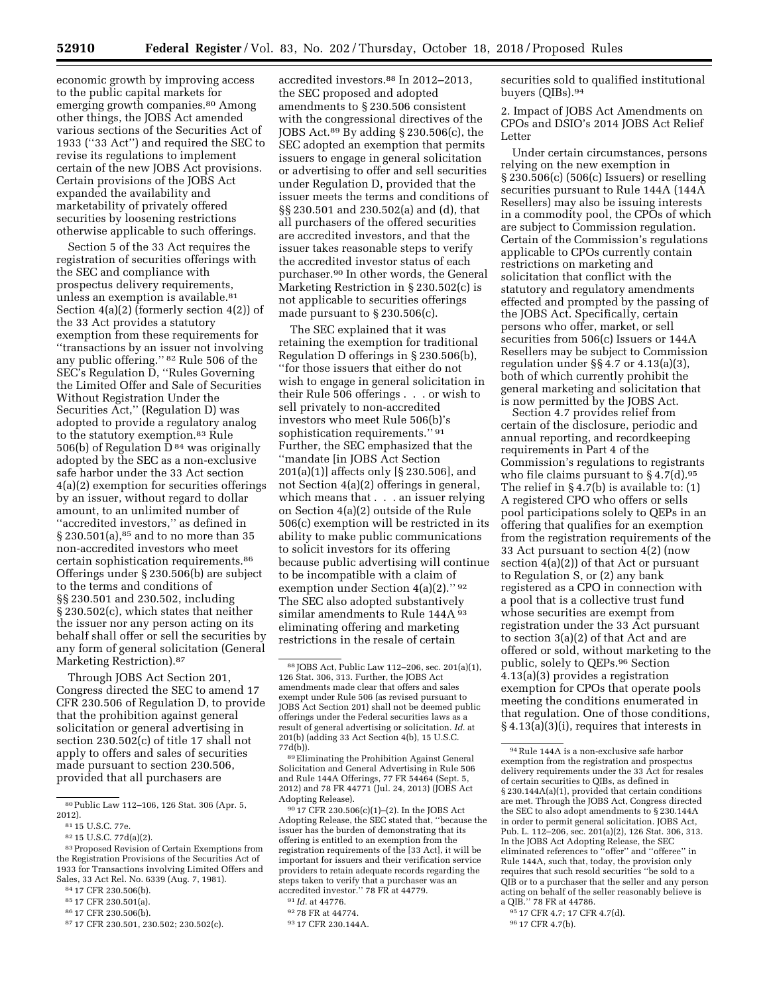economic growth by improving access to the public capital markets for emerging growth companies.80 Among other things, the JOBS Act amended various sections of the Securities Act of 1933 (''33 Act'') and required the SEC to revise its regulations to implement certain of the new JOBS Act provisions. Certain provisions of the JOBS Act expanded the availability and marketability of privately offered securities by loosening restrictions otherwise applicable to such offerings.

Section 5 of the 33 Act requires the registration of securities offerings with the SEC and compliance with prospectus delivery requirements, unless an exemption is available.<sup>81</sup> Section 4(a)(2) (formerly section 4(2)) of the 33 Act provides a statutory exemption from these requirements for ''transactions by an issuer not involving any public offering.'' 82 Rule 506 of the SEC's Regulation D, ''Rules Governing the Limited Offer and Sale of Securities Without Registration Under the Securities Act,'' (Regulation D) was adopted to provide a regulatory analog to the statutory exemption.<sup>83</sup> Rule 506(b) of Regulation  $\bar{D}^{84}$  was originally adopted by the SEC as a non-exclusive safe harbor under the 33 Act section 4(a)(2) exemption for securities offerings by an issuer, without regard to dollar amount, to an unlimited number of ''accredited investors,'' as defined in § 230.501(a),85 and to no more than 35 non-accredited investors who meet certain sophistication requirements.86 Offerings under § 230.506(b) are subject to the terms and conditions of §§ 230.501 and 230.502, including § 230.502(c), which states that neither the issuer nor any person acting on its behalf shall offer or sell the securities by any form of general solicitation (General Marketing Restriction).87

Through JOBS Act Section 201, Congress directed the SEC to amend 17 CFR 230.506 of Regulation D, to provide that the prohibition against general solicitation or general advertising in section 230.502(c) of title 17 shall not apply to offers and sales of securities made pursuant to section 230.506, provided that all purchasers are

accredited investors.88 In 2012–2013, the SEC proposed and adopted amendments to § 230.506 consistent with the congressional directives of the JOBS Act.89 By adding § 230.506(c), the SEC adopted an exemption that permits issuers to engage in general solicitation or advertising to offer and sell securities under Regulation D, provided that the issuer meets the terms and conditions of §§ 230.501 and 230.502(a) and (d), that all purchasers of the offered securities are accredited investors, and that the issuer takes reasonable steps to verify the accredited investor status of each purchaser.90 In other words, the General Marketing Restriction in § 230.502(c) is not applicable to securities offerings made pursuant to § 230.506(c).

The SEC explained that it was retaining the exemption for traditional Regulation D offerings in § 230.506(b), ''for those issuers that either do not wish to engage in general solicitation in their Rule 506 offerings . . . or wish to sell privately to non-accredited investors who meet Rule 506(b)'s sophistication requirements." 91 Further, the SEC emphasized that the ''mandate [in JOBS Act Section 201(a)(1)] affects only [§ 230.506], and not Section 4(a)(2) offerings in general, which means that . . . an issuer relying on Section 4(a)(2) outside of the Rule 506(c) exemption will be restricted in its ability to make public communications to solicit investors for its offering because public advertising will continue to be incompatible with a claim of exemption under Section 4(a)(2).'' 92 The SEC also adopted substantively similar amendments to Rule 144A 93 eliminating offering and marketing restrictions in the resale of certain

89Eliminating the Prohibition Against General Solicitation and General Advertising in Rule 506 and Rule 144A Offerings, 77 FR 54464 (Sept. 5, 2012) and 78 FR 44771 (Jul. 24, 2013) (JOBS Act Adopting Release).

90 17 CFR 230.506(c)(1)–(2). In the JOBS Act Adopting Release, the SEC stated that, ''because the issuer has the burden of demonstrating that its offering is entitled to an exemption from the registration requirements of the [33 Act], it will be important for issuers and their verification service providers to retain adequate records regarding the steps taken to verify that a purchaser was an accredited investor.'' 78 FR at 44779.

securities sold to qualified institutional buyers (QIBs).94

2. Impact of JOBS Act Amendments on CPOs and DSIO's 2014 JOBS Act Relief **Letter** 

Under certain circumstances, persons relying on the new exemption in § 230.506(c) (506(c) Issuers) or reselling securities pursuant to Rule 144A (144A Resellers) may also be issuing interests in a commodity pool, the CPOs of which are subject to Commission regulation. Certain of the Commission's regulations applicable to CPOs currently contain restrictions on marketing and solicitation that conflict with the statutory and regulatory amendments effected and prompted by the passing of the JOBS Act. Specifically, certain persons who offer, market, or sell securities from 506(c) Issuers or 144A Resellers may be subject to Commission regulation under §§ 4.7 or 4.13(a)(3), both of which currently prohibit the general marketing and solicitation that is now permitted by the JOBS Act.

Section 4.7 provides relief from certain of the disclosure, periodic and annual reporting, and recordkeeping requirements in Part 4 of the Commission's regulations to registrants who file claims pursuant to  $\S 4.7(d).$ <sup>95</sup> The relief in § 4.7(b) is available to: (1) A registered CPO who offers or sells pool participations solely to QEPs in an offering that qualifies for an exemption from the registration requirements of the 33 Act pursuant to section 4(2) (now section 4(a)(2)) of that Act or pursuant to Regulation S, or (2) any bank registered as a CPO in connection with a pool that is a collective trust fund whose securities are exempt from registration under the 33 Act pursuant to section 3(a)(2) of that Act and are offered or sold, without marketing to the public, solely to QEPs.96 Section 4.13(a)(3) provides a registration exemption for CPOs that operate pools meeting the conditions enumerated in that regulation. One of those conditions, § 4.13(a)(3)(i), requires that interests in

96 17 CFR 4.7(b).

<sup>80</sup>Public Law 112–106, 126 Stat. 306 (Apr. 5, 2012).

<sup>81</sup> 15 U.S.C. 77e.

<sup>82</sup> 15 U.S.C. 77d(a)(2).

<sup>83</sup>Proposed Revision of Certain Exemptions from the Registration Provisions of the Securities Act of 1933 for Transactions involving Limited Offers and Sales, 33 Act Rel. No. 6339 (Aug. 7, 1981).

<sup>84</sup> 17 CFR 230.506(b).

<sup>85</sup> 17 CFR 230.501(a).

<sup>86</sup> 17 CFR 230.506(b).

<sup>87</sup> 17 CFR 230.501, 230.502; 230.502(c).

<sup>88</sup> JOBS Act, Public Law 112–206, sec. 201(a)(1), 126 Stat. 306, 313. Further, the JOBS Act amendments made clear that offers and sales exempt under Rule 506 (as revised pursuant to JOBS Act Section 201) shall not be deemed public offerings under the Federal securities laws as a result of general advertising or solicitation. *Id.* at 201(b) (adding 33 Act Section 4(b), 15 U.S.C. 77d(b)).

<sup>91</sup> *Id.* at 44776.

<sup>92</sup> 78 FR at 44774.

<sup>93</sup> 17 CFR 230.144A.

<sup>94</sup>Rule 144A is a non-exclusive safe harbor exemption from the registration and prospectus delivery requirements under the 33 Act for resales of certain securities to QIBs, as defined in § 230.144A(a)(1), provided that certain conditions are met. Through the JOBS Act, Congress directed the SEC to also adopt amendments to § 230.144A in order to permit general solicitation. JOBS Act, Pub. L. 112–206, sec. 201(a)(2), 126 Stat. 306, 313. In the JOBS Act Adopting Release, the SEC eliminated references to ''offer'' and ''offeree'' in Rule 144A, such that, today, the provision only requires that such resold securities ''be sold to a QIB or to a purchaser that the seller and any person acting on behalf of the seller reasonably believe is a QIB.'' 78 FR at 44786.

<sup>95</sup> 17 CFR 4.7; 17 CFR 4.7(d).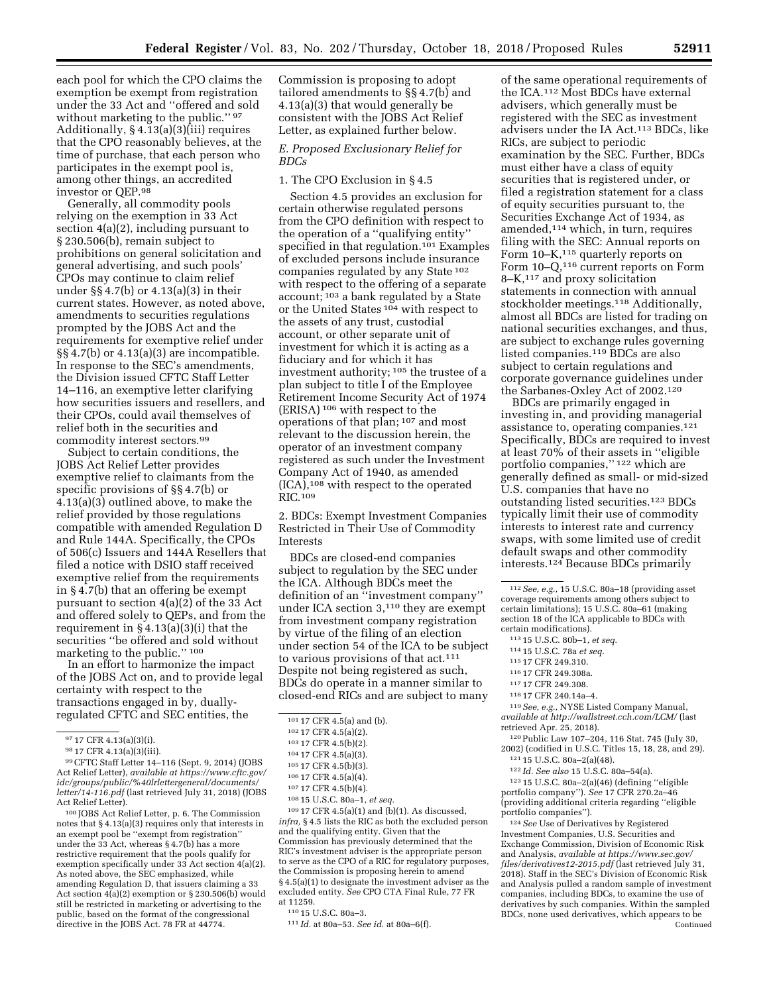Commission is proposing to adopt

under the 33 Act and ''offered and sold without marketing to the public." 97 Additionally, § 4.13(a)(3)(iii) requires that the CPO reasonably believes, at the time of purchase, that each person who participates in the exempt pool is, among other things, an accredited investor or QEP.98

each pool for which the CPO claims the exemption be exempt from registration

Generally, all commodity pools relying on the exemption in 33 Act section 4(a)(2), including pursuant to § 230.506(b), remain subject to prohibitions on general solicitation and general advertising, and such pools' CPOs may continue to claim relief under §§ 4.7(b) or 4.13(a)(3) in their current states. However, as noted above, amendments to securities regulations prompted by the JOBS Act and the requirements for exemptive relief under  $\S$ \$4.7(b) or 4.13(a)(3) are incompatible. In response to the SEC's amendments, the Division issued CFTC Staff Letter 14–116, an exemptive letter clarifying how securities issuers and resellers, and their CPOs, could avail themselves of relief both in the securities and commodity interest sectors.99

Subject to certain conditions, the JOBS Act Relief Letter provides exemptive relief to claimants from the specific provisions of §§ 4.7(b) or 4.13(a)(3) outlined above, to make the relief provided by those regulations compatible with amended Regulation D and Rule 144A. Specifically, the CPOs of 506(c) Issuers and 144A Resellers that filed a notice with DSIO staff received exemptive relief from the requirements in § 4.7(b) that an offering be exempt pursuant to section 4(a)(2) of the 33 Act and offered solely to QEPs, and from the requirement in § 4.13(a)(3)(i) that the securities ''be offered and sold without marketing to the public.'' 100

In an effort to harmonize the impact of the JOBS Act on, and to provide legal certainty with respect to the transactions engaged in by, duallyregulated CFTC and SEC entities, the

99CFTC Staff Letter 14–116 (Sept. 9, 2014) (JOBS Act Relief Letter), *available at [https://www.cftc.gov/](https://www.cftc.gov/idc/groups/public/%40lrlettergeneral/documents/letter/14-116.pdf) [idc/groups/public/%40lrlettergeneral/documents/](https://www.cftc.gov/idc/groups/public/%40lrlettergeneral/documents/letter/14-116.pdf) [letter/14-116.pdf](https://www.cftc.gov/idc/groups/public/%40lrlettergeneral/documents/letter/14-116.pdf)* (last retrieved July 31, 2018) (JOBS Act Relief Letter).

100 JOBS Act Relief Letter, p. 6. The Commission notes that § 4.13(a)(3) requires only that interests in an exempt pool be ''exempt from registration'' under the 33 Act, whereas § 4.7(b) has a more restrictive requirement that the pools qualify for exemption specifically under 33 Act section 4(a)(2). As noted above, the SEC emphasized, while amending Regulation D, that issuers claiming a 33 Act section 4(a)(2) exemption or § 230.506(b) would still be restricted in marketing or advertising to the public, based on the format of the congressional directive in the JOBS Act. 78 FR at 44774.

tailored amendments to §§ 4.7(b) and 4.13(a)(3) that would generally be consistent with the JOBS Act Relief Letter, as explained further below.

### *E. Proposed Exclusionary Relief for BDCs*

1. The CPO Exclusion in § 4.5

Section 4.5 provides an exclusion for certain otherwise regulated persons from the CPO definition with respect to the operation of a ''qualifying entity'' specified in that regulation.101 Examples of excluded persons include insurance companies regulated by any State 102 with respect to the offering of a separate account; 103 a bank regulated by a State or the United States 104 with respect to the assets of any trust, custodial account, or other separate unit of investment for which it is acting as a fiduciary and for which it has investment authority; 105 the trustee of a plan subject to title I of the Employee Retirement Income Security Act of 1974 (ERISA) 106 with respect to the operations of that plan; 107 and most relevant to the discussion herein, the operator of an investment company registered as such under the Investment Company Act of 1940, as amended  $(ICA)$ ,<sup>108</sup> with respect to the operated RIC.109

2. BDCs: Exempt Investment Companies Restricted in Their Use of Commodity Interests

BDCs are closed-end companies subject to regulation by the SEC under the ICA. Although BDCs meet the definition of an ''investment company'' under ICA section 3,110 they are exempt from investment company registration by virtue of the filing of an election under section 54 of the ICA to be subject to various provisions of that act.111 Despite not being registered as such, BDCs do operate in a manner similar to closed-end RICs and are subject to many

109 17 CFR 4.5(a)(1) and (b)(1). As discussed, *infra,* § 4.5 lists the RIC as both the excluded person and the qualifying entity. Given that the Commission has previously determined that the RIC's investment adviser is the appropriate person to serve as the CPO of a RIC for regulatory purposes, the Commission is proposing herein to amend § 4.5(a)(1) to designate the investment adviser as the excluded entity. *See* CPO CTA Final Rule, 77 FR at 11259.

of the same operational requirements of the ICA.112 Most BDCs have external advisers, which generally must be registered with the SEC as investment advisers under the IA Act.113 BDCs, like RICs, are subject to periodic examination by the SEC. Further, BDCs must either have a class of equity securities that is registered under, or filed a registration statement for a class of equity securities pursuant to, the Securities Exchange Act of 1934, as amended,114 which, in turn, requires filing with the SEC: Annual reports on Form 10–K,<sup>115</sup> quarterly reports on Form 10–Q,<sup>116</sup> current reports on Form 8–K,117 and proxy solicitation statements in connection with annual stockholder meetings.118 Additionally, almost all BDCs are listed for trading on national securities exchanges, and thus, are subject to exchange rules governing listed companies.119 BDCs are also subject to certain regulations and corporate governance guidelines under the Sarbanes-Oxley Act of 2002.120

BDCs are primarily engaged in investing in, and providing managerial assistance to, operating companies.121 Specifically, BDCs are required to invest at least 70% of their assets in ''eligible portfolio companies,'' 122 which are generally defined as small- or mid-sized U.S. companies that have no outstanding listed securities.123 BDCs typically limit their use of commodity interests to interest rate and currency swaps, with some limited use of credit default swaps and other commodity interests.124 Because BDCs primarily

112*See, e.g.,* 15 U.S.C. 80a–18 (providing asset coverage requirements among others subject to certain limitations); 15 U.S.C. 80a–61 (making section 18 of the ICA applicable to BDCs with certain modifications).

- 114 15 U.S.C. 78a *et seq.*
- 115 17 CFR 249.310.
- 116 17 CFR 249.308a.
- 117 17 CFR 249.308.
- 118 17 CFR 240.14a–4.

119*See, e.g.,* NYSE Listed Company Manual, *available at<http://wallstreet.cch.com/LCM/>* (last retrieved Apr. 25, 2018).

120Public Law 107–204, 116 Stat. 745 (July 30, 2002) (codified in U.S.C. Titles 15, 18, 28, and 29). 121 15 U.S.C. 80a–2(a)(48).

122 *Id. See also* 15 U.S.C. 80a–54(a).

123 15 U.S.C. 80a–2(a)(46) (defining ''eligible portfolio company''). *See* 17 CFR 270.2a–46 (providing additional criteria regarding ''eligible portfolio companies'').

124*See* Use of Derivatives by Registered Investment Companies, U.S. Securities and Exchange Commission, Division of Economic Risk and Analysis, *available at [https://www.sec.gov/](https://www.sec.gov/files/derivatives12-2015.pdf)  [files/derivatives12-2015.pdf](https://www.sec.gov/files/derivatives12-2015.pdf)* (last retrieved July 31, 2018). Staff in the SEC's Division of Economic Risk and Analysis pulled a random sample of investment companies, including BDCs, to examine the use of derivatives by such companies. Within the sampled BDCs, none used derivatives, which appears to be Continued

<sup>97</sup> 17 CFR 4.13(a)(3)(i).

<sup>98</sup> 17 CFR 4.13(a)(3)(iii).

<sup>101</sup> 17 CFR 4.5(a) and (b).

<sup>102</sup> 17 CFR 4.5(a)(2).

<sup>103</sup> 17 CFR 4.5(b)(2).

<sup>104</sup> 17 CFR 4.5(a)(3).

<sup>105</sup> 17 CFR 4.5(b)(3).

<sup>106</sup> 17 CFR 4.5(a)(4).

<sup>107</sup> 17 CFR 4.5(b)(4).

<sup>108</sup> 15 U.S.C. 80a–1, *et seq.* 

<sup>110</sup> 15 U.S.C. 80a–3.

<sup>111</sup> *Id.* at 80a–53. *See id.* at 80a–6(f).

<sup>113</sup> 15 U.S.C. 80b–1, *et seq.*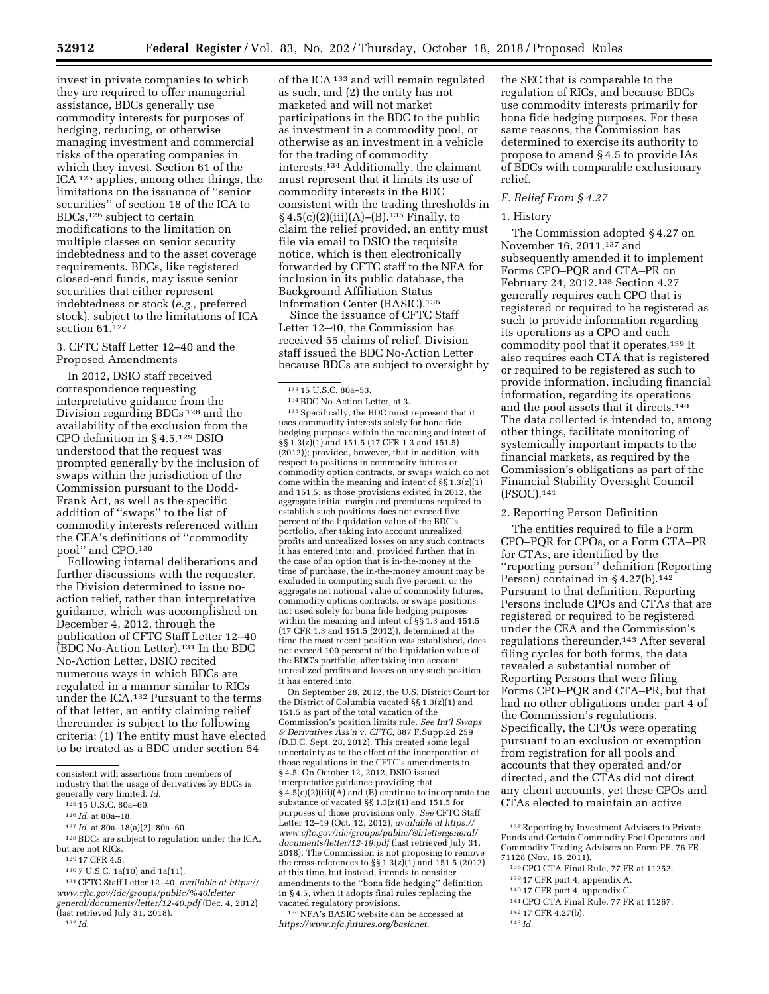invest in private companies to which they are required to offer managerial assistance, BDCs generally use commodity interests for purposes of hedging, reducing, or otherwise managing investment and commercial risks of the operating companies in which they invest. Section 61 of the ICA 125 applies, among other things, the limitations on the issuance of ''senior securities'' of section 18 of the ICA to BDCs,126 subject to certain modifications to the limitation on multiple classes on senior security indebtedness and to the asset coverage requirements. BDCs, like registered closed-end funds, may issue senior securities that either represent indebtedness or stock (*e.g.,* preferred stock), subject to the limitations of ICA section 61.<sup>127</sup>

3. CFTC Staff Letter 12–40 and the Proposed Amendments

In 2012, DSIO staff received correspondence requesting interpretative guidance from the Division regarding BDCs 128 and the availability of the exclusion from the CPO definition in § 4.5.129 DSIO understood that the request was prompted generally by the inclusion of swaps within the jurisdiction of the Commission pursuant to the Dodd-Frank Act, as well as the specific addition of ''swaps'' to the list of commodity interests referenced within the CEA's definitions of ''commodity pool'' and CPO.130

Following internal deliberations and further discussions with the requester, the Division determined to issue noaction relief, rather than interpretative guidance, which was accomplished on December 4, 2012, through the publication of CFTC Staff Letter 12–40 (BDC No-Action Letter).131 In the BDC No-Action Letter, DSIO recited numerous ways in which BDCs are regulated in a manner similar to RICs under the ICA.132 Pursuant to the terms of that letter, an entity claiming relief thereunder is subject to the following criteria: (1) The entity must have elected to be treated as a BDC under section 54

of the ICA 133 and will remain regulated as such, and (2) the entity has not marketed and will not market participations in the BDC to the public as investment in a commodity pool, or otherwise as an investment in a vehicle for the trading of commodity interests.134 Additionally, the claimant must represent that it limits its use of commodity interests in the BDC consistent with the trading thresholds in  $§ 4.5(c)(2)(iii)(A)–(B).<sup>135</sup> Finally, to$ claim the relief provided, an entity must file via email to DSIO the requisite notice, which is then electronically forwarded by CFTC staff to the NFA for inclusion in its public database, the Background Affiliation Status Information Center (BASIC).136

Since the issuance of CFTC Staff Letter 12–40, the Commission has received 55 claims of relief. Division staff issued the BDC No-Action Letter because BDCs are subject to oversight by

 $^{\rm 135}$  Specifically, the BDC must represent that it uses commodity interests solely for bona fide hedging purposes within the meaning and intent of §§ 1.3(z)(1) and 151.5 (17 CFR 1.3 and 151.5) (2012)); provided, however, that in addition, with respect to positions in commodity futures or commodity option contracts, or swaps which do not come within the meaning and intent of  $\S$ § 1.3(z)(1) and 151.5, as those provisions existed in 2012, the aggregate initial margin and premiums required to establish such positions does not exceed five percent of the liquidation value of the BDC's portfolio, after taking into account unrealized profits and unrealized losses on any such contracts it has entered into; and, provided further, that in the case of an option that is in-the-money at the time of purchase, the in-the-money amount may be excluded in computing such five percent; or the aggregate net notional value of commodity futures, commodity options contracts, or swaps positions not used solely for bona fide hedging purposes within the meaning and intent of §§ 1.3 and 151.5 (17 CFR 1.3 and 151.5 (2012)), determined at the time the most recent position was established, does not exceed 100 percent of the liquidation value of the BDC's portfolio, after taking into account unrealized profits and losses on any such position it has entered into.

On September 28, 2012, the U.S. District Court for the District of Columbia vacated §§ 1.3(z)(1) and 151.5 as part of the total vacation of the Commission's position limits rule. *See Int'l Swaps & Derivatives Ass'n* v. *CFTC,* 887 F.Supp.2d 259 (D.D.C. Sept. 28, 2012). This created some legal uncertainty as to the effect of the incorporation of those regulations in the CFTC's amendments to § 4.5. On October 12, 2012, DSIO issued interpretative guidance providing that  $\S$  4.5(c)(2)(iii)(A) and (B) continue to incorporate the substance of vacated §§ 1.3(z)(1) and 151.5 for purposes of those provisions only. *See* CFTC Staff Letter 12–19 (Oct. 12, 2012), *available at [https://](https://www.cftc.gov/idc/groups/public/@lrlettergeneral/documents/letter/12-19.pdf) [www.cftc.gov/idc/groups/public/@lrlettergeneral/](https://www.cftc.gov/idc/groups/public/@lrlettergeneral/documents/letter/12-19.pdf)  [documents/letter/12-19.pdf](https://www.cftc.gov/idc/groups/public/@lrlettergeneral/documents/letter/12-19.pdf)* (last retrieved July 31, 2018). The Commission is not proposing to remove the cross-references to §§ 1.3(z)(1) and 151.5 (2012) at this time, but instead, intends to consider amendments to the ''bona fide hedging'' definition in § 4.5, when it adopts final rules replacing the vacated regulatory provisions.

136NFA's BASIC website can be accessed at *[https://www.nfa.futures.org/basicnet.](https://www.nfa.futures.org/basicnet)* 

the SEC that is comparable to the regulation of RICs, and because BDCs use commodity interests primarily for bona fide hedging purposes. For these same reasons, the Commission has determined to exercise its authority to propose to amend § 4.5 to provide IAs of BDCs with comparable exclusionary relief.

# *F. Relief From § 4.27*

### 1. History

The Commission adopted § 4.27 on November 16, 2011,137 and subsequently amended it to implement Forms CPO–PQR and CTA–PR on February 24, 2012.138 Section 4.27 generally requires each CPO that is registered or required to be registered as such to provide information regarding its operations as a CPO and each commodity pool that it operates.<sup>139</sup> It also requires each CTA that is registered or required to be registered as such to provide information, including financial information, regarding its operations and the pool assets that it directs.140 The data collected is intended to, among other things, facilitate monitoring of systemically important impacts to the financial markets, as required by the Commission's obligations as part of the Financial Stability Oversight Council (FSOC).141

# 2. Reporting Person Definition

The entities required to file a Form CPO–PQR for CPOs, or a Form CTA–PR for CTAs, are identified by the ''reporting person'' definition (Reporting Person) contained in  $\S 4.27(b).$ <sup>142</sup> Pursuant to that definition, Reporting Persons include CPOs and CTAs that are registered or required to be registered under the CEA and the Commission's regulations thereunder.143 After several filing cycles for both forms, the data revealed a substantial number of Reporting Persons that were filing Forms CPO–PQR and CTA–PR, but that had no other obligations under part 4 of the Commission's regulations. Specifically, the CPOs were operating pursuant to an exclusion or exemption from registration for all pools and accounts that they operated and/or directed, and the CTAs did not direct any client accounts, yet these CPOs and CTAs elected to maintain an active

141CPO CTA Final Rule, 77 FR at 11267.

143 *Id.* 

132 *Id.* 

consistent with assertions from members of industry that the usage of derivatives by BDCs is generally very limited. *Id.* 

<sup>125</sup> 15 U.S.C. 80a–60.

<sup>126</sup> *Id.* at 80a–18.

<sup>127</sup> *Id.* at 80a–18(a)(2), 80a–60.

 $^{128}\rm\,BDCs$  are subject to regulation under the ICA, but are not RICs.

<sup>129</sup> 17 CFR 4.5.

<sup>130</sup> 7 U.S.C. 1a(10) and 1a(11).

<sup>131</sup>CFTC Staff Letter 12–40, *available at [https://](https://www.cftc.gov/idc/groups/public/%40lrlettergeneral/documents/letter/12-40.pdf) [www.cftc.gov/idc/groups/public/%40lrletter](https://www.cftc.gov/idc/groups/public/%40lrlettergeneral/documents/letter/12-40.pdf) [general/documents/letter/12-40.pdf](https://www.cftc.gov/idc/groups/public/%40lrlettergeneral/documents/letter/12-40.pdf)* (Dec. 4, 2012) (last retrieved July 31, 2018).

<sup>133</sup> 15 U.S.C. 80a–53.

<sup>134</sup>BDC No-Action Letter, at 3.

<sup>137</sup>Reporting by Investment Advisers to Private Funds and Certain Commodity Pool Operators and Commodity Trading Advisors on Form PF, 76 FR 71128 (Nov. 16, 2011).

<sup>138</sup>CPO CTA Final Rule, 77 FR at 11252.

<sup>139</sup> 17 CFR part 4, appendix A.

<sup>140</sup> 17 CFR part 4, appendix C.

<sup>142</sup> 17 CFR 4.27(b).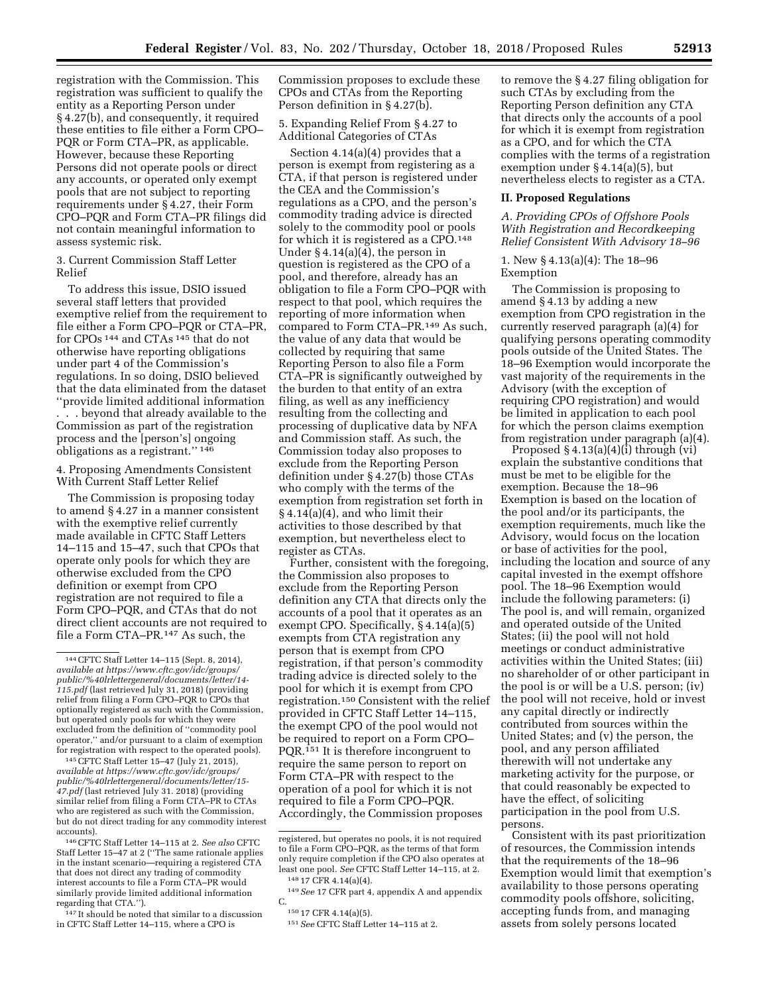registration with the Commission. This registration was sufficient to qualify the entity as a Reporting Person under § 4.27(b), and consequently, it required these entities to file either a Form CPO– PQR or Form CTA–PR, as applicable. However, because these Reporting Persons did not operate pools or direct any accounts, or operated only exempt pools that are not subject to reporting requirements under § 4.27, their Form CPO–PQR and Form CTA–PR filings did not contain meaningful information to assess systemic risk.

3. Current Commission Staff Letter Relief

To address this issue, DSIO issued several staff letters that provided exemptive relief from the requirement to file either a Form CPO–PQR or CTA–PR, for CPOs 144 and CTAs 145 that do not otherwise have reporting obligations under part 4 of the Commission's regulations. In so doing, DSIO believed that the data eliminated from the dataset ''provide limited additional information . . . beyond that already available to the Commission as part of the registration process and the [person's] ongoing obligations as a registrant.'' 146

4. Proposing Amendments Consistent With Current Staff Letter Relief

The Commission is proposing today to amend § 4.27 in a manner consistent with the exemptive relief currently made available in CFTC Staff Letters 14–115 and 15–47, such that CPOs that operate only pools for which they are otherwise excluded from the CPO definition or exempt from CPO registration are not required to file a Form CPO–PQR, and CTAs that do not direct client accounts are not required to file a Form CTA–PR.147 As such, the

145CFTC Staff Letter 15–47 (July 21, 2015), *available at [https://www.cftc.gov/idc/groups/](https://www.cftc.gov/idc/groups/public/%40lrlettergeneral/documents/letter/15-47.pdf)  [public/%40lrlettergeneral/documents/letter/15-](https://www.cftc.gov/idc/groups/public/%40lrlettergeneral/documents/letter/15-47.pdf) [47.pdf](https://www.cftc.gov/idc/groups/public/%40lrlettergeneral/documents/letter/15-47.pdf)* (last retrieved July 31. 2018) (providing similar relief from filing a Form CTA–PR to CTAs who are registered as such with the Commission, but do not direct trading for any commodity interest accounts).

146CFTC Staff Letter 14–115 at 2. *See also* CFTC Staff Letter 15–47 at 2 (''The same rationale applies in the instant scenario—requiring a registered CTA that does not direct any trading of commodity interest accounts to file a Form CTA–PR would similarly provide limited additional information regarding that CTA.'').

147 It should be noted that similar to a discussion in CFTC Staff Letter 14–115, where a CPO is

Commission proposes to exclude these CPOs and CTAs from the Reporting Person definition in § 4.27(b).

5. Expanding Relief From § 4.27 to Additional Categories of CTAs

Section 4.14(a)(4) provides that a person is exempt from registering as a CTA, if that person is registered under the CEA and the Commission's regulations as a CPO, and the person's commodity trading advice is directed solely to the commodity pool or pools for which it is registered as a CPO.148 Under § 4.14(a)(4), the person in question is registered as the CPO of a pool, and therefore, already has an obligation to file a Form CPO–PQR with respect to that pool, which requires the reporting of more information when compared to Form CTA–PR.149 As such, the value of any data that would be collected by requiring that same Reporting Person to also file a Form CTA–PR is significantly outweighed by the burden to that entity of an extra filing, as well as any inefficiency resulting from the collecting and processing of duplicative data by NFA and Commission staff. As such, the Commission today also proposes to exclude from the Reporting Person definition under § 4.27(b) those CTAs who comply with the terms of the exemption from registration set forth in § 4.14(a)(4), and who limit their activities to those described by that exemption, but nevertheless elect to register as CTAs.

Further, consistent with the foregoing, the Commission also proposes to exclude from the Reporting Person definition any CTA that directs only the accounts of a pool that it operates as an exempt CPO. Specifically, § 4.14(a)(5) exempts from CTA registration any person that is exempt from CPO registration, if that person's commodity trading advice is directed solely to the pool for which it is exempt from CPO registration.150 Consistent with the relief provided in CFTC Staff Letter 14–115, the exempt CPO of the pool would not be required to report on a Form CPO– PQR.151 It is therefore incongruent to require the same person to report on Form CTA–PR with respect to the operation of a pool for which it is not required to file a Form CPO–PQR. Accordingly, the Commission proposes

to remove the § 4.27 filing obligation for such CTAs by excluding from the Reporting Person definition any CTA that directs only the accounts of a pool for which it is exempt from registration as a CPO, and for which the CTA complies with the terms of a registration exemption under § 4.14(a)(5), but nevertheless elects to register as a CTA.

#### **II. Proposed Regulations**

*A. Providing CPOs of Offshore Pools With Registration and Recordkeeping Relief Consistent With Advisory 18–96* 

1. New § 4.13(a)(4): The 18–96 Exemption

The Commission is proposing to amend § 4.13 by adding a new exemption from CPO registration in the currently reserved paragraph (a)(4) for qualifying persons operating commodity pools outside of the United States. The 18–96 Exemption would incorporate the vast majority of the requirements in the Advisory (with the exception of requiring CPO registration) and would be limited in application to each pool for which the person claims exemption from registration under paragraph (a)(4).

Proposed  $§$  4.13(a)(4)(i) through (vi) explain the substantive conditions that must be met to be eligible for the exemption. Because the 18–96 Exemption is based on the location of the pool and/or its participants, the exemption requirements, much like the Advisory, would focus on the location or base of activities for the pool, including the location and source of any capital invested in the exempt offshore pool. The 18–96 Exemption would include the following parameters: (i) The pool is, and will remain, organized and operated outside of the United States; (ii) the pool will not hold meetings or conduct administrative activities within the United States; (iii) no shareholder of or other participant in the pool is or will be a U.S. person; (iv) the pool will not receive, hold or invest any capital directly or indirectly contributed from sources within the United States; and (v) the person, the pool, and any person affiliated therewith will not undertake any marketing activity for the purpose, or that could reasonably be expected to have the effect, of soliciting participation in the pool from U.S. persons.

Consistent with its past prioritization of resources, the Commission intends that the requirements of the 18–96 Exemption would limit that exemption's availability to those persons operating commodity pools offshore, soliciting, accepting funds from, and managing assets from solely persons located

<sup>144</sup>CFTC Staff Letter 14–115 (Sept. 8, 2014), *available at [https://www.cftc.gov/idc/groups/](https://www.cftc.gov/idc/groups/public/%40lrlettergeneral/documents/letter/14-115.pdf)  [public/%40lrlettergeneral/documents/letter/14-](https://www.cftc.gov/idc/groups/public/%40lrlettergeneral/documents/letter/14-115.pdf) [115.pdf](https://www.cftc.gov/idc/groups/public/%40lrlettergeneral/documents/letter/14-115.pdf)* (last retrieved July 31, 2018) (providing relief from filing a Form CPO–PQR to CPOs that optionally registered as such with the Commission, but operated only pools for which they were excluded from the definition of ''commodity pool operator,'' and/or pursuant to a claim of exemption for registration with respect to the operated pools).

registered, but operates no pools, it is not required to file a Form CPO–PQR, as the terms of that form only require completion if the CPO also operates at least one pool. *See* CFTC Staff Letter 14–115, at 2. 148 17 CFR 4.14(a)(4).

<sup>149</sup>*See* 17 CFR part 4, appendix A and appendix C.

<sup>150</sup> 17 CFR 4.14(a)(5).

<sup>151</sup>*See* CFTC Staff Letter 14–115 at 2.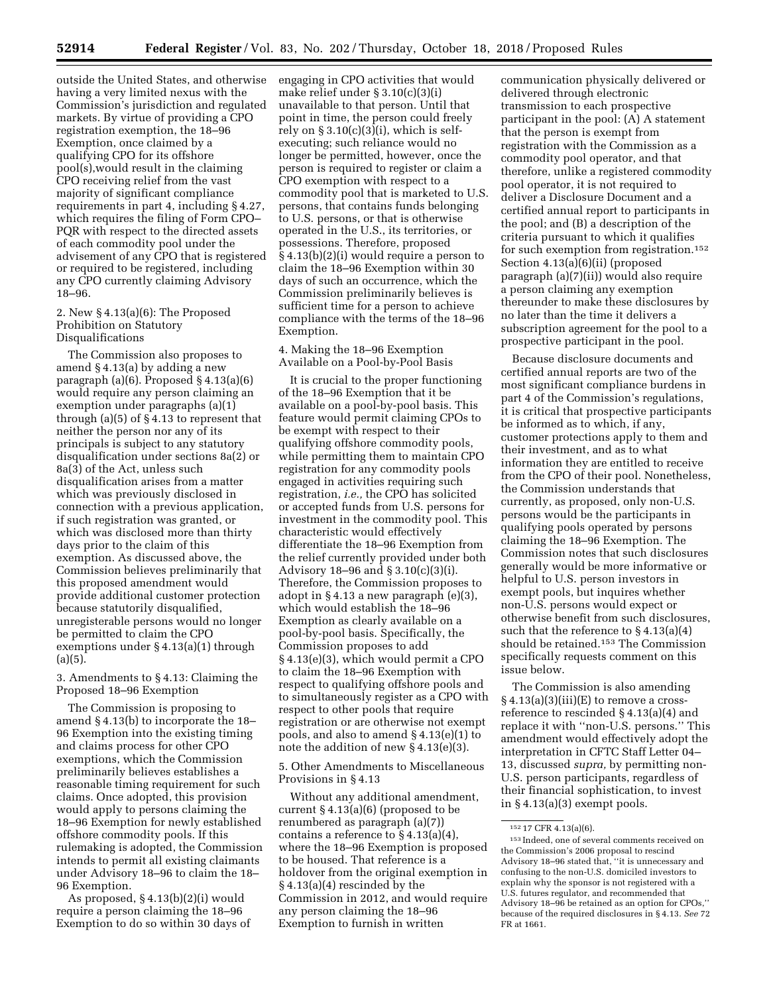outside the United States, and otherwise having a very limited nexus with the Commission's jurisdiction and regulated markets. By virtue of providing a CPO registration exemption, the 18–96 Exemption, once claimed by a qualifying CPO for its offshore pool(s),would result in the claiming CPO receiving relief from the vast majority of significant compliance requirements in part 4, including § 4.27, which requires the filing of Form CPO– PQR with respect to the directed assets of each commodity pool under the advisement of any CPO that is registered or required to be registered, including any CPO currently claiming Advisory 18–96.

## 2. New § 4.13(a)(6): The Proposed Prohibition on Statutory Disqualifications

The Commission also proposes to amend § 4.13(a) by adding a new paragraph (a)(6). Proposed § 4.13(a)(6) would require any person claiming an exemption under paragraphs (a)(1) through (a)(5) of § 4.13 to represent that neither the person nor any of its principals is subject to any statutory disqualification under sections 8a(2) or 8a(3) of the Act, unless such disqualification arises from a matter which was previously disclosed in connection with a previous application, if such registration was granted, or which was disclosed more than thirty days prior to the claim of this exemption. As discussed above, the Commission believes preliminarily that this proposed amendment would provide additional customer protection because statutorily disqualified, unregisterable persons would no longer be permitted to claim the CPO exemptions under § 4.13(a)(1) through (a)(5).

3. Amendments to § 4.13: Claiming the Proposed 18–96 Exemption

The Commission is proposing to amend § 4.13(b) to incorporate the 18– 96 Exemption into the existing timing and claims process for other CPO exemptions, which the Commission preliminarily believes establishes a reasonable timing requirement for such claims. Once adopted, this provision would apply to persons claiming the 18–96 Exemption for newly established offshore commodity pools. If this rulemaking is adopted, the Commission intends to permit all existing claimants under Advisory 18–96 to claim the 18– 96 Exemption.

As proposed, § 4.13(b)(2)(i) would require a person claiming the 18–96 Exemption to do so within 30 days of engaging in CPO activities that would make relief under § 3.10(c)(3)(i) unavailable to that person. Until that point in time, the person could freely rely on  $\S 3.10(c)(3)(i)$ , which is selfexecuting; such reliance would no longer be permitted, however, once the person is required to register or claim a CPO exemption with respect to a commodity pool that is marketed to U.S. persons, that contains funds belonging to U.S. persons, or that is otherwise operated in the U.S., its territories, or possessions. Therefore, proposed § 4.13(b)(2)(i) would require a person to claim the 18–96 Exemption within 30 days of such an occurrence, which the Commission preliminarily believes is sufficient time for a person to achieve compliance with the terms of the 18–96 Exemption.

4. Making the 18–96 Exemption Available on a Pool-by-Pool Basis

It is crucial to the proper functioning of the 18–96 Exemption that it be available on a pool-by-pool basis. This feature would permit claiming CPOs to be exempt with respect to their qualifying offshore commodity pools, while permitting them to maintain CPO registration for any commodity pools engaged in activities requiring such registration, *i.e.,* the CPO has solicited or accepted funds from U.S. persons for investment in the commodity pool. This characteristic would effectively differentiate the 18–96 Exemption from the relief currently provided under both Advisory 18–96 and § 3.10(c)(3)(i). Therefore, the Commission proposes to adopt in § 4.13 a new paragraph (e)(3), which would establish the 18–96 Exemption as clearly available on a pool-by-pool basis. Specifically, the Commission proposes to add § 4.13(e)(3), which would permit a CPO to claim the 18–96 Exemption with respect to qualifying offshore pools and to simultaneously register as a CPO with respect to other pools that require registration or are otherwise not exempt pools, and also to amend § 4.13(e)(1) to note the addition of new § 4.13(e)(3).

5. Other Amendments to Miscellaneous Provisions in § 4.13

Without any additional amendment, current § 4.13(a)(6) (proposed to be renumbered as paragraph (a)(7)) contains a reference to § 4.13(a)(4), where the 18–96 Exemption is proposed to be housed. That reference is a holdover from the original exemption in § 4.13(a)(4) rescinded by the Commission in 2012, and would require any person claiming the 18–96 Exemption to furnish in written

communication physically delivered or delivered through electronic transmission to each prospective participant in the pool: (A) A statement that the person is exempt from registration with the Commission as a commodity pool operator, and that therefore, unlike a registered commodity pool operator, it is not required to deliver a Disclosure Document and a certified annual report to participants in the pool; and (B) a description of the criteria pursuant to which it qualifies for such exemption from registration.152 Section 4.13(a)(6)(ii) (proposed paragraph (a)(7)(ii)) would also require a person claiming any exemption thereunder to make these disclosures by no later than the time it delivers a subscription agreement for the pool to a prospective participant in the pool.

Because disclosure documents and certified annual reports are two of the most significant compliance burdens in part 4 of the Commission's regulations, it is critical that prospective participants be informed as to which, if any, customer protections apply to them and their investment, and as to what information they are entitled to receive from the CPO of their pool. Nonetheless, the Commission understands that currently, as proposed, only non-U.S. persons would be the participants in qualifying pools operated by persons claiming the 18–96 Exemption. The Commission notes that such disclosures generally would be more informative or helpful to U.S. person investors in exempt pools, but inquires whether non-U.S. persons would expect or otherwise benefit from such disclosures, such that the reference to § 4.13(a)(4) should be retained.153 The Commission specifically requests comment on this issue below.

The Commission is also amending  $§ 4.13(a)(3)(iii)(E)$  to remove a crossreference to rescinded § 4.13(a)(4) and replace it with ''non-U.S. persons.'' This amendment would effectively adopt the interpretation in CFTC Staff Letter 04– 13, discussed *supra,* by permitting non-U.S. person participants, regardless of their financial sophistication, to invest in § 4.13(a)(3) exempt pools.

<sup>152</sup> 17 CFR 4.13(a)(6).

<sup>153</sup> Indeed, one of several comments received on the Commission's 2006 proposal to rescind Advisory 18–96 stated that, ''it is unnecessary and confusing to the non-U.S. domiciled investors to explain why the sponsor is not registered with a U.S. futures regulator, and recommended that Advisory 18–96 be retained as an option for CPOs,'' because of the required disclosures in § 4.13. *See* 72 FR at 1661.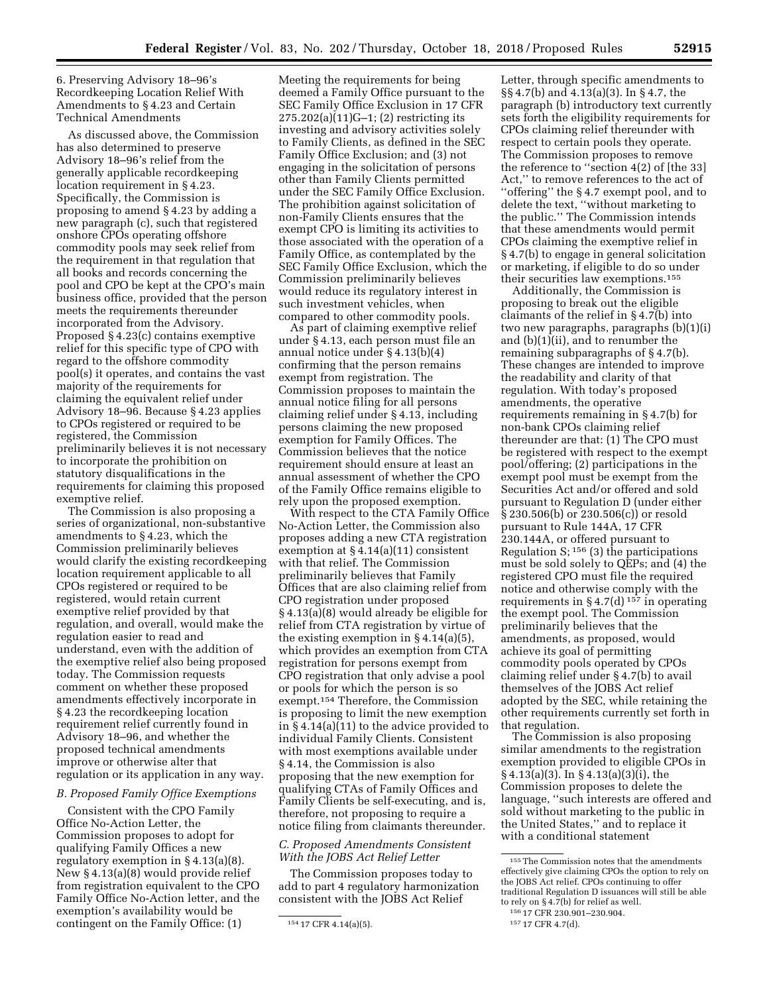6. Preserving Advisory 18–96's Recordkeeping Location Relief With Amendments to § 4.23 and Certain Technical Amendments

As discussed above, the Commission has also determined to preserve Advisory 18–96's relief from the generally applicable recordkeeping location requirement in § 4.23. Specifically, the Commission is proposing to amend § 4.23 by adding a new paragraph (c), such that registered onshore CPOs operating offshore commodity pools may seek relief from the requirement in that regulation that all books and records concerning the pool and CPO be kept at the CPO's main business office, provided that the person meets the requirements thereunder incorporated from the Advisory. Proposed § 4.23(c) contains exemptive relief for this specific type of CPO with regard to the offshore commodity pool(s) it operates, and contains the vast majority of the requirements for claiming the equivalent relief under Advisory 18–96. Because § 4.23 applies to CPOs registered or required to be registered, the Commission preliminarily believes it is not necessary to incorporate the prohibition on statutory disqualifications in the requirements for claiming this proposed exemptive relief.

The Commission is also proposing a series of organizational, non-substantive amendments to § 4.23, which the Commission preliminarily believes would clarify the existing recordkeeping location requirement applicable to all CPOs registered or required to be registered, would retain current exemptive relief provided by that regulation, and overall, would make the regulation easier to read and understand, even with the addition of the exemptive relief also being proposed today. The Commission requests comment on whether these proposed amendments effectively incorporate in § 4.23 the recordkeeping location requirement relief currently found in Advisory 18–96, and whether the proposed technical amendments improve or otherwise alter that regulation or its application in any way.

# *B. Proposed Family Office Exemptions*

Consistent with the CPO Family Office No-Action Letter, the Commission proposes to adopt for qualifying Family Offices a new regulatory exemption in § 4.13(a)(8). New § 4.13(a)(8) would provide relief from registration equivalent to the CPO Family Office No-Action letter, and the exemption's availability would be contingent on the Family Office: (1)

Meeting the requirements for being deemed a Family Office pursuant to the SEC Family Office Exclusion in 17 CFR 275.202(a)(11)G–1; (2) restricting its investing and advisory activities solely to Family Clients, as defined in the SEC Family Office Exclusion; and (3) not engaging in the solicitation of persons other than Family Clients permitted under the SEC Family Office Exclusion. The prohibition against solicitation of non-Family Clients ensures that the exempt CPO is limiting its activities to those associated with the operation of a Family Office, as contemplated by the SEC Family Office Exclusion, which the Commission preliminarily believes would reduce its regulatory interest in such investment vehicles, when compared to other commodity pools.

As part of claiming exemptive relief under § 4.13, each person must file an annual notice under § 4.13(b)(4) confirming that the person remains exempt from registration. The Commission proposes to maintain the annual notice filing for all persons claiming relief under § 4.13, including persons claiming the new proposed exemption for Family Offices. The Commission believes that the notice requirement should ensure at least an annual assessment of whether the CPO of the Family Office remains eligible to rely upon the proposed exemption.

With respect to the CTA Family Office No-Action Letter, the Commission also proposes adding a new CTA registration exemption at § 4.14(a)(11) consistent with that relief. The Commission preliminarily believes that Family Offices that are also claiming relief from CPO registration under proposed § 4.13(a)(8) would already be eligible for relief from CTA registration by virtue of the existing exemption in  $\S 4.14(a)(5)$ , which provides an exemption from CTA registration for persons exempt from CPO registration that only advise a pool or pools for which the person is so exempt.154 Therefore, the Commission is proposing to limit the new exemption in § 4.14(a)(11) to the advice provided to individual Family Clients. Consistent with most exemptions available under § 4.14, the Commission is also proposing that the new exemption for qualifying CTAs of Family Offices and Family Clients be self-executing, and is, therefore, not proposing to require a notice filing from claimants thereunder.

### *C. Proposed Amendments Consistent With the JOBS Act Relief Letter*

The Commission proposes today to add to part 4 regulatory harmonization consistent with the JOBS Act Relief

Letter, through specific amendments to §§ 4.7(b) and 4.13(a)(3). In § 4.7, the paragraph (b) introductory text currently sets forth the eligibility requirements for CPOs claiming relief thereunder with respect to certain pools they operate. The Commission proposes to remove the reference to ''section 4(2) of [the 33] Act,'' to remove references to the act of ''offering'' the § 4.7 exempt pool, and to delete the text, ''without marketing to the public.'' The Commission intends that these amendments would permit CPOs claiming the exemptive relief in § 4.7(b) to engage in general solicitation or marketing, if eligible to do so under their securities law exemptions.155

Additionally, the Commission is proposing to break out the eligible claimants of the relief in § 4.7(b) into two new paragraphs, paragraphs (b)(1)(i) and (b)(1)(ii), and to renumber the remaining subparagraphs of § 4.7(b). These changes are intended to improve the readability and clarity of that regulation. With today's proposed amendments, the operative requirements remaining in § 4.7(b) for non-bank CPOs claiming relief thereunder are that: (1) The CPO must be registered with respect to the exempt pool/offering; (2) participations in the exempt pool must be exempt from the Securities Act and/or offered and sold pursuant to Regulation D (under either § 230.506(b) or 230.506(c)) or resold pursuant to Rule 144A, 17 CFR 230.144A, or offered pursuant to Regulation S;  $156$  (3) the participations must be sold solely to QEPs; and (4) the registered CPO must file the required notice and otherwise comply with the requirements in § 4.7(d)<sup>157</sup> in operating the exempt pool. The Commission preliminarily believes that the amendments, as proposed, would achieve its goal of permitting commodity pools operated by CPOs claiming relief under § 4.7(b) to avail themselves of the JOBS Act relief adopted by the SEC, while retaining the other requirements currently set forth in that regulation.

The Commission is also proposing similar amendments to the registration exemption provided to eligible CPOs in § 4.13(a)(3). In § 4.13(a)(3)(i), the Commission proposes to delete the language, ''such interests are offered and sold without marketing to the public in the United States,'' and to replace it with a conditional statement

<sup>154</sup> 17 CFR 4.14(a)(5).

 $^{\rm 155}\mathrm{The}$  Commission notes that the amendments effectively give claiming CPOs the option to rely on the JOBS Act relief. CPOs continuing to offer traditional Regulation D issuances will still be able to rely on § 4.7(b) for relief as well.

<sup>156</sup> 17 CFR 230.901–230.904.

<sup>157</sup> 17 CFR 4.7(d).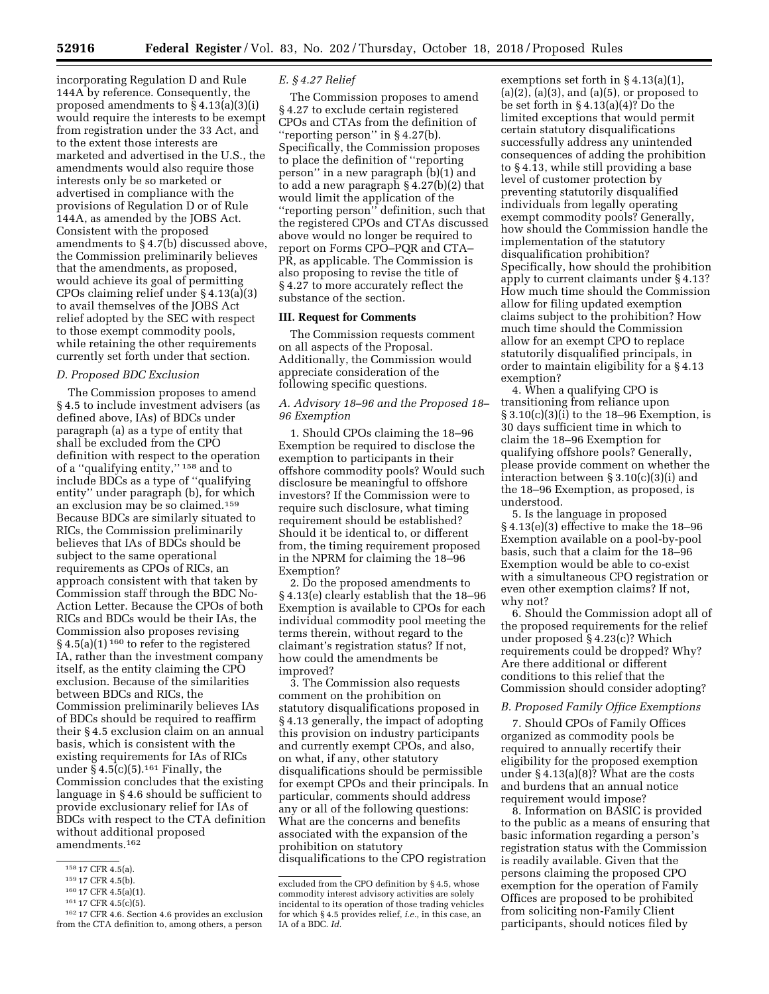incorporating Regulation D and Rule 144A by reference. Consequently, the proposed amendments to § 4.13(a)(3)(i) would require the interests to be exempt from registration under the 33 Act, and to the extent those interests are marketed and advertised in the U.S., the amendments would also require those interests only be so marketed or advertised in compliance with the provisions of Regulation D or of Rule 144A, as amended by the JOBS Act. Consistent with the proposed amendments to § 4.7(b) discussed above, the Commission preliminarily believes that the amendments, as proposed, would achieve its goal of permitting CPOs claiming relief under § 4.13(a)(3) to avail themselves of the JOBS Act relief adopted by the SEC with respect to those exempt commodity pools, while retaining the other requirements currently set forth under that section.

# *D. Proposed BDC Exclusion*

The Commission proposes to amend § 4.5 to include investment advisers (as defined above, IAs) of BDCs under paragraph (a) as a type of entity that shall be excluded from the CPO definition with respect to the operation of a ''qualifying entity,'' 158 and to include BDCs as a type of ''qualifying entity'' under paragraph (b), for which an exclusion may be so claimed.159 Because BDCs are similarly situated to RICs, the Commission preliminarily believes that IAs of BDCs should be subject to the same operational requirements as CPOs of RICs, an approach consistent with that taken by Commission staff through the BDC No-Action Letter. Because the CPOs of both RICs and BDCs would be their IAs, the Commission also proposes revising § 4.5(a)(1)<sup>160</sup> to refer to the registered IA, rather than the investment company itself, as the entity claiming the CPO exclusion. Because of the similarities between BDCs and RICs, the Commission preliminarily believes IAs of BDCs should be required to reaffirm their § 4.5 exclusion claim on an annual basis, which is consistent with the existing requirements for IAs of RICs under  $\S 4.5(c)(5)$ .<sup>161</sup> Finally, the Commission concludes that the existing language in § 4.6 should be sufficient to provide exclusionary relief for IAs of BDCs with respect to the CTA definition without additional proposed amendments.162

#### *E. § 4.27 Relief*

The Commission proposes to amend § 4.27 to exclude certain registered CPOs and CTAs from the definition of ''reporting person'' in § 4.27(b). Specifically, the Commission proposes to place the definition of ''reporting person'' in a new paragraph (b)(1) and to add a new paragraph § 4.27(b)(2) that would limit the application of the ''reporting person'' definition, such that the registered CPOs and CTAs discussed above would no longer be required to report on Forms CPO–PQR and CTA– PR, as applicable. The Commission is also proposing to revise the title of § 4.27 to more accurately reflect the substance of the section.

### **III. Request for Comments**

The Commission requests comment on all aspects of the Proposal. Additionally, the Commission would appreciate consideration of the following specific questions.

*A. Advisory 18–96 and the Proposed 18– 96 Exemption* 

1. Should CPOs claiming the 18–96 Exemption be required to disclose the exemption to participants in their offshore commodity pools? Would such disclosure be meaningful to offshore investors? If the Commission were to require such disclosure, what timing requirement should be established? Should it be identical to, or different from, the timing requirement proposed in the NPRM for claiming the 18–96 Exemption?

2. Do the proposed amendments to § 4.13(e) clearly establish that the 18–96 Exemption is available to CPOs for each individual commodity pool meeting the terms therein, without regard to the claimant's registration status? If not, how could the amendments be improved?

3. The Commission also requests comment on the prohibition on statutory disqualifications proposed in § 4.13 generally, the impact of adopting this provision on industry participants and currently exempt CPOs, and also, on what, if any, other statutory disqualifications should be permissible for exempt CPOs and their principals. In particular, comments should address any or all of the following questions: What are the concerns and benefits associated with the expansion of the prohibition on statutory disqualifications to the CPO registration

exemptions set forth in § 4.13(a)(1),  $(a)(2)$ ,  $(a)(3)$ , and  $(a)(5)$ , or proposed to be set forth in § 4.13(a)(4)? Do the limited exceptions that would permit certain statutory disqualifications successfully address any unintended consequences of adding the prohibition to § 4.13, while still providing a base level of customer protection by preventing statutorily disqualified individuals from legally operating exempt commodity pools? Generally, how should the Commission handle the implementation of the statutory disqualification prohibition? Specifically, how should the prohibition apply to current claimants under § 4.13? How much time should the Commission allow for filing updated exemption claims subject to the prohibition? How much time should the Commission allow for an exempt CPO to replace statutorily disqualified principals, in order to maintain eligibility for a § 4.13 exemption?

4. When a qualifying CPO is transitioning from reliance upon § 3.10(c)(3)(i) to the 18–96 Exemption, is 30 days sufficient time in which to claim the 18–96 Exemption for qualifying offshore pools? Generally, please provide comment on whether the interaction between § 3.10(c)(3)(i) and the 18–96 Exemption, as proposed, is understood.

5. Is the language in proposed § 4.13(e)(3) effective to make the 18–96 Exemption available on a pool-by-pool basis, such that a claim for the 18–96 Exemption would be able to co-exist with a simultaneous CPO registration or even other exemption claims? If not, why not?

6. Should the Commission adopt all of the proposed requirements for the relief under proposed § 4.23(c)? Which requirements could be dropped? Why? Are there additional or different conditions to this relief that the Commission should consider adopting?

### *B. Proposed Family Office Exemptions*

7. Should CPOs of Family Offices organized as commodity pools be required to annually recertify their eligibility for the proposed exemption under § 4.13(a)(8)? What are the costs and burdens that an annual notice requirement would impose?

8. Information on BASIC is provided to the public as a means of ensuring that basic information regarding a person's registration status with the Commission is readily available. Given that the persons claiming the proposed CPO exemption for the operation of Family Offices are proposed to be prohibited from soliciting non-Family Client participants, should notices filed by

<sup>158</sup> 17 CFR 4.5(a).

<sup>159</sup> 17 CFR 4.5(b).

<sup>160</sup> 17 CFR 4.5(a)(1).

<sup>161</sup> 17 CFR 4.5(c)(5).

<sup>162</sup> 17 CFR 4.6. Section 4.6 provides an exclusion from the CTA definition to, among others, a person

excluded from the CPO definition by § 4.5, whose commodity interest advisory activities are solely incidental to its operation of those trading vehicles for which § 4.5 provides relief, *i.e.,* in this case, an IA of a BDC. *Id.*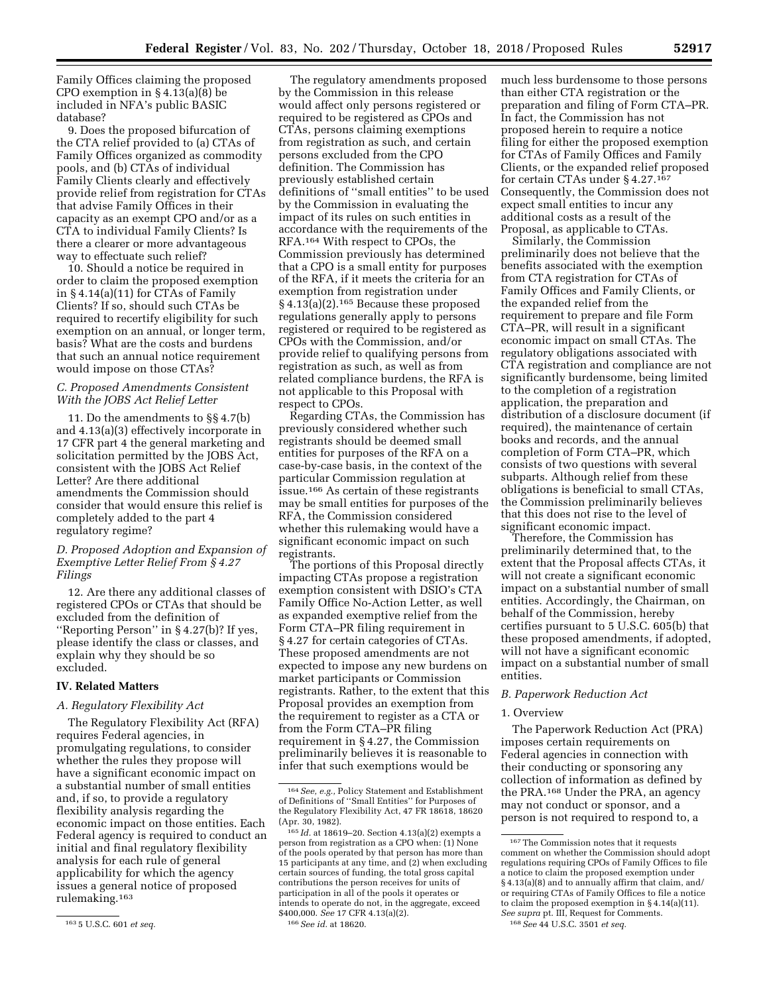Family Offices claiming the proposed CPO exemption in § 4.13(a)(8) be included in NFA's public BASIC database?

9. Does the proposed bifurcation of the CTA relief provided to (a) CTAs of Family Offices organized as commodity pools, and (b) CTAs of individual Family Clients clearly and effectively provide relief from registration for CTAs that advise Family Offices in their capacity as an exempt CPO and/or as a CTA to individual Family Clients? Is there a clearer or more advantageous way to effectuate such relief?

10. Should a notice be required in order to claim the proposed exemption in § 4.14(a)(11) for CTAs of Family Clients? If so, should such CTAs be required to recertify eligibility for such exemption on an annual, or longer term, basis? What are the costs and burdens that such an annual notice requirement would impose on those CTAs?

# *C. Proposed Amendments Consistent With the JOBS Act Relief Letter*

11. Do the amendments to §§ 4.7(b) and 4.13(a)(3) effectively incorporate in 17 CFR part 4 the general marketing and solicitation permitted by the JOBS Act, consistent with the JOBS Act Relief Letter? Are there additional amendments the Commission should consider that would ensure this relief is completely added to the part 4 regulatory regime?

# *D. Proposed Adoption and Expansion of Exemptive Letter Relief From § 4.27 Filings*

12. Are there any additional classes of registered CPOs or CTAs that should be excluded from the definition of ''Reporting Person'' in § 4.27(b)? If yes, please identify the class or classes, and explain why they should be so excluded.

### **IV. Related Matters**

### *A. Regulatory Flexibility Act*

The Regulatory Flexibility Act (RFA) requires Federal agencies, in promulgating regulations, to consider whether the rules they propose will have a significant economic impact on a substantial number of small entities and, if so, to provide a regulatory flexibility analysis regarding the economic impact on those entities. Each Federal agency is required to conduct an initial and final regulatory flexibility analysis for each rule of general applicability for which the agency issues a general notice of proposed rulemaking.163

The regulatory amendments proposed by the Commission in this release would affect only persons registered or required to be registered as CPOs and CTAs, persons claiming exemptions from registration as such, and certain persons excluded from the CPO definition. The Commission has previously established certain definitions of ''small entities'' to be used by the Commission in evaluating the impact of its rules on such entities in accordance with the requirements of the RFA.164 With respect to CPOs, the Commission previously has determined that a CPO is a small entity for purposes of the RFA, if it meets the criteria for an exemption from registration under § 4.13(a)(2).165 Because these proposed regulations generally apply to persons registered or required to be registered as CPOs with the Commission, and/or provide relief to qualifying persons from registration as such, as well as from related compliance burdens, the RFA is not applicable to this Proposal with respect to CPOs.

Regarding CTAs, the Commission has previously considered whether such registrants should be deemed small entities for purposes of the RFA on a case-by-case basis, in the context of the particular Commission regulation at issue.166 As certain of these registrants may be small entities for purposes of the RFA, the Commission considered whether this rulemaking would have a significant economic impact on such registrants.

The portions of this Proposal directly impacting CTAs propose a registration exemption consistent with DSIO's CTA Family Office No-Action Letter, as well as expanded exemptive relief from the Form CTA–PR filing requirement in § 4.27 for certain categories of CTAs. These proposed amendments are not expected to impose any new burdens on market participants or Commission registrants. Rather, to the extent that this Proposal provides an exemption from the requirement to register as a CTA or from the Form CTA–PR filing requirement in § 4.27, the Commission preliminarily believes it is reasonable to infer that such exemptions would be

much less burdensome to those persons than either CTA registration or the preparation and filing of Form CTA–PR. In fact, the Commission has not proposed herein to require a notice filing for either the proposed exemption for CTAs of Family Offices and Family Clients, or the expanded relief proposed for certain CTAs under § 4.27.167 Consequently, the Commission does not expect small entities to incur any additional costs as a result of the Proposal, as applicable to CTAs.

Similarly, the Commission preliminarily does not believe that the benefits associated with the exemption from CTA registration for CTAs of Family Offices and Family Clients, or the expanded relief from the requirement to prepare and file Form CTA–PR, will result in a significant economic impact on small CTAs. The regulatory obligations associated with CTA registration and compliance are not significantly burdensome, being limited to the completion of a registration application, the preparation and distribution of a disclosure document (if required), the maintenance of certain books and records, and the annual completion of Form CTA–PR, which consists of two questions with several subparts. Although relief from these obligations is beneficial to small CTAs, the Commission preliminarily believes that this does not rise to the level of significant economic impact.

Therefore, the Commission has preliminarily determined that, to the extent that the Proposal affects CTAs, it will not create a significant economic impact on a substantial number of small entities. Accordingly, the Chairman, on behalf of the Commission, hereby certifies pursuant to 5 U.S.C. 605(b) that these proposed amendments, if adopted, will not have a significant economic impact on a substantial number of small entities.

### *B. Paperwork Reduction Act*

#### 1. Overview

The Paperwork Reduction Act (PRA) imposes certain requirements on Federal agencies in connection with their conducting or sponsoring any collection of information as defined by the PRA.168 Under the PRA, an agency may not conduct or sponsor, and a person is not required to respond to, a

<sup>163</sup> 5 U.S.C. 601 *et seq.* 

<sup>164</sup>*See, e.g.,* Policy Statement and Establishment of Definitions of ''Small Entities'' for Purposes of the Regulatory Flexibility Act, 47 FR 18618, 18620 (Apr. 30, 1982).

<sup>165</sup> *Id.* at 18619–20. Section 4.13(a)(2) exempts a person from registration as a CPO when: (1) None of the pools operated by that person has more than 15 participants at any time, and (2) when excluding certain sources of funding, the total gross capital contributions the person receives for units of participation in all of the pools it operates or intends to operate do not, in the aggregate, exceed \$400,000. *See* 17 CFR 4.13(a)(2). 166*See id.* at 18620.

<sup>167</sup>The Commission notes that it requests comment on whether the Commission should adopt regulations requiring CPOs of Family Offices to file a notice to claim the proposed exemption under § 4.13(a)(8) and to annually affirm that claim, and/ or requiring CTAs of Family Offices to file a notice to claim the proposed exemption in § 4.14(a)(11). *See supra* pt. III, Request for Comments.

<sup>168</sup>*See* 44 U.S.C. 3501 *et seq.*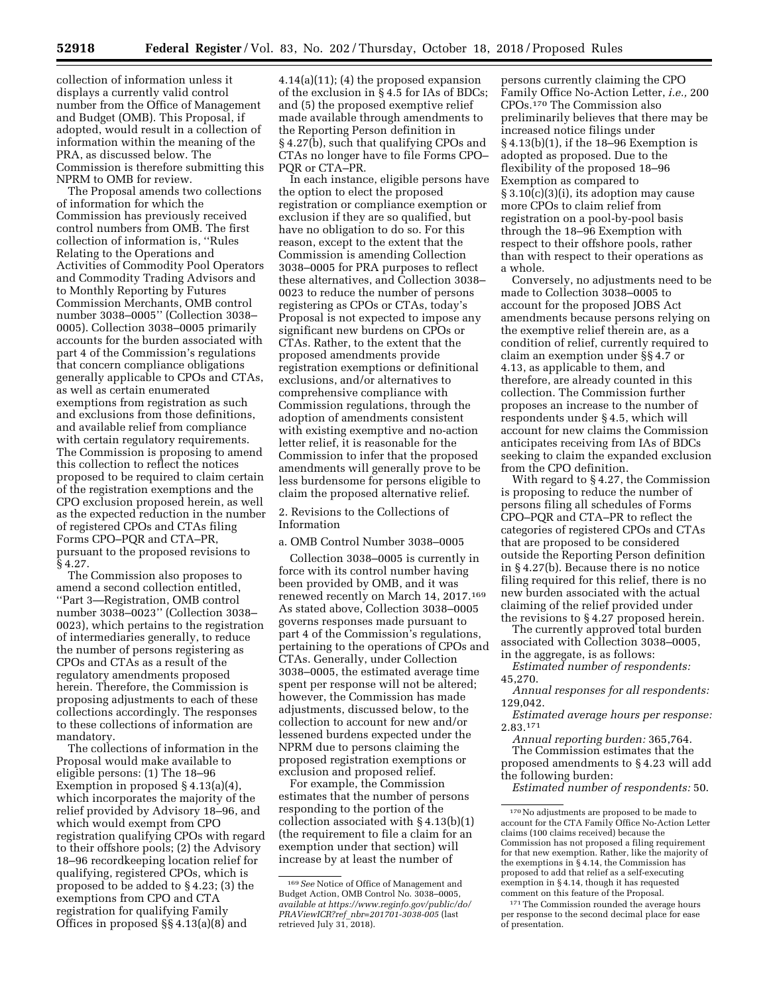collection of information unless it displays a currently valid control number from the Office of Management and Budget (OMB). This Proposal, if adopted, would result in a collection of information within the meaning of the PRA, as discussed below. The Commission is therefore submitting this NPRM to OMB for review.

The Proposal amends two collections of information for which the Commission has previously received control numbers from OMB. The first collection of information is, ''Rules Relating to the Operations and Activities of Commodity Pool Operators and Commodity Trading Advisors and to Monthly Reporting by Futures Commission Merchants, OMB control number 3038–0005'' (Collection 3038– 0005). Collection 3038–0005 primarily accounts for the burden associated with part 4 of the Commission's regulations that concern compliance obligations generally applicable to CPOs and CTAs, as well as certain enumerated exemptions from registration as such and exclusions from those definitions, and available relief from compliance with certain regulatory requirements. The Commission is proposing to amend this collection to reflect the notices proposed to be required to claim certain of the registration exemptions and the CPO exclusion proposed herein, as well as the expected reduction in the number of registered CPOs and CTAs filing Forms CPO–PQR and CTA–PR, pursuant to the proposed revisions to § 4.27.

The Commission also proposes to amend a second collection entitled, ''Part 3—Registration, OMB control number 3038–0023'' (Collection 3038– 0023), which pertains to the registration of intermediaries generally, to reduce the number of persons registering as CPOs and CTAs as a result of the regulatory amendments proposed herein. Therefore, the Commission is proposing adjustments to each of these collections accordingly. The responses to these collections of information are mandatory.

The collections of information in the Proposal would make available to eligible persons: (1) The 18–96 Exemption in proposed § 4.13(a)(4), which incorporates the majority of the relief provided by Advisory 18–96, and which would exempt from CPO registration qualifying CPOs with regard to their offshore pools; (2) the Advisory 18–96 recordkeeping location relief for qualifying, registered CPOs, which is proposed to be added to § 4.23; (3) the exemptions from CPO and CTA registration for qualifying Family Offices in proposed §§ 4.13(a)(8) and

4.14(a)(11); (4) the proposed expansion of the exclusion in § 4.5 for IAs of BDCs; and (5) the proposed exemptive relief made available through amendments to the Reporting Person definition in § 4.27(b), such that qualifying CPOs and CTAs no longer have to file Forms CPO– PQR or CTA–PR.

In each instance, eligible persons have the option to elect the proposed registration or compliance exemption or exclusion if they are so qualified, but have no obligation to do so. For this reason, except to the extent that the Commission is amending Collection 3038–0005 for PRA purposes to reflect these alternatives, and Collection 3038– 0023 to reduce the number of persons registering as CPOs or CTAs, today's Proposal is not expected to impose any significant new burdens on CPOs or CTAs. Rather, to the extent that the proposed amendments provide registration exemptions or definitional exclusions, and/or alternatives to comprehensive compliance with Commission regulations, through the adoption of amendments consistent with existing exemptive and no-action letter relief, it is reasonable for the Commission to infer that the proposed amendments will generally prove to be less burdensome for persons eligible to claim the proposed alternative relief.

2. Revisions to the Collections of Information

### a. OMB Control Number 3038–0005

Collection 3038–0005 is currently in force with its control number having been provided by OMB, and it was renewed recently on March 14, 2017.169 As stated above, Collection 3038–0005 governs responses made pursuant to part 4 of the Commission's regulations, pertaining to the operations of CPOs and CTAs. Generally, under Collection 3038–0005, the estimated average time spent per response will not be altered; however, the Commission has made adjustments, discussed below, to the collection to account for new and/or lessened burdens expected under the NPRM due to persons claiming the proposed registration exemptions or exclusion and proposed relief.

For example, the Commission estimates that the number of persons responding to the portion of the collection associated with § 4.13(b)(1) (the requirement to file a claim for an exemption under that section) will increase by at least the number of

persons currently claiming the CPO Family Office No-Action Letter, *i.e.,* 200 CPOs.170 The Commission also preliminarily believes that there may be increased notice filings under § 4.13(b)(1), if the 18–96 Exemption is adopted as proposed. Due to the flexibility of the proposed 18–96 Exemption as compared to § 3.10(c)(3)(i), its adoption may cause more CPOs to claim relief from registration on a pool-by-pool basis through the 18–96 Exemption with respect to their offshore pools, rather than with respect to their operations as a whole.

Conversely, no adjustments need to be made to Collection 3038–0005 to account for the proposed JOBS Act amendments because persons relying on the exemptive relief therein are, as a condition of relief, currently required to claim an exemption under §§ 4.7 or 4.13, as applicable to them, and therefore, are already counted in this collection. The Commission further proposes an increase to the number of respondents under § 4.5, which will account for new claims the Commission anticipates receiving from IAs of BDCs seeking to claim the expanded exclusion from the CPO definition.

With regard to § 4.27, the Commission is proposing to reduce the number of persons filing all schedules of Forms CPO–PQR and CTA–PR to reflect the categories of registered CPOs and CTAs that are proposed to be considered outside the Reporting Person definition in § 4.27(b). Because there is no notice filing required for this relief, there is no new burden associated with the actual claiming of the relief provided under the revisions to § 4.27 proposed herein.

The currently approved total burden associated with Collection 3038–0005, in the aggregate, is as follows:

*Estimated number of respondents:*  45,270.

*Annual responses for all respondents:*  129,042.

*Estimated average hours per response:*  2.83.171

*Annual reporting burden:* 365,764. The Commission estimates that the proposed amendments to § 4.23 will add the following burden:

*Estimated number of respondents:* 50.

<sup>169</sup>*See* Notice of Office of Management and Budget Action, OMB Control No. 3038–0005, *available at [https://www.reginfo.gov/public/do/](https://www.reginfo.gov/public/do/PRAViewICR?ref_nbr=201701-3038-005) PRAViewICR?ref*\_*[nbr=201701-3038-005](https://www.reginfo.gov/public/do/PRAViewICR?ref_nbr=201701-3038-005)* (last retrieved July 31, 2018).

<sup>170</sup>No adjustments are proposed to be made to account for the CTA Family Office No-Action Letter claims (100 claims received) because the Commission has not proposed a filing requirement for that new exemption. Rather, like the majority of the exemptions in § 4.14, the Commission has proposed to add that relief as a self-executing exemption in § 4.14, though it has requested comment on this feature of the Proposal.

<sup>171</sup>The Commission rounded the average hours per response to the second decimal place for ease of presentation.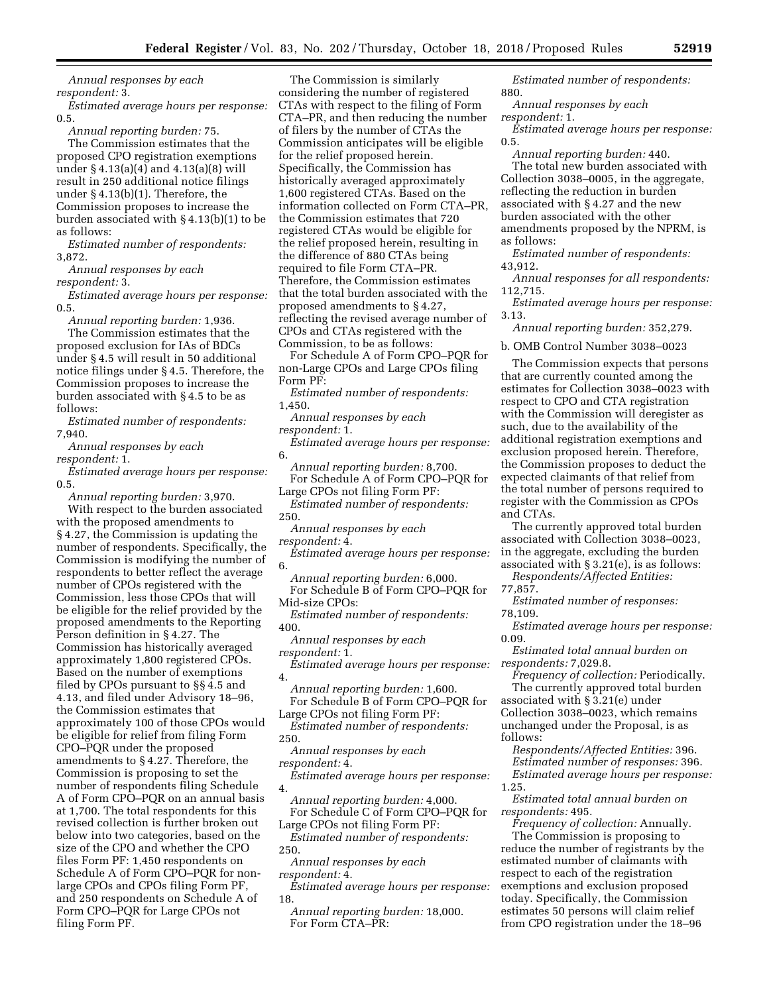*Annual responses by each respondent:* 3.

*Estimated average hours per response:*  0.5.

*Annual reporting burden:* 75.

The Commission estimates that the proposed CPO registration exemptions under § 4.13(a)(4) and 4.13(a)(8) will result in 250 additional notice filings under § 4.13(b)(1). Therefore, the Commission proposes to increase the burden associated with § 4.13(b)(1) to be as follows:

*Estimated number of respondents:*  3,872.

*Annual responses by each respondent:* 3.

*Estimated average hours per response:*  0.5.

*Annual reporting burden:* 1,936.

The Commission estimates that the proposed exclusion for IAs of BDCs under § 4.5 will result in 50 additional notice filings under § 4.5. Therefore, the Commission proposes to increase the burden associated with § 4.5 to be as follows:

*Estimated number of respondents:*  7,940.

*Annual responses by each respondent:* 1.

*Estimated average hours per response:*  0.5.

*Annual reporting burden:* 3,970.

With respect to the burden associated with the proposed amendments to § 4.27, the Commission is updating the number of respondents. Specifically, the Commission is modifying the number of respondents to better reflect the average number of CPOs registered with the Commission, less those CPOs that will be eligible for the relief provided by the proposed amendments to the Reporting Person definition in § 4.27. The Commission has historically averaged approximately 1,800 registered CPOs. Based on the number of exemptions filed by CPOs pursuant to §§ 4.5 and 4.13, and filed under Advisory 18–96, the Commission estimates that approximately 100 of those CPOs would be eligible for relief from filing Form CPO–PQR under the proposed amendments to § 4.27. Therefore, the Commission is proposing to set the number of respondents filing Schedule A of Form CPO–PQR on an annual basis at 1,700. The total respondents for this revised collection is further broken out below into two categories, based on the size of the CPO and whether the CPO files Form PF: 1,450 respondents on Schedule A of Form CPO–PQR for nonlarge CPOs and CPOs filing Form PF, and 250 respondents on Schedule A of Form CPO–PQR for Large CPOs not filing Form PF.

The Commission is similarly considering the number of registered CTAs with respect to the filing of Form CTA–PR, and then reducing the number of filers by the number of CTAs the Commission anticipates will be eligible for the relief proposed herein. Specifically, the Commission has historically averaged approximately 1,600 registered CTAs. Based on the information collected on Form CTA–PR, the Commission estimates that 720 registered CTAs would be eligible for the relief proposed herein, resulting in the difference of 880 CTAs being required to file Form CTA–PR. Therefore, the Commission estimates that the total burden associated with the proposed amendments to § 4.27, reflecting the revised average number of CPOs and CTAs registered with the Commission, to be as follows:

For Schedule A of Form CPO–PQR for non-Large CPOs and Large CPOs filing Form PF:

*Estimated number of respondents:*  1,450.

*Annual responses by each respondent:* 1.

*Estimated average hours per response:*  6.

*Annual reporting burden:* 8,700. For Schedule A of Form CPO–PQR for

Large CPOs not filing Form PF: *Estimated number of respondents:* 

250.

*Annual responses by each* 

*respondent:* 4.

*Estimated average hours per response:*  6.

*Annual reporting burden:* 6,000. For Schedule B of Form CPO–PQR for Mid-size CPOs:

*Estimated number of respondents:*  400.

*Annual responses by each respondent:* 1.

*Estimated average hours per response:*  4.

*Annual reporting burden:* 1,600. For Schedule B of Form CPO–PQR for Large CPOs not filing Form PF:

*Estimated number of respondents:*  250.

*Annual responses by each respondent:* 4.

*Estimated average hours per response:*  4.

*Annual reporting burden:* 4,000. For Schedule C of Form CPO–PQR for

Large CPOs not filing Form PF: *Estimated number of respondents:* 

250.

*Annual responses by each* 

*respondent:* 4. *Estimated average hours per response:*  18.

*Annual reporting burden:* 18,000. For Form CTA–PR:

*Estimated number of respondents:*  880.

*Annual responses by each respondent:* 1.

*Estimated average hours per response:*  0.5.

*Annual reporting burden:* 440. The total new burden associated with Collection 3038–0005, in the aggregate, reflecting the reduction in burden associated with § 4.27 and the new burden associated with the other amendments proposed by the NPRM, is as follows:

*Estimated number of respondents:*  43,912.

*Annual responses for all respondents:*  112,715.

*Estimated average hours per response:*  3.13.

*Annual reporting burden:* 352,279.

b. OMB Control Number 3038–0023

The Commission expects that persons that are currently counted among the estimates for Collection 3038–0023 with respect to CPO and CTA registration with the Commission will deregister as such, due to the availability of the additional registration exemptions and exclusion proposed herein. Therefore, the Commission proposes to deduct the expected claimants of that relief from the total number of persons required to register with the Commission as CPOs and CTAs.

The currently approved total burden associated with Collection 3038–0023, in the aggregate, excluding the burden associated with § 3.21(e), is as follows:

*Respondents/Affected Entities:*  77,857.

*Estimated number of responses:*  78,109.

*Estimated average hours per response:*  0.09.

*Estimated total annual burden on respondents:* 7,029.8.

*Frequency of collection:* Periodically. The currently approved total burden associated with § 3.21(e) under Collection 3038–0023, which remains unchanged under the Proposal, is as

follows:

*Respondents/Affected Entities:* 396. *Estimated number of responses:* 396. *Estimated average hours per response:*  1.25.

*Estimated total annual burden on respondents:* 495.

*Frequency of collection:* Annually.

The Commission is proposing to reduce the number of registrants by the estimated number of claimants with respect to each of the registration exemptions and exclusion proposed today. Specifically, the Commission estimates 50 persons will claim relief from CPO registration under the 18–96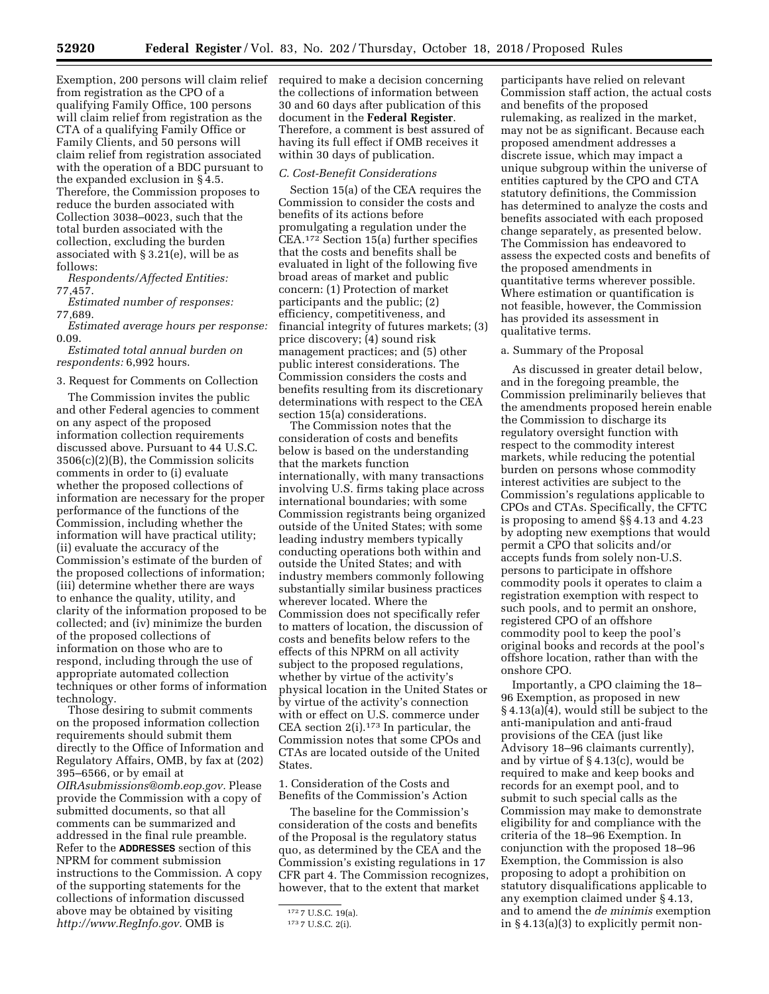from registration as the CPO of a qualifying Family Office, 100 persons will claim relief from registration as the CTA of a qualifying Family Office or Family Clients, and 50 persons will claim relief from registration associated with the operation of a BDC pursuant to the expanded exclusion in § 4.5. Therefore, the Commission proposes to reduce the burden associated with Collection 3038–0023, such that the total burden associated with the collection, excluding the burden associated with § 3.21(e), will be as follows:

*Respondents/Affected Entities:*  77,457.

*Estimated number of responses:*  77,689.

*Estimated average hours per response:*  0.09.

*Estimated total annual burden on respondents:* 6,992 hours.

### 3. Request for Comments on Collection

The Commission invites the public and other Federal agencies to comment on any aspect of the proposed information collection requirements discussed above. Pursuant to 44 U.S.C. 3506(c)(2)(B), the Commission solicits comments in order to (i) evaluate whether the proposed collections of information are necessary for the proper performance of the functions of the Commission, including whether the information will have practical utility; (ii) evaluate the accuracy of the Commission's estimate of the burden of the proposed collections of information; (iii) determine whether there are ways to enhance the quality, utility, and clarity of the information proposed to be collected; and (iv) minimize the burden of the proposed collections of information on those who are to respond, including through the use of appropriate automated collection techniques or other forms of information technology.

Those desiring to submit comments on the proposed information collection requirements should submit them directly to the Office of Information and Regulatory Affairs, OMB, by fax at (202) 395–6566, or by email at *[OIRAsubmissions@omb.eop.gov.](mailto:OIRAsubmissions@omb.eop.gov)* Please provide the Commission with a copy of submitted documents, so that all comments can be summarized and addressed in the final rule preamble. Refer to the **ADDRESSES** section of this NPRM for comment submission instructions to the Commission. A copy of the supporting statements for the collections of information discussed above may be obtained by visiting *[http://www.RegInfo.gov.](http://www.RegInfo.gov)* OMB is

Exemption, 200 persons will claim relief required to make a decision concerning the collections of information between 30 and 60 days after publication of this document in the **Federal Register**. Therefore, a comment is best assured of having its full effect if OMB receives it within 30 days of publication.

# *C. Cost-Benefit Considerations*

Section 15(a) of the CEA requires the Commission to consider the costs and benefits of its actions before promulgating a regulation under the CEA.172 Section 15(a) further specifies that the costs and benefits shall be evaluated in light of the following five broad areas of market and public concern: (1) Protection of market participants and the public; (2) efficiency, competitiveness, and financial integrity of futures markets; (3) price discovery; (4) sound risk management practices; and (5) other public interest considerations. The Commission considers the costs and benefits resulting from its discretionary determinations with respect to the CEA section 15(a) considerations.

The Commission notes that the consideration of costs and benefits below is based on the understanding that the markets function internationally, with many transactions involving U.S. firms taking place across international boundaries; with some Commission registrants being organized outside of the United States; with some leading industry members typically conducting operations both within and outside the United States; and with industry members commonly following substantially similar business practices wherever located. Where the Commission does not specifically refer to matters of location, the discussion of costs and benefits below refers to the effects of this NPRM on all activity subject to the proposed regulations, whether by virtue of the activity's physical location in the United States or by virtue of the activity's connection with or effect on U.S. commerce under CEA section 2(i).173 In particular, the Commission notes that some CPOs and CTAs are located outside of the United States.

1. Consideration of the Costs and Benefits of the Commission's Action

The baseline for the Commission's consideration of the costs and benefits of the Proposal is the regulatory status quo, as determined by the CEA and the Commission's existing regulations in 17 CFR part 4. The Commission recognizes, however, that to the extent that market

participants have relied on relevant Commission staff action, the actual costs and benefits of the proposed rulemaking, as realized in the market, may not be as significant. Because each proposed amendment addresses a discrete issue, which may impact a unique subgroup within the universe of entities captured by the CPO and CTA statutory definitions, the Commission has determined to analyze the costs and benefits associated with each proposed change separately, as presented below. The Commission has endeavored to assess the expected costs and benefits of the proposed amendments in quantitative terms wherever possible. Where estimation or quantification is not feasible, however, the Commission has provided its assessment in qualitative terms.

### a. Summary of the Proposal

As discussed in greater detail below, and in the foregoing preamble, the Commission preliminarily believes that the amendments proposed herein enable the Commission to discharge its regulatory oversight function with respect to the commodity interest markets, while reducing the potential burden on persons whose commodity interest activities are subject to the Commission's regulations applicable to CPOs and CTAs. Specifically, the CFTC is proposing to amend §§ 4.13 and 4.23 by adopting new exemptions that would permit a CPO that solicits and/or accepts funds from solely non-U.S. persons to participate in offshore commodity pools it operates to claim a registration exemption with respect to such pools, and to permit an onshore, registered CPO of an offshore commodity pool to keep the pool's original books and records at the pool's offshore location, rather than with the onshore CPO.

Importantly, a CPO claiming the 18– 96 Exemption, as proposed in new § 4.13(a)(4), would still be subject to the anti-manipulation and anti-fraud provisions of the CEA (just like Advisory 18–96 claimants currently), and by virtue of § 4.13(c), would be required to make and keep books and records for an exempt pool, and to submit to such special calls as the Commission may make to demonstrate eligibility for and compliance with the criteria of the 18–96 Exemption. In conjunction with the proposed 18–96 Exemption, the Commission is also proposing to adopt a prohibition on statutory disqualifications applicable to any exemption claimed under § 4.13, and to amend the *de minimis* exemption in § 4.13(a)(3) to explicitly permit non-

<sup>172</sup> 7 U.S.C. 19(a).

<sup>173</sup> 7 U.S.C. 2(i).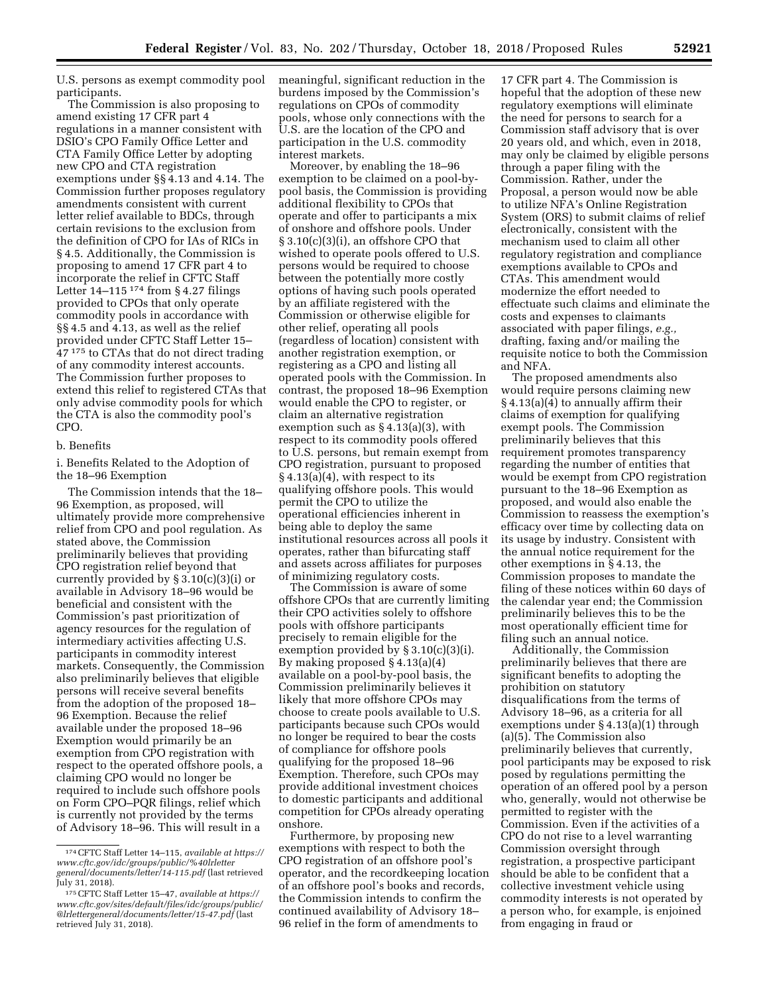U.S. persons as exempt commodity pool participants.

The Commission is also proposing to amend existing 17 CFR part 4 regulations in a manner consistent with DSIO's CPO Family Office Letter and CTA Family Office Letter by adopting new CPO and CTA registration exemptions under §§ 4.13 and 4.14. The Commission further proposes regulatory amendments consistent with current letter relief available to BDCs, through certain revisions to the exclusion from the definition of CPO for IAs of RICs in § 4.5. Additionally, the Commission is proposing to amend 17 CFR part 4 to incorporate the relief in CFTC Staff Letter  $14-115$   $174$  from § 4.27 filings provided to CPOs that only operate commodity pools in accordance with §§ 4.5 and 4.13, as well as the relief provided under CFTC Staff Letter 15– 47 175 to CTAs that do not direct trading of any commodity interest accounts. The Commission further proposes to extend this relief to registered CTAs that only advise commodity pools for which the CTA is also the commodity pool's CPO.

# b. Benefits

i. Benefits Related to the Adoption of the 18–96 Exemption

The Commission intends that the 18– 96 Exemption, as proposed, will ultimately provide more comprehensive relief from CPO and pool regulation. As stated above, the Commission preliminarily believes that providing CPO registration relief beyond that currently provided by § 3.10(c)(3)(i) or available in Advisory 18–96 would be beneficial and consistent with the Commission's past prioritization of agency resources for the regulation of intermediary activities affecting U.S. participants in commodity interest markets. Consequently, the Commission also preliminarily believes that eligible persons will receive several benefits from the adoption of the proposed 18– 96 Exemption. Because the relief available under the proposed 18–96 Exemption would primarily be an exemption from CPO registration with respect to the operated offshore pools, a claiming CPO would no longer be required to include such offshore pools on Form CPO–PQR filings, relief which is currently not provided by the terms of Advisory 18–96. This will result in a

meaningful, significant reduction in the burdens imposed by the Commission's regulations on CPOs of commodity pools, whose only connections with the U.S. are the location of the CPO and participation in the U.S. commodity interest markets.

Moreover, by enabling the 18–96 exemption to be claimed on a pool-bypool basis, the Commission is providing additional flexibility to CPOs that operate and offer to participants a mix of onshore and offshore pools. Under § 3.10(c)(3)(i), an offshore CPO that wished to operate pools offered to U.S. persons would be required to choose between the potentially more costly options of having such pools operated by an affiliate registered with the Commission or otherwise eligible for other relief, operating all pools (regardless of location) consistent with another registration exemption, or registering as a CPO and listing all operated pools with the Commission. In contrast, the proposed 18–96 Exemption would enable the CPO to register, or claim an alternative registration exemption such as  $§$  4.13(a)(3), with respect to its commodity pools offered to U.S. persons, but remain exempt from CPO registration, pursuant to proposed § 4.13(a)(4), with respect to its qualifying offshore pools. This would permit the CPO to utilize the operational efficiencies inherent in being able to deploy the same institutional resources across all pools it operates, rather than bifurcating staff and assets across affiliates for purposes of minimizing regulatory costs.

The Commission is aware of some offshore CPOs that are currently limiting their CPO activities solely to offshore pools with offshore participants precisely to remain eligible for the exemption provided by § 3.10(c)(3)(i). By making proposed § 4.13(a)(4) available on a pool-by-pool basis, the Commission preliminarily believes it likely that more offshore CPOs may choose to create pools available to U.S. participants because such CPOs would no longer be required to bear the costs of compliance for offshore pools qualifying for the proposed 18–96 Exemption. Therefore, such CPOs may provide additional investment choices to domestic participants and additional competition for CPOs already operating onshore.

Furthermore, by proposing new exemptions with respect to both the CPO registration of an offshore pool's operator, and the recordkeeping location of an offshore pool's books and records, the Commission intends to confirm the continued availability of Advisory 18– 96 relief in the form of amendments to

17 CFR part 4. The Commission is hopeful that the adoption of these new regulatory exemptions will eliminate the need for persons to search for a Commission staff advisory that is over 20 years old, and which, even in 2018, may only be claimed by eligible persons through a paper filing with the Commission. Rather, under the Proposal, a person would now be able to utilize NFA's Online Registration System (ORS) to submit claims of relief electronically, consistent with the mechanism used to claim all other regulatory registration and compliance exemptions available to CPOs and CTAs. This amendment would modernize the effort needed to effectuate such claims and eliminate the costs and expenses to claimants associated with paper filings, *e.g.,*  drafting, faxing and/or mailing the requisite notice to both the Commission and NFA.

The proposed amendments also would require persons claiming new § 4.13(a)(4) to annually affirm their claims of exemption for qualifying exempt pools. The Commission preliminarily believes that this requirement promotes transparency regarding the number of entities that would be exempt from CPO registration pursuant to the 18–96 Exemption as proposed, and would also enable the Commission to reassess the exemption's efficacy over time by collecting data on its usage by industry. Consistent with the annual notice requirement for the other exemptions in § 4.13, the Commission proposes to mandate the filing of these notices within 60 days of the calendar year end; the Commission preliminarily believes this to be the most operationally efficient time for filing such an annual notice.

Additionally, the Commission preliminarily believes that there are significant benefits to adopting the prohibition on statutory disqualifications from the terms of Advisory 18–96, as a criteria for all exemptions under § 4.13(a)(1) through (a)(5). The Commission also preliminarily believes that currently, pool participants may be exposed to risk posed by regulations permitting the operation of an offered pool by a person who, generally, would not otherwise be permitted to register with the Commission. Even if the activities of a CPO do not rise to a level warranting Commission oversight through registration, a prospective participant should be able to be confident that a collective investment vehicle using commodity interests is not operated by a person who, for example, is enjoined from engaging in fraud or

<sup>174</sup>CFTC Staff Letter 14–115, *available at [https://](https://www.cftc.gov/idc/groups/public/%40lrlettergeneral/documents/letter/14-115.pdf) [www.cftc.gov/idc/groups/public/%40lrletter](https://www.cftc.gov/idc/groups/public/%40lrlettergeneral/documents/letter/14-115.pdf) [general/documents/letter/14-115.pdf](https://www.cftc.gov/idc/groups/public/%40lrlettergeneral/documents/letter/14-115.pdf)* (last retrieved July 31, 2018).

<sup>175</sup>CFTC Staff Letter 15–47, *available at [https://](https://www.cftc.gov/sites/default/files/idc/groups/public/@lrlettergeneral/documents/letter/15-47.pdf)  [www.cftc.gov/sites/default/files/idc/groups/public/](https://www.cftc.gov/sites/default/files/idc/groups/public/@lrlettergeneral/documents/letter/15-47.pdf) [@lrlettergeneral/documents/letter/15-47.pdf](https://www.cftc.gov/sites/default/files/idc/groups/public/@lrlettergeneral/documents/letter/15-47.pdf)* (last retrieved July 31, 2018).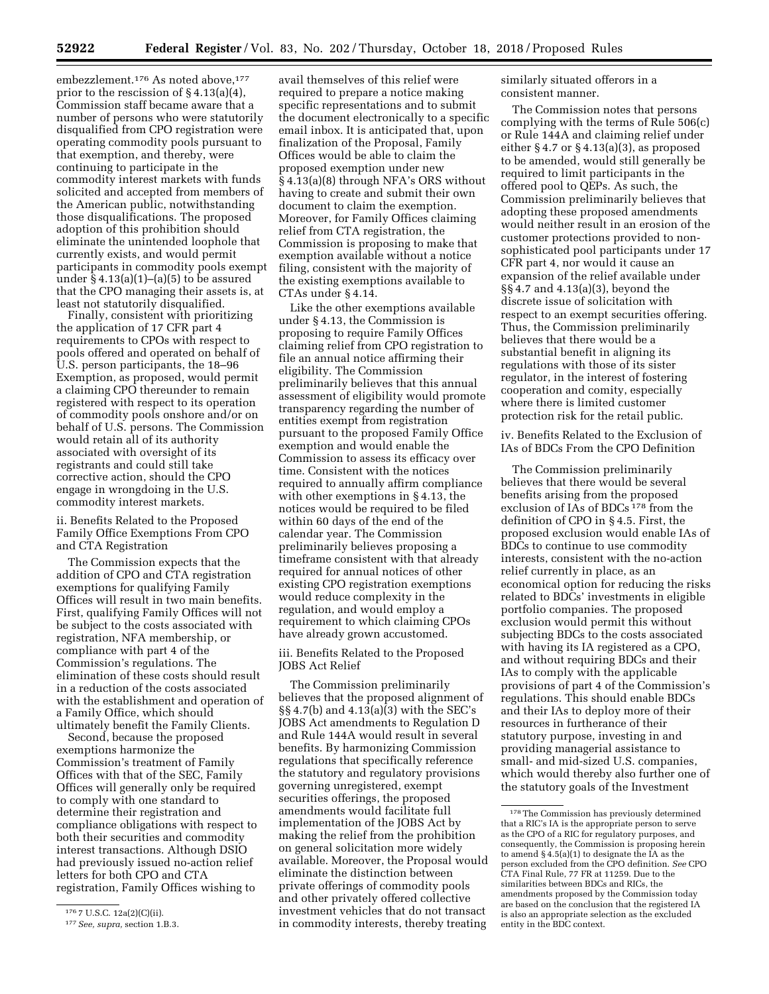embezzlement.<sup>176</sup> As noted above,<sup>177</sup> prior to the rescission of § 4.13(a)(4), Commission staff became aware that a number of persons who were statutorily disqualified from CPO registration were operating commodity pools pursuant to that exemption, and thereby, were continuing to participate in the commodity interest markets with funds solicited and accepted from members of the American public, notwithstanding those disqualifications. The proposed adoption of this prohibition should eliminate the unintended loophole that currently exists, and would permit participants in commodity pools exempt under  $\S 4.13(a)(1)–(a)(5)$  to be assured that the CPO managing their assets is, at least not statutorily disqualified.

Finally, consistent with prioritizing the application of 17 CFR part 4 requirements to CPOs with respect to pools offered and operated on behalf of U.S. person participants, the 18–96 Exemption, as proposed, would permit a claiming CPO thereunder to remain registered with respect to its operation of commodity pools onshore and/or on behalf of U.S. persons. The Commission would retain all of its authority associated with oversight of its registrants and could still take corrective action, should the CPO engage in wrongdoing in the U.S. commodity interest markets.

ii. Benefits Related to the Proposed Family Office Exemptions From CPO and CTA Registration

The Commission expects that the addition of CPO and CTA registration exemptions for qualifying Family Offices will result in two main benefits. First, qualifying Family Offices will not be subject to the costs associated with registration, NFA membership, or compliance with part 4 of the Commission's regulations. The elimination of these costs should result in a reduction of the costs associated with the establishment and operation of a Family Office, which should ultimately benefit the Family Clients.

Second, because the proposed exemptions harmonize the Commission's treatment of Family Offices with that of the SEC, Family Offices will generally only be required to comply with one standard to determine their registration and compliance obligations with respect to both their securities and commodity interest transactions. Although DSIO had previously issued no-action relief letters for both CPO and CTA registration, Family Offices wishing to

avail themselves of this relief were required to prepare a notice making specific representations and to submit the document electronically to a specific email inbox. It is anticipated that, upon finalization of the Proposal, Family Offices would be able to claim the proposed exemption under new § 4.13(a)(8) through NFA's ORS without having to create and submit their own document to claim the exemption. Moreover, for Family Offices claiming relief from CTA registration, the Commission is proposing to make that exemption available without a notice filing, consistent with the majority of the existing exemptions available to CTAs under § 4.14.

Like the other exemptions available under § 4.13, the Commission is proposing to require Family Offices claiming relief from CPO registration to file an annual notice affirming their eligibility. The Commission preliminarily believes that this annual assessment of eligibility would promote transparency regarding the number of entities exempt from registration pursuant to the proposed Family Office exemption and would enable the Commission to assess its efficacy over time. Consistent with the notices required to annually affirm compliance with other exemptions in § 4.13, the notices would be required to be filed within 60 days of the end of the calendar year. The Commission preliminarily believes proposing a timeframe consistent with that already required for annual notices of other existing CPO registration exemptions would reduce complexity in the regulation, and would employ a requirement to which claiming CPOs have already grown accustomed.

iii. Benefits Related to the Proposed JOBS Act Relief

The Commission preliminarily believes that the proposed alignment of §§ 4.7(b) and 4.13(a)(3) with the SEC's JOBS Act amendments to Regulation D and Rule 144A would result in several benefits. By harmonizing Commission regulations that specifically reference the statutory and regulatory provisions governing unregistered, exempt securities offerings, the proposed amendments would facilitate full implementation of the JOBS Act by making the relief from the prohibition on general solicitation more widely available. Moreover, the Proposal would eliminate the distinction between private offerings of commodity pools and other privately offered collective investment vehicles that do not transact in commodity interests, thereby treating

similarly situated offerors in a consistent manner.

The Commission notes that persons complying with the terms of Rule 506(c) or Rule 144A and claiming relief under either  $\S 4.7$  or  $\S 4.13(a)(3)$ , as proposed to be amended, would still generally be required to limit participants in the offered pool to QEPs. As such, the Commission preliminarily believes that adopting these proposed amendments would neither result in an erosion of the customer protections provided to nonsophisticated pool participants under 17 CFR part 4, nor would it cause an expansion of the relief available under §§ 4.7 and 4.13(a)(3), beyond the discrete issue of solicitation with respect to an exempt securities offering. Thus, the Commission preliminarily believes that there would be a substantial benefit in aligning its regulations with those of its sister regulator, in the interest of fostering cooperation and comity, especially where there is limited customer protection risk for the retail public.

iv. Benefits Related to the Exclusion of IAs of BDCs From the CPO Definition

The Commission preliminarily believes that there would be several benefits arising from the proposed exclusion of IAs of BDCs 178 from the definition of CPO in § 4.5. First, the proposed exclusion would enable IAs of BDCs to continue to use commodity interests, consistent with the no-action relief currently in place, as an economical option for reducing the risks related to BDCs' investments in eligible portfolio companies. The proposed exclusion would permit this without subjecting BDCs to the costs associated with having its IA registered as a CPO, and without requiring BDCs and their IAs to comply with the applicable provisions of part 4 of the Commission's regulations. This should enable BDCs and their IAs to deploy more of their resources in furtherance of their statutory purpose, investing in and providing managerial assistance to small- and mid-sized U.S. companies, which would thereby also further one of the statutory goals of the Investment

<sup>176</sup> 7 U.S.C. 12a(2)(C)(ii).

<sup>177</sup>*See, supra,* section 1.B.3.

<sup>178</sup>The Commission has previously determined that a RIC's IA is the appropriate person to serve as the CPO of a RIC for regulatory purposes, and consequently, the Commission is proposing herein to amend § 4.5(a)(1) to designate the IA as the person excluded from the CPO definition. *See* CPO CTA Final Rule, 77 FR at 11259. Due to the similarities between BDCs and RICs, the amendments proposed by the Commission today are based on the conclusion that the registered IA is also an appropriate selection as the excluded entity in the BDC context.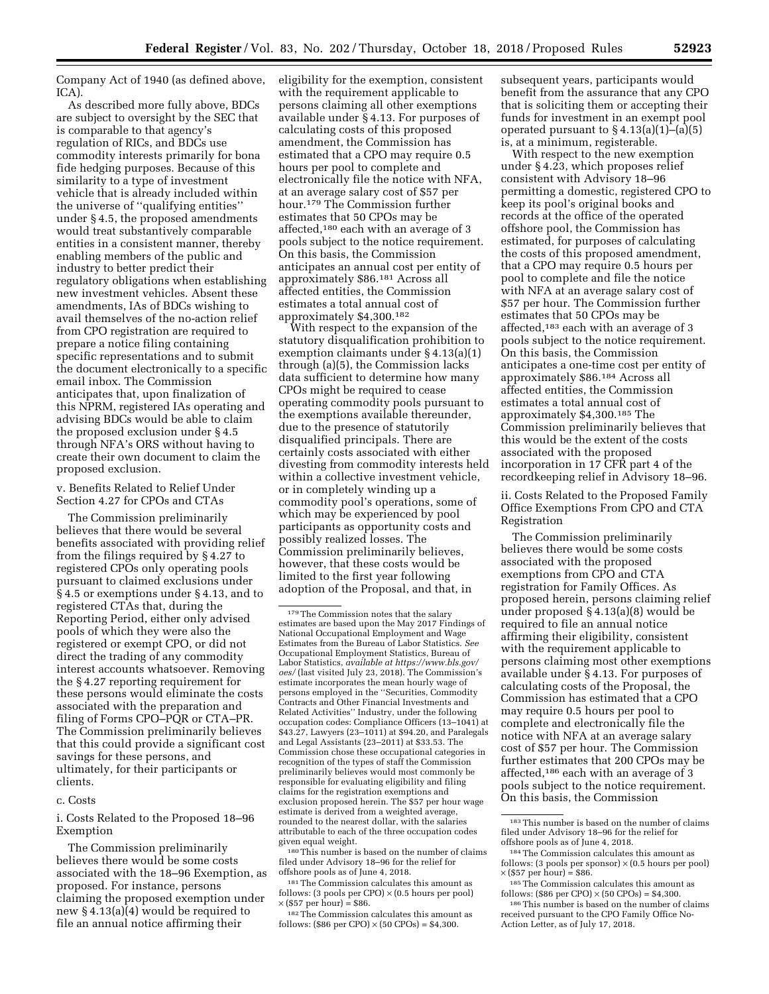Company Act of 1940 (as defined above, ICA).

As described more fully above, BDCs are subject to oversight by the SEC that is comparable to that agency's regulation of RICs, and BDCs use commodity interests primarily for bona fide hedging purposes. Because of this similarity to a type of investment vehicle that is already included within the universe of ''qualifying entities'' under § 4.5, the proposed amendments would treat substantively comparable entities in a consistent manner, thereby enabling members of the public and industry to better predict their regulatory obligations when establishing new investment vehicles. Absent these amendments, IAs of BDCs wishing to avail themselves of the no-action relief from CPO registration are required to prepare a notice filing containing specific representations and to submit the document electronically to a specific email inbox. The Commission anticipates that, upon finalization of this NPRM, registered IAs operating and advising BDCs would be able to claim the proposed exclusion under § 4.5 through NFA's ORS without having to create their own document to claim the proposed exclusion.

v. Benefits Related to Relief Under Section 4.27 for CPOs and CTAs

The Commission preliminarily believes that there would be several benefits associated with providing relief from the filings required by § 4.27 to registered CPOs only operating pools pursuant to claimed exclusions under § 4.5 or exemptions under § 4.13, and to registered CTAs that, during the Reporting Period, either only advised pools of which they were also the registered or exempt CPO, or did not direct the trading of any commodity interest accounts whatsoever. Removing the § 4.27 reporting requirement for these persons would eliminate the costs associated with the preparation and filing of Forms CPO–PQR or CTA–PR. The Commission preliminarily believes that this could provide a significant cost savings for these persons, and ultimately, for their participants or clients.

## c. Costs

i. Costs Related to the Proposed 18–96 Exemption

The Commission preliminarily believes there would be some costs associated with the 18–96 Exemption, as proposed. For instance, persons claiming the proposed exemption under new § 4.13(a)(4) would be required to file an annual notice affirming their

eligibility for the exemption, consistent with the requirement applicable to persons claiming all other exemptions available under § 4.13. For purposes of calculating costs of this proposed amendment, the Commission has estimated that a CPO may require 0.5 hours per pool to complete and electronically file the notice with NFA, at an average salary cost of \$57 per hour.179 The Commission further estimates that 50 CPOs may be affected,180 each with an average of 3 pools subject to the notice requirement. On this basis, the Commission anticipates an annual cost per entity of approximately \$86.181 Across all affected entities, the Commission estimates a total annual cost of approximately \$4,300.182

With respect to the expansion of the statutory disqualification prohibition to exemption claimants under § 4.13(a)(1) through (a)(5), the Commission lacks data sufficient to determine how many CPOs might be required to cease operating commodity pools pursuant to the exemptions available thereunder, due to the presence of statutorily disqualified principals. There are certainly costs associated with either divesting from commodity interests held within a collective investment vehicle, or in completely winding up a commodity pool's operations, some of which may be experienced by pool participants as opportunity costs and possibly realized losses. The Commission preliminarily believes, however, that these costs would be limited to the first year following adoption of the Proposal, and that, in

180This number is based on the number of claims filed under Advisory 18–96 for the relief for offshore pools as of June 4, 2018.

181The Commission calculates this amount as follows: (3 pools per CPO)  $\times$  (0.5 hours per pool)  $\times$  (\$57 per hour) = \$86.

182The Commission calculates this amount as follows: (\$86 per CPO)  $\times$  (50 CPOs) = \$4,300.

subsequent years, participants would benefit from the assurance that any CPO that is soliciting them or accepting their funds for investment in an exempt pool operated pursuant to  $\S 4.13(a)(1)–(a)(5)$ is, at a minimum, registerable.

With respect to the new exemption under § 4.23, which proposes relief consistent with Advisory 18–96 permitting a domestic, registered CPO to keep its pool's original books and records at the office of the operated offshore pool, the Commission has estimated, for purposes of calculating the costs of this proposed amendment, that a CPO may require 0.5 hours per pool to complete and file the notice with NFA at an average salary cost of \$57 per hour. The Commission further estimates that 50 CPOs may be affected,183 each with an average of 3 pools subject to the notice requirement. On this basis, the Commission anticipates a one-time cost per entity of approximately \$86.184 Across all affected entities, the Commission estimates a total annual cost of approximately \$4,300.185 The Commission preliminarily believes that this would be the extent of the costs associated with the proposed incorporation in 17 CFR part 4 of the recordkeeping relief in Advisory 18–96.

ii. Costs Related to the Proposed Family Office Exemptions From CPO and CTA Registration

The Commission preliminarily believes there would be some costs associated with the proposed exemptions from CPO and CTA registration for Family Offices. As proposed herein, persons claiming relief under proposed § 4.13(a)(8) would be required to file an annual notice affirming their eligibility, consistent with the requirement applicable to persons claiming most other exemptions available under § 4.13. For purposes of calculating costs of the Proposal, the Commission has estimated that a CPO may require 0.5 hours per pool to complete and electronically file the notice with NFA at an average salary cost of \$57 per hour. The Commission further estimates that 200 CPOs may be affected,  $^{186}$  each with an average of  $3\,$ pools subject to the notice requirement. On this basis, the Commission

<sup>179</sup>The Commission notes that the salary estimates are based upon the May 2017 Findings of National Occupational Employment and Wage Estimates from the Bureau of Labor Statistics. *See*  Occupational Employment Statistics, Bureau of Labor Statistics, *available at [https://www.bls.gov/](https://www.bls.gov/oes/) [oes/](https://www.bls.gov/oes/)* (last visited July 23, 2018). The Commission's estimate incorporates the mean hourly wage of persons employed in the ''Securities, Commodity Contracts and Other Financial Investments and Related Activities'' Industry, under the following occupation codes: Compliance Officers (13–1041) at \$43.27, Lawyers (23–1011) at \$94.20, and Paralegals and Legal Assistants (23–2011) at \$33.53. The Commission chose these occupational categories in recognition of the types of staff the Commission preliminarily believes would most commonly be responsible for evaluating eligibility and filing claims for the registration exemptions and exclusion proposed herein. The \$57 per hour wage estimate is derived from a weighted average, rounded to the nearest dollar, with the salaries attributable to each of the three occupation codes given equal weight.

<sup>183</sup>This number is based on the number of claims filed under Advisory 18–96 for the relief for % offshore pools as of June 4, 2018.  $184\text{ The Commission calculates this amount as }$ 

follows: (3 pools per sponsor)  $\times$  (0.5 hours per pool)  $\times$  (\$57 per hour) = \$86.

<sup>&</sup>lt;sup>185</sup> The Commission calculates this amount as follows: (\$86 per CPO)  $\times$  (50 CPOs) = \$4,300.

 $186$  This number is based on the number of claims received pursuant to the CPO Family Office No-Action Letter, as of July 17, 2018.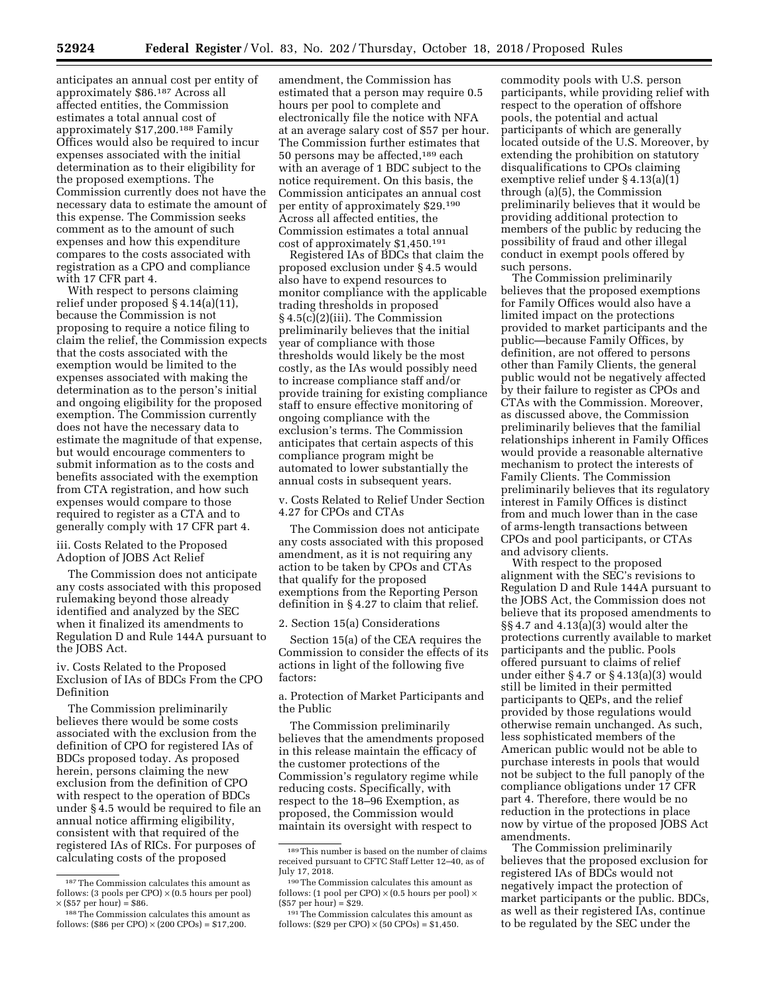anticipates an annual cost per entity of approximately \$86.187 Across all affected entities, the Commission estimates a total annual cost of approximately \$17,200.188 Family Offices would also be required to incur expenses associated with the initial determination as to their eligibility for the proposed exemptions. The Commission currently does not have the necessary data to estimate the amount of this expense. The Commission seeks comment as to the amount of such expenses and how this expenditure compares to the costs associated with registration as a CPO and compliance with 17 CFR part 4.

With respect to persons claiming relief under proposed § 4.14(a)(11), because the Commission is not proposing to require a notice filing to claim the relief, the Commission expects that the costs associated with the exemption would be limited to the expenses associated with making the determination as to the person's initial and ongoing eligibility for the proposed exemption. The Commission currently does not have the necessary data to estimate the magnitude of that expense, but would encourage commenters to submit information as to the costs and benefits associated with the exemption from CTA registration, and how such expenses would compare to those required to register as a CTA and to generally comply with 17 CFR part 4.

iii. Costs Related to the Proposed Adoption of JOBS Act Relief

The Commission does not anticipate any costs associated with this proposed rulemaking beyond those already identified and analyzed by the SEC when it finalized its amendments to Regulation D and Rule 144A pursuant to the JOBS Act.

iv. Costs Related to the Proposed Exclusion of IAs of BDCs From the CPO Definition

The Commission preliminarily believes there would be some costs associated with the exclusion from the definition of CPO for registered IAs of BDCs proposed today. As proposed herein, persons claiming the new exclusion from the definition of CPO with respect to the operation of BDCs under § 4.5 would be required to file an annual notice affirming eligibility, consistent with that required of the registered IAs of RICs. For purposes of calculating costs of the proposed

amendment, the Commission has estimated that a person may require 0.5 hours per pool to complete and electronically file the notice with NFA at an average salary cost of \$57 per hour. The Commission further estimates that 50 persons may be affected,189 each with an average of 1 BDC subject to the notice requirement. On this basis, the Commission anticipates an annual cost per entity of approximately \$29.190 Across all affected entities, the Commission estimates a total annual cost of approximately \$1,450.191

Registered IAs of BDCs that claim the proposed exclusion under § 4.5 would also have to expend resources to monitor compliance with the applicable trading thresholds in proposed § 4.5(c)(2)(iii). The Commission preliminarily believes that the initial year of compliance with those thresholds would likely be the most costly, as the IAs would possibly need to increase compliance staff and/or provide training for existing compliance staff to ensure effective monitoring of ongoing compliance with the exclusion's terms. The Commission anticipates that certain aspects of this compliance program might be automated to lower substantially the annual costs in subsequent years.

v. Costs Related to Relief Under Section 4.27 for CPOs and CTAs

The Commission does not anticipate any costs associated with this proposed amendment, as it is not requiring any action to be taken by CPOs and CTAs that qualify for the proposed exemptions from the Reporting Person definition in § 4.27 to claim that relief.

2. Section 15(a) Considerations

Section 15(a) of the CEA requires the Commission to consider the effects of its actions in light of the following five factors:

a. Protection of Market Participants and the Public

The Commission preliminarily believes that the amendments proposed in this release maintain the efficacy of the customer protections of the Commission's regulatory regime while reducing costs. Specifically, with respect to the 18–96 Exemption, as proposed, the Commission would maintain its oversight with respect to

commodity pools with U.S. person participants, while providing relief with respect to the operation of offshore pools, the potential and actual participants of which are generally located outside of the U.S. Moreover, by extending the prohibition on statutory disqualifications to CPOs claiming exemptive relief under § 4.13(a)(1) through (a)(5), the Commission preliminarily believes that it would be providing additional protection to members of the public by reducing the possibility of fraud and other illegal conduct in exempt pools offered by such persons.

The Commission preliminarily believes that the proposed exemptions for Family Offices would also have a limited impact on the protections provided to market participants and the public—because Family Offices, by definition, are not offered to persons other than Family Clients, the general public would not be negatively affected by their failure to register as CPOs and CTAs with the Commission. Moreover, as discussed above, the Commission preliminarily believes that the familial relationships inherent in Family Offices would provide a reasonable alternative mechanism to protect the interests of Family Clients. The Commission preliminarily believes that its regulatory interest in Family Offices is distinct from and much lower than in the case of arms-length transactions between CPOs and pool participants, or CTAs and advisory clients.

With respect to the proposed alignment with the SEC's revisions to Regulation D and Rule 144A pursuant to the JOBS Act, the Commission does not believe that its proposed amendments to §§ 4.7 and 4.13(a)(3) would alter the protections currently available to market participants and the public. Pools offered pursuant to claims of relief under either § 4.7 or § 4.13(a)(3) would still be limited in their permitted participants to QEPs, and the relief provided by those regulations would otherwise remain unchanged. As such, less sophisticated members of the American public would not be able to purchase interests in pools that would not be subject to the full panoply of the compliance obligations under 17 CFR part 4. Therefore, there would be no reduction in the protections in place now by virtue of the proposed JOBS Act amendments.

The Commission preliminarily believes that the proposed exclusion for registered IAs of BDCs would not negatively impact the protection of market participants or the public. BDCs, as well as their registered IAs, continue to be regulated by the SEC under the

<sup>187</sup>The Commission calculates this amount as follows: (3 pools per CPO)  $\times$  (0.5 hours per pool)  $\times$  (\$57 per hour) = \$86.

<sup>188</sup>The Commission calculates this amount as follows: (\$86 per CPO)  $\times$  (200 CPOs) = \$17,200.

<sup>189</sup>This number is based on the number of claims received pursuant to CFTC Staff Letter 12–40, as of July 17, 2018.

<sup>190</sup>The Commission calculates this amount as follows: (1 pool per CPO)  $\times$  (0.5 hours per pool)  $\times$ (\$57 per hour) = \$29.

<sup>191</sup>The Commission calculates this amount as follows: (\$29 per CPO)  $\times$  (50 CPOs) = \$1,450.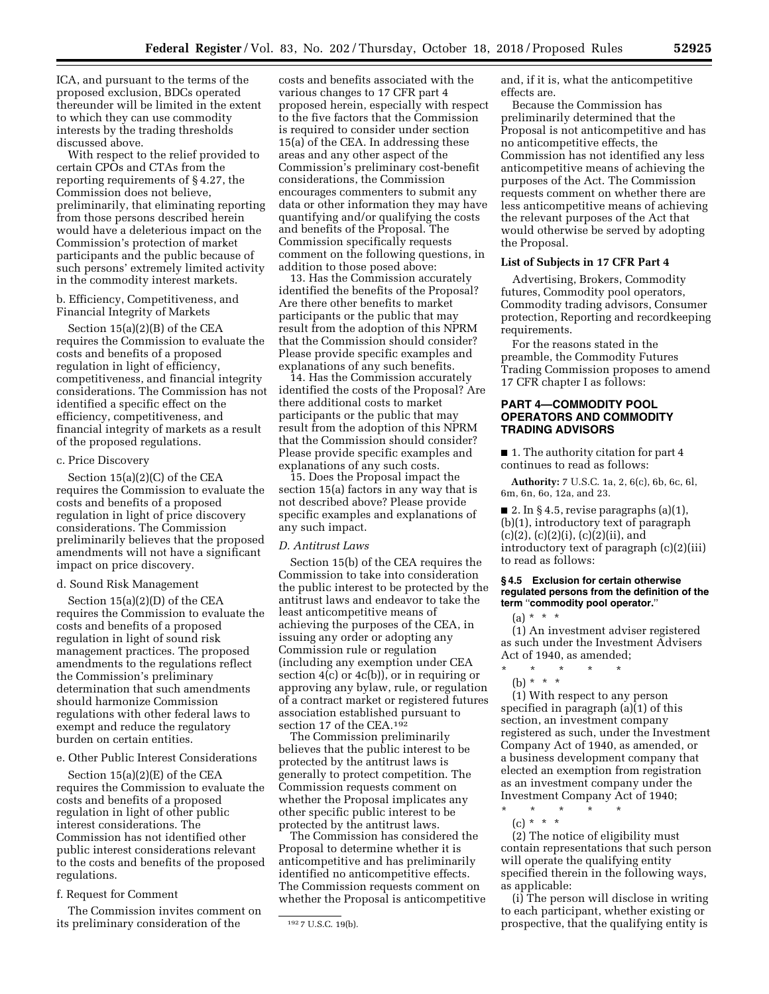ICA, and pursuant to the terms of the proposed exclusion, BDCs operated thereunder will be limited in the extent to which they can use commodity interests by the trading thresholds discussed above.

With respect to the relief provided to certain CPOs and CTAs from the reporting requirements of § 4.27, the Commission does not believe, preliminarily, that eliminating reporting from those persons described herein would have a deleterious impact on the Commission's protection of market participants and the public because of such persons' extremely limited activity in the commodity interest markets.

b. Efficiency, Competitiveness, and Financial Integrity of Markets

Section 15(a)(2)(B) of the CEA requires the Commission to evaluate the costs and benefits of a proposed regulation in light of efficiency, competitiveness, and financial integrity considerations. The Commission has not identified a specific effect on the efficiency, competitiveness, and financial integrity of markets as a result of the proposed regulations.

### c. Price Discovery

Section 15(a)(2)(C) of the CEA requires the Commission to evaluate the costs and benefits of a proposed regulation in light of price discovery considerations. The Commission preliminarily believes that the proposed amendments will not have a significant impact on price discovery.

### d. Sound Risk Management

Section 15(a)(2)(D) of the CEA requires the Commission to evaluate the costs and benefits of a proposed regulation in light of sound risk management practices. The proposed amendments to the regulations reflect the Commission's preliminary determination that such amendments should harmonize Commission regulations with other federal laws to exempt and reduce the regulatory burden on certain entities.

e. Other Public Interest Considerations

Section 15(a)(2)(E) of the CEA requires the Commission to evaluate the costs and benefits of a proposed regulation in light of other public interest considerations. The Commission has not identified other public interest considerations relevant to the costs and benefits of the proposed regulations.

f. Request for Comment

The Commission invites comment on its preliminary consideration of the

costs and benefits associated with the various changes to 17 CFR part 4 proposed herein, especially with respect to the five factors that the Commission is required to consider under section 15(a) of the CEA. In addressing these areas and any other aspect of the Commission's preliminary cost-benefit considerations, the Commission encourages commenters to submit any data or other information they may have quantifying and/or qualifying the costs and benefits of the Proposal. The Commission specifically requests comment on the following questions, in addition to those posed above:

13. Has the Commission accurately identified the benefits of the Proposal? Are there other benefits to market participants or the public that may result from the adoption of this NPRM that the Commission should consider? Please provide specific examples and explanations of any such benefits.

14. Has the Commission accurately identified the costs of the Proposal? Are there additional costs to market participants or the public that may result from the adoption of this NPRM that the Commission should consider? Please provide specific examples and explanations of any such costs.

15. Does the Proposal impact the section 15(a) factors in any way that is not described above? Please provide specific examples and explanations of any such impact.

#### *D. Antitrust Laws*

Section 15(b) of the CEA requires the Commission to take into consideration the public interest to be protected by the antitrust laws and endeavor to take the least anticompetitive means of achieving the purposes of the CEA, in issuing any order or adopting any Commission rule or regulation (including any exemption under CEA section  $4(c)$  or  $4c(b)$ , or in requiring or approving any bylaw, rule, or regulation of a contract market or registered futures association established pursuant to section 17 of the CEA.192

The Commission preliminarily believes that the public interest to be protected by the antitrust laws is generally to protect competition. The Commission requests comment on whether the Proposal implicates any other specific public interest to be protected by the antitrust laws.

The Commission has considered the Proposal to determine whether it is anticompetitive and has preliminarily identified no anticompetitive effects. The Commission requests comment on whether the Proposal is anticompetitive and, if it is, what the anticompetitive effects are.

Because the Commission has preliminarily determined that the Proposal is not anticompetitive and has no anticompetitive effects, the Commission has not identified any less anticompetitive means of achieving the purposes of the Act. The Commission requests comment on whether there are less anticompetitive means of achieving the relevant purposes of the Act that would otherwise be served by adopting the Proposal.

### **List of Subjects in 17 CFR Part 4**

Advertising, Brokers, Commodity futures, Commodity pool operators, Commodity trading advisors, Consumer protection, Reporting and recordkeeping requirements.

For the reasons stated in the preamble, the Commodity Futures Trading Commission proposes to amend 17 CFR chapter I as follows:

## **PART 4—COMMODITY POOL OPERATORS AND COMMODITY TRADING ADVISORS**

■ 1. The authority citation for part 4 continues to read as follows:

**Authority:** 7 U.S.C. 1a, 2, 6(c), 6b, 6c, 6l, 6m, 6n, 6o, 12a, and 23.

■ 2. In § 4.5, revise paragraphs  $(a)(1)$ , (b)(1), introductory text of paragraph  $(c)(2), (c)(2)(i), (c)(2)(ii), and$ introductory text of paragraph (c)(2)(iii) to read as follows:

#### **§ 4.5 Exclusion for certain otherwise regulated persons from the definition of the term** ''**commodity pool operator.**''

 $(a) * * * *$ 

(1) An investment adviser registered as such under the Investment Advisers Act of 1940, as amended;

- \* \* \* \* \*
	- (b) \* \* \*

(1) With respect to any person specified in paragraph (a)(1) of this section, an investment company registered as such, under the Investment Company Act of 1940, as amended, or a business development company that elected an exemption from registration as an investment company under the Investment Company Act of 1940;

\* \* \* \* \* (c) \* \* \*

(2) The notice of eligibility must contain representations that such person will operate the qualifying entity specified therein in the following ways, as applicable:

(i) The person will disclose in writing to each participant, whether existing or prospective, that the qualifying entity is

<sup>192</sup> 7 U.S.C. 19(b).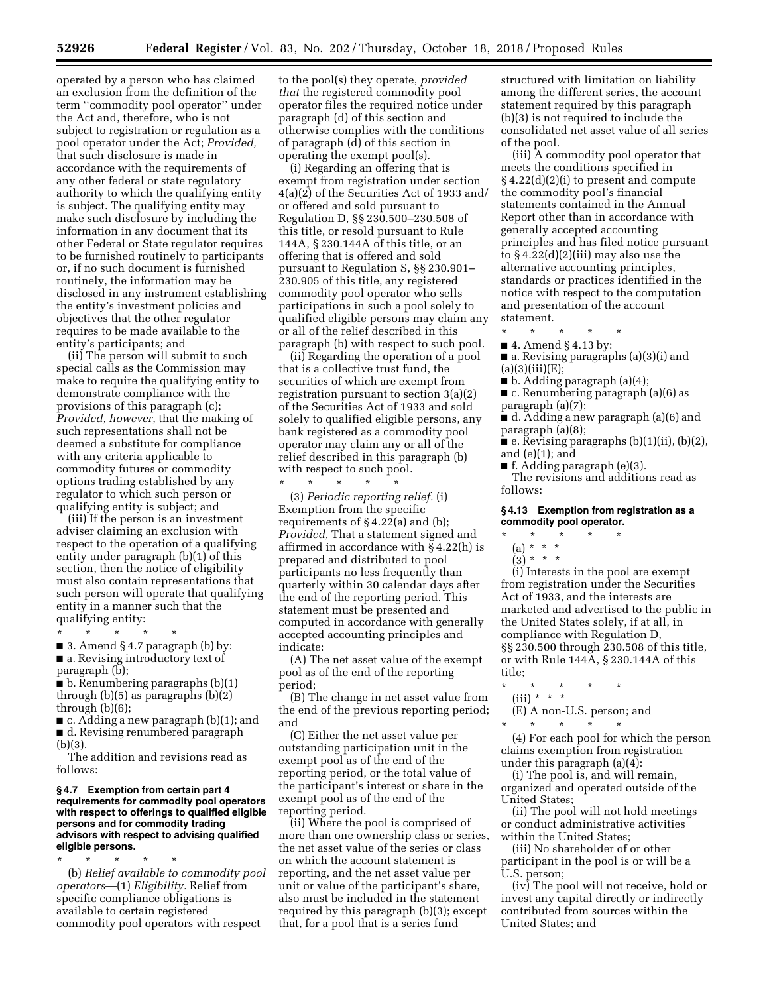operated by a person who has claimed an exclusion from the definition of the term ''commodity pool operator'' under the Act and, therefore, who is not subject to registration or regulation as a pool operator under the Act; *Provided,*  that such disclosure is made in accordance with the requirements of any other federal or state regulatory authority to which the qualifying entity is subject. The qualifying entity may make such disclosure by including the information in any document that its other Federal or State regulator requires to be furnished routinely to participants or, if no such document is furnished routinely, the information may be disclosed in any instrument establishing the entity's investment policies and objectives that the other regulator requires to be made available to the entity's participants; and

(ii) The person will submit to such special calls as the Commission may make to require the qualifying entity to demonstrate compliance with the provisions of this paragraph (c); *Provided, however,* that the making of such representations shall not be deemed a substitute for compliance with any criteria applicable to commodity futures or commodity options trading established by any regulator to which such person or qualifying entity is subject; and

(iii) If the person is an investment adviser claiming an exclusion with respect to the operation of a qualifying entity under paragraph (b)(1) of this section, then the notice of eligibility must also contain representations that such person will operate that qualifying entity in a manner such that the qualifying entity:

\* \* \* \* \*  $\blacksquare$  3. Amend § 4.7 paragraph (b) by: ■ a. Revising introductory text of paragraph (b);

■ b. Renumbering paragraphs (b)(1) through (b)(5) as paragraphs (b)(2) through (b)(6);

■ c. Adding a new paragraph (b)(1); and ■ d. Revising renumbered paragraph (b)(3).

The addition and revisions read as follows:

#### **§ 4.7 Exemption from certain part 4 requirements for commodity pool operators with respect to offerings to qualified eligible persons and for commodity trading advisors with respect to advising qualified eligible persons.**

\* \* \* \* \* (b) *Relief available to commodity pool operators*—(1) *Eligibility.* Relief from specific compliance obligations is available to certain registered commodity pool operators with respect

to the pool(s) they operate, *provided that* the registered commodity pool operator files the required notice under paragraph (d) of this section and otherwise complies with the conditions of paragraph (d) of this section in operating the exempt pool(s).

(i) Regarding an offering that is exempt from registration under section 4(a)(2) of the Securities Act of 1933 and/ or offered and sold pursuant to Regulation D, §§ 230.500–230.508 of this title, or resold pursuant to Rule 144A, § 230.144A of this title, or an offering that is offered and sold pursuant to Regulation S, §§ 230.901– 230.905 of this title, any registered commodity pool operator who sells participations in such a pool solely to qualified eligible persons may claim any or all of the relief described in this paragraph (b) with respect to such pool.

(ii) Regarding the operation of a pool that is a collective trust fund, the securities of which are exempt from registration pursuant to section 3(a)(2) of the Securities Act of 1933 and sold solely to qualified eligible persons, any bank registered as a commodity pool operator may claim any or all of the relief described in this paragraph (b) with respect to such pool.

\* \* \* \* \*

(3) *Periodic reporting relief.* (i) Exemption from the specific requirements of § 4.22(a) and (b); *Provided,* That a statement signed and affirmed in accordance with § 4.22(h) is prepared and distributed to pool participants no less frequently than quarterly within 30 calendar days after the end of the reporting period. This statement must be presented and computed in accordance with generally accepted accounting principles and indicate:

(A) The net asset value of the exempt pool as of the end of the reporting period;

(B) The change in net asset value from the end of the previous reporting period; and

(C) Either the net asset value per outstanding participation unit in the exempt pool as of the end of the reporting period, or the total value of the participant's interest or share in the exempt pool as of the end of the reporting period.

(ii) Where the pool is comprised of more than one ownership class or series, the net asset value of the series or class on which the account statement is reporting, and the net asset value per unit or value of the participant's share, also must be included in the statement required by this paragraph (b)(3); except that, for a pool that is a series fund

structured with limitation on liability among the different series, the account statement required by this paragraph (b)(3) is not required to include the consolidated net asset value of all series of the pool.

(iii) A commodity pool operator that meets the conditions specified in § 4.22(d)(2)(i) to present and compute the commodity pool's financial statements contained in the Annual Report other than in accordance with generally accepted accounting principles and has filed notice pursuant to  $§$  4.22(d)(2)(iii) may also use the alternative accounting principles, standards or practices identified in the notice with respect to the computation and presentation of the account statement.

\* \* \* \* \*

- 4. Amend § 4.13 by: ■ a. Revising paragraphs (a)(3)(i) and  $(a)(3)(iii)(E);$
- $\blacksquare$  b. Adding paragraph (a)(4);
- c. Renumbering paragraph (a)(6) as paragraph (a)(7);
- d. Adding a new paragraph (a)(6) and paragraph (a)(8);
- e. Revising paragraphs (b)(1)(ii), (b)(2), and (e)(1); and
- f. Adding paragraph (e)(3).

The revisions and additions read as follows:

#### **§ 4.13 Exemption from registration as a commodity pool operator.**

- \* \* \* \* \*
	- (a) \* \* \*
	- $(3) * * * *$

(i) Interests in the pool are exempt from registration under the Securities Act of 1933, and the interests are marketed and advertised to the public in the United States solely, if at all, in compliance with Regulation D, §§ 230.500 through 230.508 of this title, or with Rule 144A, § 230.144A of this title;

- \* \* \* \* \*
- (iii) \* \* \*
	- (E) A non-U.S. person; and
	- \* \* \* \* \*

(4) For each pool for which the person claims exemption from registration under this paragraph (a)(4):

(i) The pool is, and will remain, organized and operated outside of the United States;

(ii) The pool will not hold meetings or conduct administrative activities within the United States;

(iii) No shareholder of or other participant in the pool is or will be a U.S. person;

(iv) The pool will not receive, hold or invest any capital directly or indirectly contributed from sources within the United States; and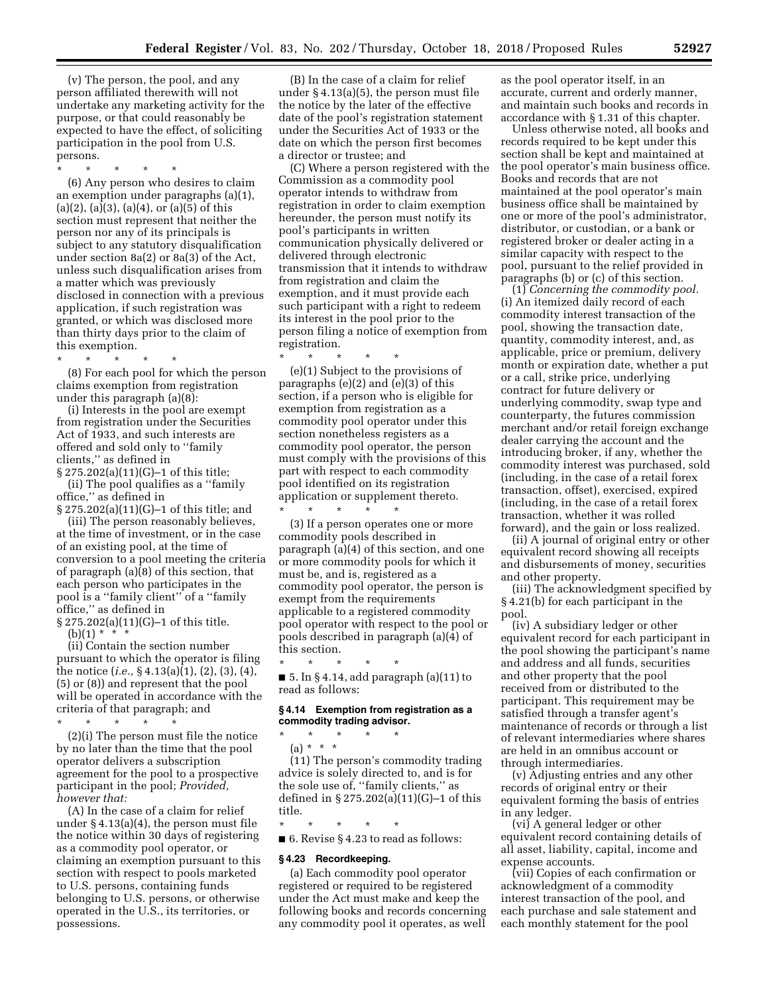(v) The person, the pool, and any person affiliated therewith will not undertake any marketing activity for the purpose, or that could reasonably be expected to have the effect, of soliciting participation in the pool from U.S. persons.

\* \* \* \* \*

(6) Any person who desires to claim an exemption under paragraphs (a)(1),  $(a)(2)$ ,  $(a)(3)$ ,  $(a)(4)$ , or  $(a)(5)$  of this section must represent that neither the person nor any of its principals is subject to any statutory disqualification under section 8a(2) or 8a(3) of the Act, unless such disqualification arises from a matter which was previously disclosed in connection with a previous application, if such registration was granted, or which was disclosed more than thirty days prior to the claim of this exemption.

\* \* \* \* \* (8) For each pool for which the person claims exemption from registration under this paragraph (a)(8):

(i) Interests in the pool are exempt from registration under the Securities Act of 1933, and such interests are offered and sold only to ''family clients,'' as defined in

§ 275.202(a)(11)(G)–1 of this title; (ii) The pool qualifies as a ''family

office,'' as defined in § 275.202(a)(11)(G)–1 of this title; and

(iii) The person reasonably believes, at the time of investment, or in the case of an existing pool, at the time of conversion to a pool meeting the criteria of paragraph (a)(8) of this section, that each person who participates in the pool is a ''family client'' of a ''family office,'' as defined in

§ 275.202(a)(11)(G)–1 of this title.  $(b)(1) * * * *$ 

(ii) Contain the section number pursuant to which the operator is filing the notice (*i.e.,* § 4.13(a)(1), (2), (3), (4), (5) or (8)) and represent that the pool will be operated in accordance with the criteria of that paragraph; and

\* \* \* \* \*

(2)(i) The person must file the notice by no later than the time that the pool operator delivers a subscription agreement for the pool to a prospective participant in the pool; *Provided, however that:* 

(A) In the case of a claim for relief under § 4.13(a)(4), the person must file the notice within 30 days of registering as a commodity pool operator, or claiming an exemption pursuant to this section with respect to pools marketed to U.S. persons, containing funds belonging to U.S. persons, or otherwise operated in the U.S., its territories, or possessions.

(B) In the case of a claim for relief under § 4.13(a)(5), the person must file the notice by the later of the effective date of the pool's registration statement under the Securities Act of 1933 or the date on which the person first becomes a director or trustee; and

(C) Where a person registered with the Commission as a commodity pool operator intends to withdraw from registration in order to claim exemption hereunder, the person must notify its pool's participants in written communication physically delivered or delivered through electronic transmission that it intends to withdraw from registration and claim the exemption, and it must provide each such participant with a right to redeem its interest in the pool prior to the person filing a notice of exemption from registration.

\* \* \* \* \*

(e)(1) Subject to the provisions of paragraphs (e)(2) and (e)(3) of this section, if a person who is eligible for exemption from registration as a commodity pool operator under this section nonetheless registers as a commodity pool operator, the person must comply with the provisions of this part with respect to each commodity pool identified on its registration application or supplement thereto. \* \* \* \* \*

(3) If a person operates one or more commodity pools described in paragraph (a)(4) of this section, and one or more commodity pools for which it must be, and is, registered as a commodity pool operator, the person is exempt from the requirements applicable to a registered commodity pool operator with respect to the pool or pools described in paragraph (a)(4) of this section.

\* \* \* \* \* ■ 5. In § 4.14, add paragraph (a)(11) to read as follows:

### **§ 4.14 Exemption from registration as a commodity trading advisor.**

- \* \* \* \* \*
- (a) \* \* \*

(11) The person's commodity trading advice is solely directed to, and is for the sole use of, ''family clients,'' as defined in § 275.202(a)(11)(G)–1 of this title.

\* \* \* \* \*

■ 6. Revise § 4.23 to read as follows:

# **§ 4.23 Recordkeeping.**

(a) Each commodity pool operator registered or required to be registered under the Act must make and keep the following books and records concerning any commodity pool it operates, as well as the pool operator itself, in an accurate, current and orderly manner, and maintain such books and records in accordance with § 1.31 of this chapter.

Unless otherwise noted, all books and records required to be kept under this section shall be kept and maintained at the pool operator's main business office. Books and records that are not maintained at the pool operator's main business office shall be maintained by one or more of the pool's administrator, distributor, or custodian, or a bank or registered broker or dealer acting in a similar capacity with respect to the pool, pursuant to the relief provided in paragraphs (b) or (c) of this section.

(1) *Concerning the commodity pool.*  (i) An itemized daily record of each commodity interest transaction of the pool, showing the transaction date, quantity, commodity interest, and, as applicable, price or premium, delivery month or expiration date, whether a put or a call, strike price, underlying contract for future delivery or underlying commodity, swap type and counterparty, the futures commission merchant and/or retail foreign exchange dealer carrying the account and the introducing broker, if any, whether the commodity interest was purchased, sold (including, in the case of a retail forex transaction, offset), exercised, expired (including, in the case of a retail forex transaction, whether it was rolled forward), and the gain or loss realized.

(ii) A journal of original entry or other equivalent record showing all receipts and disbursements of money, securities and other property.

(iii) The acknowledgment specified by § 4.21(b) for each participant in the pool.

(iv) A subsidiary ledger or other equivalent record for each participant in the pool showing the participant's name and address and all funds, securities and other property that the pool received from or distributed to the participant. This requirement may be satisfied through a transfer agent's maintenance of records or through a list of relevant intermediaries where shares are held in an omnibus account or through intermediaries.

(v) Adjusting entries and any other records of original entry or their equivalent forming the basis of entries in any ledger.

(vi) A general ledger or other equivalent record containing details of all asset, liability, capital, income and expense accounts.

(vii) Copies of each confirmation or acknowledgment of a commodity interest transaction of the pool, and each purchase and sale statement and each monthly statement for the pool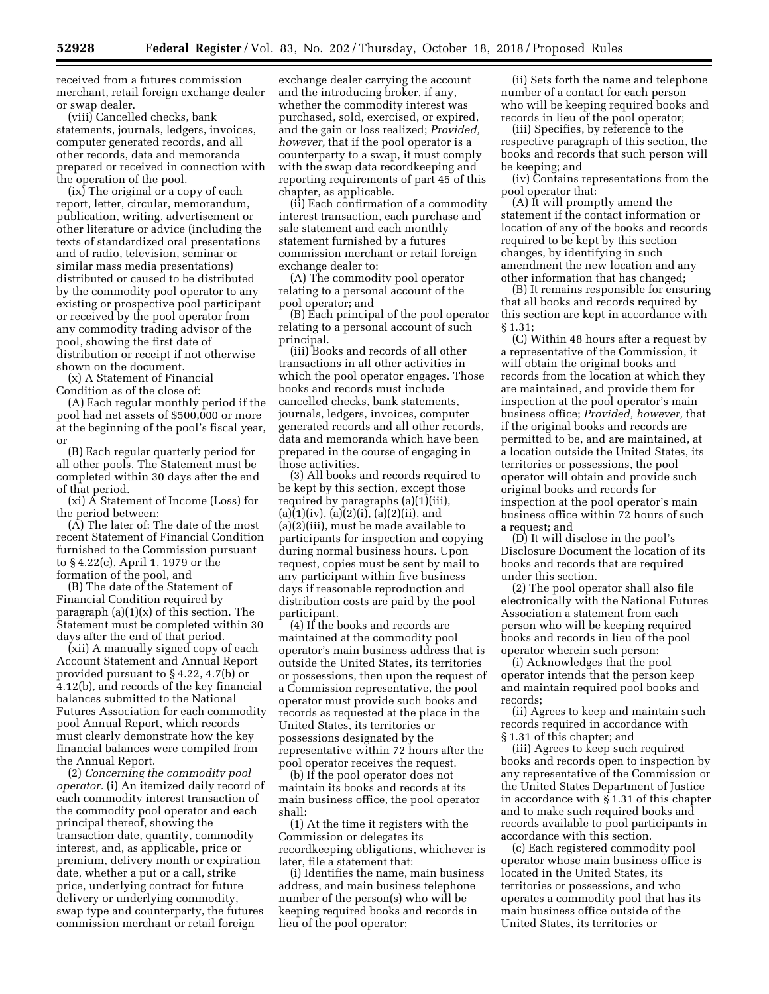received from a futures commission merchant, retail foreign exchange dealer or swap dealer.

(viii) Cancelled checks, bank statements, journals, ledgers, invoices, computer generated records, and all other records, data and memoranda prepared or received in connection with the operation of the pool.

(ix) The original or a copy of each report, letter, circular, memorandum, publication, writing, advertisement or other literature or advice (including the texts of standardized oral presentations and of radio, television, seminar or similar mass media presentations) distributed or caused to be distributed by the commodity pool operator to any existing or prospective pool participant or received by the pool operator from any commodity trading advisor of the pool, showing the first date of distribution or receipt if not otherwise shown on the document.

(x) A Statement of Financial Condition as of the close of:

(A) Each regular monthly period if the pool had net assets of \$500,000 or more at the beginning of the pool's fiscal year, or

(B) Each regular quarterly period for all other pools. The Statement must be completed within 30 days after the end of that period.

(xi) A Statement of Income (Loss) for the period between:

(A) The later of: The date of the most recent Statement of Financial Condition furnished to the Commission pursuant to § 4.22(c), April 1, 1979 or the formation of the pool, and

(B) The date of the Statement of Financial Condition required by paragraph  $(a)(1)(x)$  of this section. The Statement must be completed within 30 days after the end of that period.

(xii) A manually signed copy of each Account Statement and Annual Report provided pursuant to § 4.22, 4.7(b) or 4.12(b), and records of the key financial balances submitted to the National Futures Association for each commodity pool Annual Report, which records must clearly demonstrate how the key financial balances were compiled from the Annual Report.

(2) *Concerning the commodity pool operator.* (i) An itemized daily record of each commodity interest transaction of the commodity pool operator and each principal thereof, showing the transaction date, quantity, commodity interest, and, as applicable, price or premium, delivery month or expiration date, whether a put or a call, strike price, underlying contract for future delivery or underlying commodity, swap type and counterparty, the futures commission merchant or retail foreign

exchange dealer carrying the account and the introducing broker, if any, whether the commodity interest was purchased, sold, exercised, or expired, and the gain or loss realized; *Provided, however,* that if the pool operator is a counterparty to a swap, it must comply with the swap data recordkeeping and reporting requirements of part 45 of this chapter, as applicable.

(ii) Each confirmation of a commodity interest transaction, each purchase and sale statement and each monthly statement furnished by a futures commission merchant or retail foreign exchange dealer to:

(A) The commodity pool operator relating to a personal account of the pool operator; and

(B) Each principal of the pool operator relating to a personal account of such principal.

(iii) Books and records of all other transactions in all other activities in which the pool operator engages. Those books and records must include cancelled checks, bank statements, journals, ledgers, invoices, computer generated records and all other records, data and memoranda which have been prepared in the course of engaging in those activities.

(3) All books and records required to be kept by this section, except those required by paragraphs (a)(1)(iii),  $(a)(1)(iv), (a)(2)(i), (a)(2)(ii), and$ (a)(2)(iii), must be made available to participants for inspection and copying during normal business hours. Upon request, copies must be sent by mail to any participant within five business days if reasonable reproduction and distribution costs are paid by the pool participant.

(4) If the books and records are maintained at the commodity pool operator's main business address that is outside the United States, its territories or possessions, then upon the request of a Commission representative, the pool operator must provide such books and records as requested at the place in the United States, its territories or possessions designated by the representative within 72 hours after the pool operator receives the request.

(b) If the pool operator does not maintain its books and records at its main business office, the pool operator shall:

(1) At the time it registers with the Commission or delegates its recordkeeping obligations, whichever is later, file a statement that:

(i) Identifies the name, main business address, and main business telephone number of the person(s) who will be keeping required books and records in lieu of the pool operator;

(ii) Sets forth the name and telephone number of a contact for each person who will be keeping required books and records in lieu of the pool operator;

(iii) Specifies, by reference to the respective paragraph of this section, the books and records that such person will be keeping; and

(iv) Contains representations from the pool operator that:

(A) It will promptly amend the statement if the contact information or location of any of the books and records required to be kept by this section changes, by identifying in such amendment the new location and any other information that has changed;

(B) It remains responsible for ensuring that all books and records required by this section are kept in accordance with § 1.31;

(C) Within 48 hours after a request by a representative of the Commission, it will obtain the original books and records from the location at which they are maintained, and provide them for inspection at the pool operator's main business office; *Provided, however,* that if the original books and records are permitted to be, and are maintained, at a location outside the United States, its territories or possessions, the pool operator will obtain and provide such original books and records for inspection at the pool operator's main business office within 72 hours of such a request; and

(D) It will disclose in the pool's Disclosure Document the location of its books and records that are required under this section.

(2) The pool operator shall also file electronically with the National Futures Association a statement from each person who will be keeping required books and records in lieu of the pool operator wherein such person:

(i) Acknowledges that the pool operator intends that the person keep and maintain required pool books and records;

(ii) Agrees to keep and maintain such records required in accordance with § 1.31 of this chapter; and

(iii) Agrees to keep such required books and records open to inspection by any representative of the Commission or the United States Department of Justice in accordance with § 1.31 of this chapter and to make such required books and records available to pool participants in accordance with this section.

(c) Each registered commodity pool operator whose main business office is located in the United States, its territories or possessions, and who operates a commodity pool that has its main business office outside of the United States, its territories or